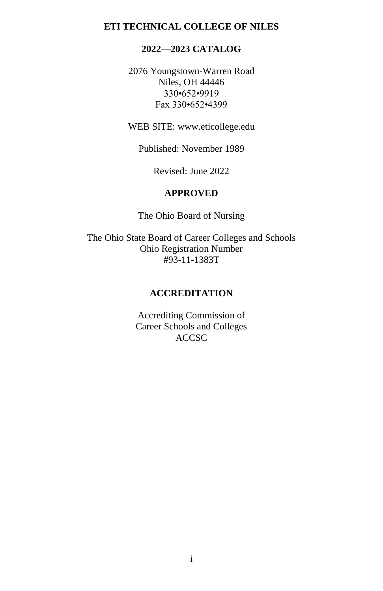# **ETI TECHNICAL COLLEGE OF NILES**

# **2022—2023 CATALOG**

2076 Youngstown-Warren Road Niles, OH 44446 330•652•9919 Fax 330•652•4399

WEB SITE[: www.eticollege.edu](http://www.eticollege.edu/)

Published: November 1989

Revised: June 2022

### **APPROVED**

The Ohio Board of Nursing

The Ohio State Board of Career Colleges and Schools Ohio Registration Number #93-11-1383T

### **ACCREDITATION**

Accrediting Commission of Career Schools and Colleges ACCSC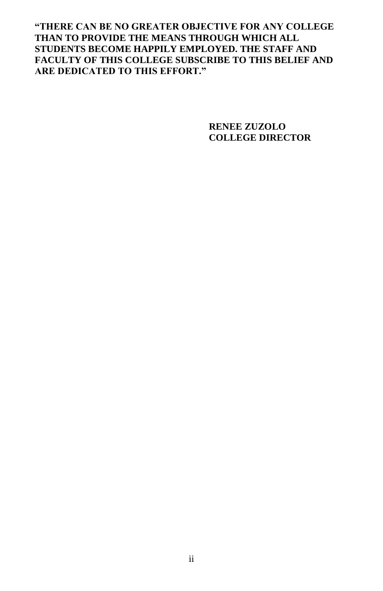**"THERE CAN BE NO GREATER OBJECTIVE FOR ANY COLLEGE THAN TO PROVIDE THE MEANS THROUGH WHICH ALL STUDENTS BECOME HAPPILY EMPLOYED. THE STAFF AND FACULTY OF THIS COLLEGE SUBSCRIBE TO THIS BELIEF AND ARE DEDICATED TO THIS EFFORT."**

> **RENEE ZUZOLO COLLEGE DIRECTOR**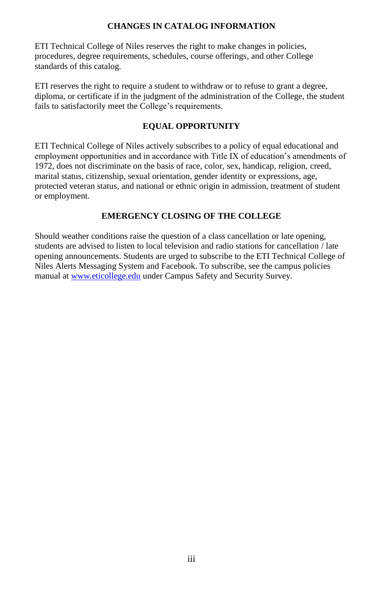### **CHANGES IN CATALOG INFORMATION**

ETI Technical College of Niles reserves the right to make changes in policies, procedures, degree requirements, schedules, course offerings, and other College standards of this catalog.

ETI reserves the right to require a student to withdraw or to refuse to grant a degree, diploma, or certificate if in the judgment of the administration of the College, the student fails to satisfactorily meet the College's requirements.

### **EQUAL OPPORTUNITY**

ETI Technical College of Niles actively subscribes to a policy of equal educational and employment opportunities and in accordance with Title IX of education's amendments of 1972, does not discriminate on the basis of race, color, sex, handicap, religion, creed, marital status, citizenship, sexual orientation, gender identity or expressions, age, protected veteran status, and national or ethnic origin in admission, treatment of student or employment.

# **EMERGENCY CLOSING OF THE COLLEGE**

Should weather conditions raise the question of a class cancellation or late opening, students are advised to listen to local television and radio stations for cancellation / late opening announcements. Students are urged to subscribe to the ETI Technical College of Niles Alerts Messaging System and Facebook. To subscribe, see the campus policies manual a[t www.eticollege.edu](http://www.eticollege.edu/) under Campus Safety and Security Survey.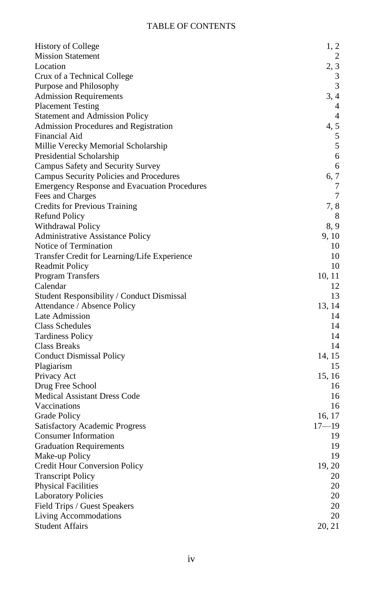# TABLE OF CONTENTS

| <b>History of College</b>                           | 1, 2           |
|-----------------------------------------------------|----------------|
| <b>Mission Statement</b>                            | 2              |
| Location                                            | 2, 3           |
| Crux of a Technical College                         | 3              |
| Purpose and Philosophy                              | 3              |
| <b>Admission Requirements</b>                       | 3, 4           |
| <b>Placement Testing</b>                            | 4              |
| <b>Statement and Admission Policy</b>               | $\overline{4}$ |
| Admission Procedures and Registration               | 4, 5           |
| Financial Aid                                       | 5              |
| Millie Verecky Memorial Scholarship                 | 5              |
| Presidential Scholarship                            | 6              |
| Campus Safety and Security Survey                   | 6              |
| Campus Security Policies and Procedures             | 6, 7           |
| <b>Emergency Response and Evacuation Procedures</b> | 7              |
| Fees and Charges                                    | 7              |
| Credits for Previous Training                       | 7, 8           |
| <b>Refund Policy</b>                                | 8              |
| Withdrawal Policy                                   | 8, 9           |
| Administrative Assistance Policy                    | 9, 10          |
| Notice of Termination                               | 10             |
| Transfer Credit for Learning/Life Experience        | 10             |
| <b>Readmit Policy</b>                               | 10             |
| Program Transfers                                   | 10, 11         |
| Calendar                                            | 12             |
| Student Responsibility / Conduct Dismissal          | 13             |
| Attendance / Absence Policy                         | 13, 14         |
| Late Admission                                      | 14             |
| <b>Class Schedules</b>                              | 14             |
| <b>Tardiness Policy</b>                             | 14             |
| Class Breaks                                        | 14             |
| <b>Conduct Dismissal Policy</b>                     | 14, 15         |
| Plagiarism                                          | 15             |
| Privacy Act                                         | 15, 16         |
| Drug Free School                                    | 16             |
| Medical Assistant Dress Code                        | 16             |
| Vaccinations                                        | 16             |
| Grade Policy                                        | 16, 17         |
| <b>Satisfactory Academic Progress</b>               | $17 - 19$      |
| <b>Consumer Information</b>                         | 19             |
| <b>Graduation Requirements</b>                      | 19             |
| Make-up Policy                                      | 19             |
| Credit Hour Conversion Policy                       | 19, 20         |
| <b>Transcript Policy</b>                            | 20             |
| <b>Physical Facilities</b>                          | 20             |
| <b>Laboratory Policies</b>                          | 20             |
| Field Trips / Guest Speakers                        | 20             |
| Living Accommodations                               | 20             |
| <b>Student Affairs</b>                              | 20, 21         |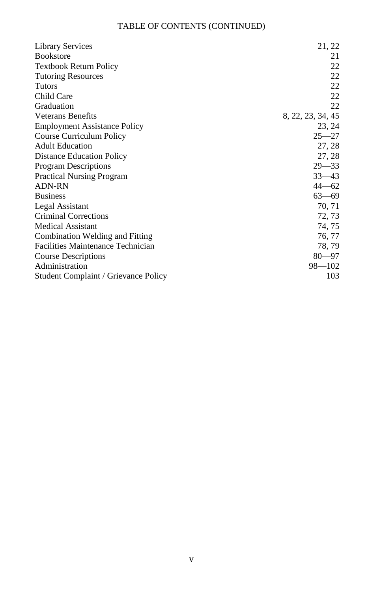# TABLE OF CONTENTS (CONTINUED)

| <b>Library Services</b>                  | 21, 22            |
|------------------------------------------|-------------------|
| <b>Bookstore</b>                         | 21                |
| <b>Textbook Return Policy</b>            | 22                |
| <b>Tutoring Resources</b>                | 22                |
| <b>Tutors</b>                            | 22                |
| Child Care                               | 22                |
| Graduation                               | 22                |
| <b>Veterans Benefits</b>                 | 8, 22, 23, 34, 45 |
| <b>Employment Assistance Policy</b>      | 23, 24            |
| Course Curriculum Policy                 | $25 - 27$         |
| <b>Adult Education</b>                   | 27, 28            |
| <b>Distance Education Policy</b>         | 27, 28            |
| Program Descriptions                     | $29 - 33$         |
| <b>Practical Nursing Program</b>         | $33 - 43$         |
| <b>ADN-RN</b>                            | $44 - 62$         |
| <b>Business</b>                          | $63 - 69$         |
| Legal Assistant                          | 70, 71            |
| Criminal Corrections                     | 72, 73            |
| <b>Medical Assistant</b>                 | 74, 75            |
| Combination Welding and Fitting          | 76, 77            |
| <b>Facilities Maintenance Technician</b> | 78, 79            |
| Course Descriptions                      | $80 - 97$         |
| Administration                           | $98 - 102$        |
| Student Complaint / Grievance Policy     | 103               |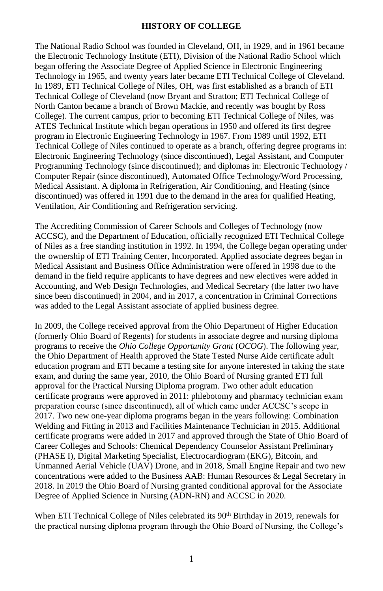#### **HISTORY OF COLLEGE**

The National Radio School was founded in Cleveland, OH, in 1929, and in 1961 became the Electronic Technology Institute (ETI), Division of the National Radio School which began offering the Associate Degree of Applied Science in Electronic Engineering Technology in 1965, and twenty years later became ETI Technical College of Cleveland. In 1989, ETI Technical College of Niles, OH, was first established as a branch of ETI Technical College of Cleveland (now Bryant and Stratton; ETI Technical College of North Canton became a branch of Brown Mackie, and recently was bought by Ross College). The current campus, prior to becoming ETI Technical College of Niles, was ATES Technical Institute which began operations in 1950 and offered its first degree program in Electronic Engineering Technology in 1967. From 1989 until 1992, ETI Technical College of Niles continued to operate as a branch, offering degree programs in: Electronic Engineering Technology (since discontinued), Legal Assistant, and Computer Programming Technology (since discontinued); and diplomas in: Electronic Technology / Computer Repair (since discontinued), Automated Office Technology/Word Processing, Medical Assistant. A diploma in Refrigeration, Air Conditioning, and Heating (since discontinued) was offered in 1991 due to the demand in the area for qualified Heating, Ventilation, Air Conditioning and Refrigeration servicing.

The Accrediting Commission of Career Schools and Colleges of Technology (now ACCSC), and the Department of Education, officially recognized ETI Technical College of Niles as a free standing institution in 1992. In 1994, the College began operating under the ownership of ETI Training Center, Incorporated. Applied associate degrees began in Medical Assistant and Business Office Administration were offered in 1998 due to the demand in the field require applicants to have degrees and new electives were added in Accounting, and Web Design Technologies, and Medical Secretary (the latter two have since been discontinued) in 2004, and in 2017, a concentration in Criminal Corrections was added to the Legal Assistant associate of applied business degree.

In 2009, the College received approval from the Ohio Department of Higher Education (formerly Ohio Board of Regents) for students in associate degree and nursing diploma programs to receive the *Ohio College Opportunity Grant* (*OCOG*). The following year, the Ohio Department of Health approved the State Tested Nurse Aide certificate adult education program and ETI became a testing site for anyone interested in taking the state exam, and during the same year, 2010, the Ohio Board of Nursing granted ETI full approval for the Practical Nursing Diploma program. Two other adult education certificate programs were approved in 2011: phlebotomy and pharmacy technician exam preparation course (since discontinued), all of which came under ACCSC's scope in 2017. Two new one-year diploma programs began in the years following: Combination Welding and Fitting in 2013 and Facilities Maintenance Technician in 2015. Additional certificate programs were added in 2017 and approved through the State of Ohio Board of Career Colleges and Schools: Chemical Dependency Counselor Assistant Preliminary (PHASE I), Digital Marketing Specialist, Electrocardiogram (EKG), Bitcoin, and Unmanned Aerial Vehicle (UAV) Drone, and in 2018, Small Engine Repair and two new concentrations were added to the Business AAB: Human Resources & Legal Secretary in 2018. In 2019 the Ohio Board of Nursing granted conditional approval for the Associate Degree of Applied Science in Nursing (ADN-RN) and ACCSC in 2020.

When ETI Technical College of Niles celebrated its 90<sup>th</sup> Birthday in 2019, renewals for the practical nursing diploma program through the Ohio Board of Nursing, the College's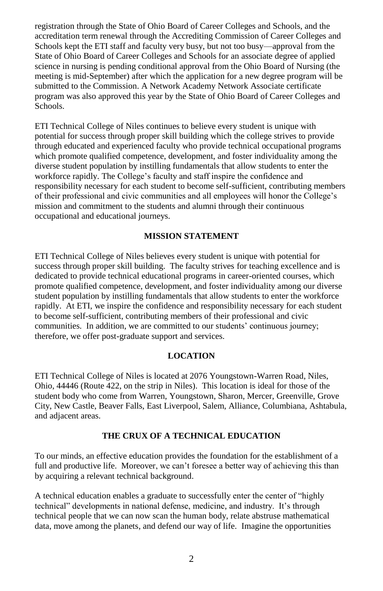registration through the State of Ohio Board of Career Colleges and Schools, and the accreditation term renewal through the Accrediting Commission of Career Colleges and Schools kept the ETI staff and faculty very busy, but not too busy—approval from the State of Ohio Board of Career Colleges and Schools for an associate degree of applied science in nursing is pending conditional approval from the Ohio Board of Nursing (the meeting is mid-September) after which the application for a new degree program will be submitted to the Commission. A Network Academy Network Associate certificate program was also approved this year by the State of Ohio Board of Career Colleges and Schools.

ETI Technical College of Niles continues to believe every student is unique with potential for success through proper skill building which the college strives to provide through educated and experienced faculty who provide technical occupational programs which promote qualified competence, development, and foster individuality among the diverse student population by instilling fundamentals that allow students to enter the workforce rapidly. The College's faculty and staff inspire the confidence and responsibility necessary for each student to become self-sufficient, contributing members of their professional and civic communities and all employees will honor the College's mission and commitment to the students and alumni through their continuous occupational and educational journeys.

### **MISSION STATEMENT**

ETI Technical College of Niles believes every student is unique with potential for success through proper skill building. The faculty strives for teaching excellence and is dedicated to provide technical educational programs in career-oriented courses, which promote qualified competence, development, and foster individuality among our diverse student population by instilling fundamentals that allow students to enter the workforce rapidly. At ETI, we inspire the confidence and responsibility necessary for each student to become self-sufficient, contributing members of their professional and civic communities. In addition, we are committed to our students' continuous journey; therefore, we offer post-graduate support and services.

### **LOCATION**

ETI Technical College of Niles is located at 2076 Youngstown-Warren Road, Niles, Ohio, 44446 (Route 422, on the strip in Niles). This location is ideal for those of the student body who come from Warren, Youngstown, Sharon, Mercer, Greenville, Grove City, New Castle, Beaver Falls, East Liverpool, Salem, Alliance, Columbiana, Ashtabula, and adjacent areas.

#### **THE CRUX OF A TECHNICAL EDUCATION**

To our minds, an effective education provides the foundation for the establishment of a full and productive life. Moreover, we can't foresee a better way of achieving this than by acquiring a relevant technical background.

A technical education enables a graduate to successfully enter the center of "highly technical" developments in national defense, medicine, and industry. It's through technical people that we can now scan the human body, relate abstruse mathematical data, move among the planets, and defend our way of life. Imagine the opportunities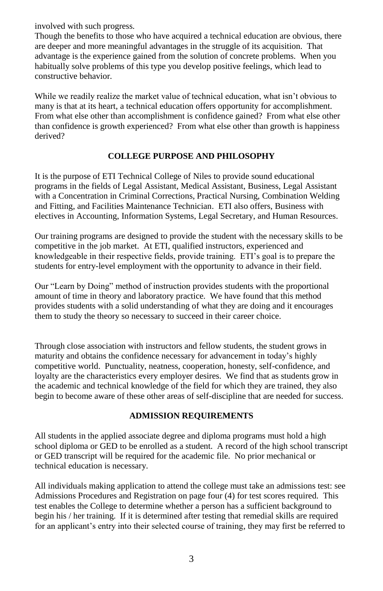involved with such progress.

Though the benefits to those who have acquired a technical education are obvious, there are deeper and more meaningful advantages in the struggle of its acquisition. That advantage is the experience gained from the solution of concrete problems. When you habitually solve problems of this type you develop positive feelings, which lead to constructive behavior.

While we readily realize the market value of technical education, what isn't obvious to many is that at its heart, a technical education offers opportunity for accomplishment. From what else other than accomplishment is confidence gained? From what else other than confidence is growth experienced? From what else other than growth is happiness derived?

### **COLLEGE PURPOSE AND PHILOSOPHY**

It is the purpose of ETI Technical College of Niles to provide sound educational programs in the fields of Legal Assistant, Medical Assistant, Business, Legal Assistant with a Concentration in Criminal Corrections, Practical Nursing, Combination Welding and Fitting, and Facilities Maintenance Technician. ETI also offers, Business with electives in Accounting, Information Systems, Legal Secretary, and Human Resources.

Our training programs are designed to provide the student with the necessary skills to be competitive in the job market. At ETI, qualified instructors, experienced and knowledgeable in their respective fields, provide training. ETI's goal is to prepare the students for entry-level employment with the opportunity to advance in their field.

Our "Learn by Doing" method of instruction provides students with the proportional amount of time in theory and laboratory practice. We have found that this method provides students with a solid understanding of what they are doing and it encourages them to study the theory so necessary to succeed in their career choice.

Through close association with instructors and fellow students, the student grows in maturity and obtains the confidence necessary for advancement in today's highly competitive world. Punctuality, neatness, cooperation, honesty, self-confidence, and loyalty are the characteristics every employer desires. We find that as students grow in the academic and technical knowledge of the field for which they are trained, they also begin to become aware of these other areas of self-discipline that are needed for success.

#### **ADMISSION REQUIREMENTS**

All students in the applied associate degree and diploma programs must hold a high school diploma or GED to be enrolled as a student. A record of the high school transcript or GED transcript will be required for the academic file. No prior mechanical or technical education is necessary.

All individuals making application to attend the college must take an admissions test: see Admissions Procedures and Registration on page four (4) for test scores required. This test enables the College to determine whether a person has a sufficient background to begin his / her training. If it is determined after testing that remedial skills are required for an applicant's entry into their selected course of training, they may first be referred to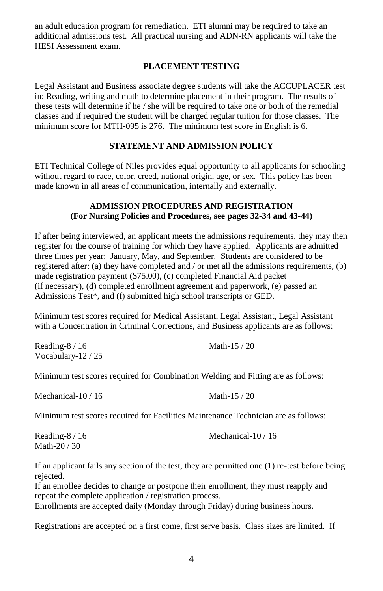an adult education program for remediation. ETI alumni may be required to take an additional admissions test. All practical nursing and ADN-RN applicants will take the HESI Assessment exam.

### **PLACEMENT TESTING**

Legal Assistant and Business associate degree students will take the ACCUPLACER test in; Reading, writing and math to determine placement in their program. The results of these tests will determine if he / she will be required to take one or both of the remedial classes and if required the student will be charged regular tuition for those classes. The minimum score for MTH-095 is 276. The minimum test score in English is 6.

# **STATEMENT AND ADMISSION POLICY**

ETI Technical College of Niles provides equal opportunity to all applicants for schooling without regard to race, color, creed, national origin, age, or sex. This policy has been made known in all areas of communication, internally and externally.

### **ADMISSION PROCEDURES AND REGISTRATION (For Nursing Policies and Procedures, see pages 32-34 and 43-44)**

If after being interviewed, an applicant meets the admissions requirements, they may then register for the course of training for which they have applied. Applicants are admitted three times per year: January, May, and September. Students are considered to be registered after: (a) they have completed and / or met all the admissions requirements, (b) made registration payment (\$75.00), (c) completed Financial Aid packet (if necessary), (d) completed enrollment agreement and paperwork, (e) passed an Admissions Test\*, and (f) submitted high school transcripts or GED.

Minimum test scores required for Medical Assistant, Legal Assistant, Legal Assistant with a Concentration in Criminal Corrections, and Business applicants are as follows:

| Reading- $8/16$     | Math- $15/20$ |
|---------------------|---------------|
| Vocabulary- $12/25$ |               |

Minimum test scores required for Combination Welding and Fitting are as follows:

Mechanical-10 / 16 Math-15 / 20

Minimum test scores required for Facilities Maintenance Technician are as follows:

Reading-8 / 16 Mechanical-10 / 16 Math-20 / 30

If an applicant fails any section of the test, they are permitted one (1) re-test before being rejected.

If an enrollee decides to change or postpone their enrollment, they must reapply and repeat the complete application / registration process.

Enrollments are accepted daily (Monday through Friday) during business hours.

Registrations are accepted on a first come, first serve basis. Class sizes are limited. If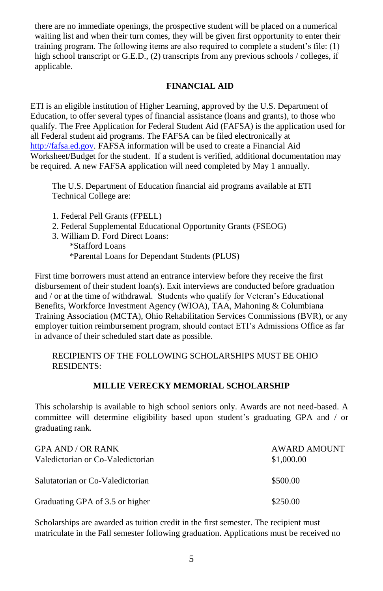there are no immediate openings, the prospective student will be placed on a numerical waiting list and when their turn comes, they will be given first opportunity to enter their training program. The following items are also required to complete a student's file: (1) high school transcript or G.E.D., (2) transcripts from any previous schools / colleges, if applicable.

### **FINANCIAL AID**

ETI is an eligible institution of Higher Learning, approved by the U.S. Department of Education, to offer several types of financial assistance (loans and grants), to those who qualify. The Free Application for Federal Student Aid (FAFSA) is the application used for all Federal student aid programs. The FAFSA can be filed electronically at [http://fafsa.ed.gov.](http://fafsa.ed.gov/) FAFSA information will be used to create a Financial Aid Worksheet/Budget for the student. If a student is verified, additional documentation may be required. A new FAFSA application will need completed by May 1 annually.

The U.S. Department of Education financial aid programs available at ETI Technical College are:

- 1. Federal Pell Grants (FPELL)
- 2. Federal Supplemental Educational Opportunity Grants (FSEOG)
- 3. William D. Ford Direct Loans:
	- \*Stafford Loans \*Parental Loans for Dependant Students (PLUS)

First time borrowers must attend an entrance interview before they receive the first disbursement of their student loan(s). Exit interviews are conducted before graduation and / or at the time of withdrawal. Students who qualify for Veteran's Educational Benefits, Workforce Investment Agency (WIOA), TAA, Mahoning & Columbiana Training Association (MCTA), Ohio Rehabilitation Services Commissions (BVR), or any employer tuition reimbursement program, should contact ETI's Admissions Office as far in advance of their scheduled start date as possible.

### RECIPIENTS OF THE FOLLOWING SCHOLARSHIPS MUST BE OHIO RESIDENTS:

### **MILLIE VERECKY MEMORIAL SCHOLARSHIP**

This scholarship is available to high school seniors only. Awards are not need-based. A committee will determine eligibility based upon student's graduating GPA and / or graduating rank.

| <b>GPA AND / OR RANK</b><br>Valedictorian or Co-Valedictorian | <b>AWARD AMOUNT</b><br>\$1,000.00 |
|---------------------------------------------------------------|-----------------------------------|
| Salutatorian or Co-Valedictorian                              | \$500.00                          |
| Graduating GPA of 3.5 or higher                               | \$250.00                          |

Scholarships are awarded as tuition credit in the first semester. The recipient must matriculate in the Fall semester following graduation. Applications must be received no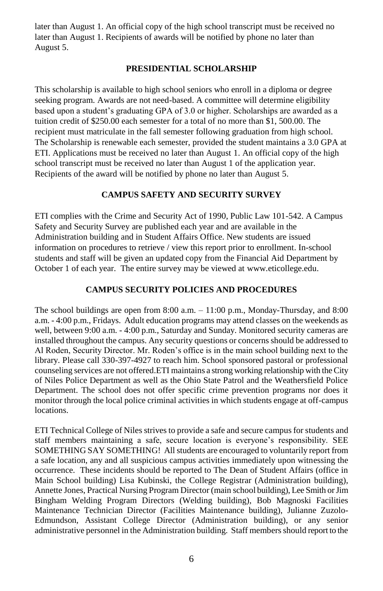later than August 1. An official copy of the high school transcript must be received no later than August 1. Recipients of awards will be notified by phone no later than August 5.

### **PRESIDENTIAL SCHOLARSHIP**

This scholarship is available to high school seniors who enroll in a diploma or degree seeking program. Awards are not need-based. A committee will determine eligibility based upon a student's graduating GPA of 3.0 or higher. Scholarships are awarded as a tuition credit of \$250.00 each semester for a total of no more than \$1, 500.00. The recipient must matriculate in the fall semester following graduation from high school. The Scholarship is renewable each semester, provided the student maintains a 3.0 GPA at ETI. Applications must be received no later than August 1. An official copy of the high school transcript must be received no later than August 1 of the application year. Recipients of the award will be notified by phone no later than August 5.

# **CAMPUS SAFETY AND SECURITY SURVEY**

ETI complies with the Crime and Security Act of 1990, Public Law 101-542. A Campus Safety and Security Survey are published each year and are available in the Administration building and in Student Affairs Office. New students are issued information on procedures to retrieve / view this report prior to enrollment. In-school students and staff will be given an updated copy from the Financial Aid Department by October 1 of each year. The entire survey may be viewed at [www.eticollege.edu.](http://www.eticollege.edu/)

### **CAMPUS SECURITY POLICIES AND PROCEDURES**

The school buildings are open from  $8:00$  a.m.  $-11:00$  p.m., Monday-Thursday, and  $8:00$ a.m. - 4:00 p.m., Fridays. Adult education programs may attend classes on the weekends as well, between 9:00 a.m. - 4:00 p.m., Saturday and Sunday. Monitored security cameras are installed throughout the campus. Any security questions or concerns should be addressed to Al Roden, Security Director. Mr. Roden's office is in the main school building next to the library. Please call 330-397-4927 to reach him. School sponsored pastoral or professional counseling services are not offered.ETI maintains a strong working relationship with the City of Niles Police Department as well as the Ohio State Patrol and the Weathersfield Police Department. The school does not offer specific crime prevention programs nor does it monitor through the local police criminal activities in which students engage at off-campus locations.

ETI Technical College of Niles strives to provide a safe and secure campus for students and staff members maintaining a safe, secure location is everyone's responsibility. SEE SOMETHING SAY SOMETHING! All students are encouraged to voluntarily report from a safe location, any and all suspicious campus activities immediately upon witnessing the occurrence. These incidents should be reported to The Dean of Student Affairs (office in Main School building) Lisa Kubinski, the College Registrar (Administration building), Annette Jones, Practical Nursing Program Director (main school building), Lee Smith or Jim Bingham Welding Program Directors (Welding building), Bob Magnoski Facilities Maintenance Technician Director (Facilities Maintenance building), Julianne Zuzolo-Edmundson, Assistant College Director (Administration building), or any senior administrative personnel in the Administration building. Staff members should report to the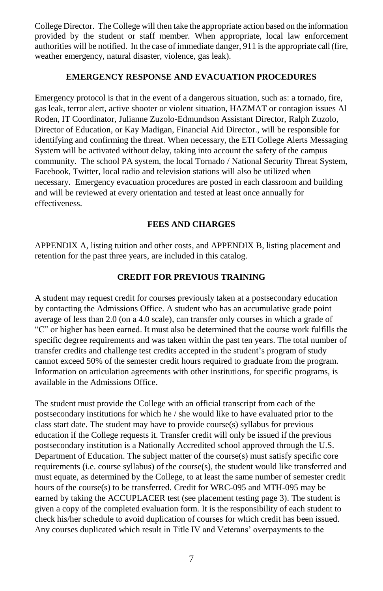College Director. The College will then take the appropriate action based on the information provided by the student or staff member. When appropriate, local law enforcement authorities will be notified. In the case of immediate danger, 911 is the appropriate call (fire, weather emergency, natural disaster, violence, gas leak).

#### **EMERGENCY RESPONSE AND EVACUATION PROCEDURES**

Emergency protocol is that in the event of a dangerous situation, such as: a tornado, fire, gas leak, terror alert, active shooter or violent situation, HAZMAT or contagion issues Al Roden, IT Coordinator, Julianne Zuzolo-Edmundson Assistant Director, Ralph Zuzolo, Director of Education, or Kay Madigan, Financial Aid Director., will be responsible for identifying and confirming the threat. When necessary, the ETI College Alerts Messaging System will be activated without delay, taking into account the safety of the campus community. The school PA system, the local Tornado / National Security Threat System, Facebook, Twitter, local radio and television stations will also be utilized when necessary. Emergency evacuation procedures are posted in each classroom and building and will be reviewed at every orientation and tested at least once annually for effectiveness.

#### **FEES AND CHARGES**

APPENDIX A, listing tuition and other costs, and APPENDIX B, listing placement and retention for the past three years, are included in this catalog.

#### **CREDIT FOR PREVIOUS TRAINING**

A student may request credit for courses previously taken at a postsecondary education by contacting the Admissions Office. A student who has an accumulative grade point average of less than 2.0 (on a 4.0 scale), can transfer only courses in which a grade of "C" or higher has been earned. It must also be determined that the course work fulfills the specific degree requirements and was taken within the past ten years. The total number of transfer credits and challenge test credits accepted in the student's program of study cannot exceed 50% of the semester credit hours required to graduate from the program. Information on articulation agreements with other institutions, for specific programs, is available in the Admissions Office.

The student must provide the College with an official transcript from each of the postsecondary institutions for which he / she would like to have evaluated prior to the class start date. The student may have to provide course(s) syllabus for previous education if the College requests it. Transfer credit will only be issued if the previous postsecondary institution is a Nationally Accredited school approved through the U.S. Department of Education. The subject matter of the course(s) must satisfy specific core requirements (i.e. course syllabus) of the course(s), the student would like transferred and must equate, as determined by the College, to at least the same number of semester credit hours of the course(s) to be transferred. Credit for WRC-095 and MTH-095 may be earned by taking the ACCUPLACER test (see placement testing page 3). The student is given a copy of the completed evaluation form. It is the responsibility of each student to check his/her schedule to avoid duplication of courses for which credit has been issued. Any courses duplicated which result in Title IV and Veterans' overpayments to the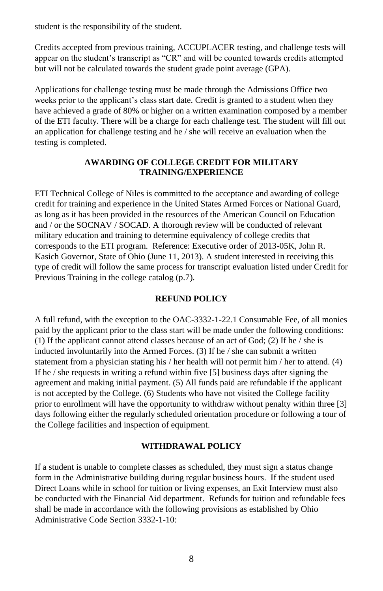student is the responsibility of the student.

Credits accepted from previous training, ACCUPLACER testing, and challenge tests will appear on the student's transcript as "CR" and will be counted towards credits attempted but will not be calculated towards the student grade point average (GPA).

Applications for challenge testing must be made through the Admissions Office two weeks prior to the applicant's class start date. Credit is granted to a student when they have achieved a grade of 80% or higher on a written examination composed by a member of the ETI faculty. There will be a charge for each challenge test. The student will fill out an application for challenge testing and he / she will receive an evaluation when the testing is completed.

### **AWARDING OF COLLEGE CREDIT FOR MILITARY TRAINING/EXPERIENCE**

ETI Technical College of Niles is committed to the acceptance and awarding of college credit for training and experience in the United States Armed Forces or National Guard, as long as it has been provided in the resources of the American Council on Education and / or the SOCNAV / SOCAD. A thorough review will be conducted of relevant military education and training to determine equivalency of college credits that corresponds to the ETI program. Reference: Executive order of 2013-05K, John R. Kasich Governor, State of Ohio (June 11, 2013). A student interested in receiving this type of credit will follow the same process for transcript evaluation listed under Credit for Previous Training in the college catalog (p.7).

### **REFUND POLICY**

A full refund, with the exception to the OAC-3332-1-22.1 Consumable Fee, of all monies paid by the applicant prior to the class start will be made under the following conditions: (1) If the applicant cannot attend classes because of an act of God; (2) If he / she is inducted involuntarily into the Armed Forces. (3) If he / she can submit a written statement from a physician stating his / her health will not permit him / her to attend. (4) If he / she requests in writing a refund within five [5] business days after signing the agreement and making initial payment. (5) All funds paid are refundable if the applicant is not accepted by the College. (6) Students who have not visited the College facility prior to enrollment will have the opportunity to withdraw without penalty within three [3] days following either the regularly scheduled orientation procedure or following a tour of the College facilities and inspection of equipment.

### **WITHDRAWAL POLICY**

If a student is unable to complete classes as scheduled, they must sign a status change form in the Administrative building during regular business hours. If the student used Direct Loans while in school for tuition or living expenses, an Exit Interview must also be conducted with the Financial Aid department. Refunds for tuition and refundable fees shall be made in accordance with the following provisions as established by Ohio Administrative Code Section 3332-1-10: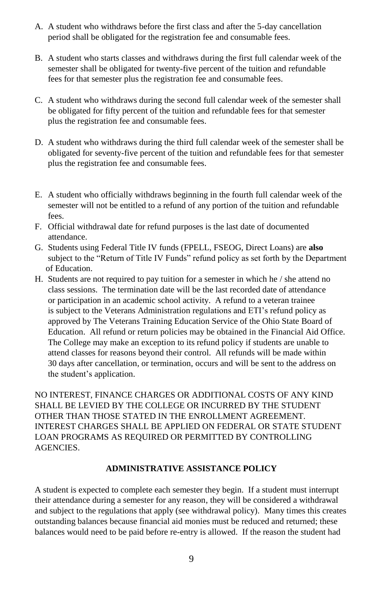- A. A student who withdraws before the first class and after the 5-day cancellation period shall be obligated for the registration fee and consumable fees.
- B. A student who starts classes and withdraws during the first full calendar week of the semester shall be obligated for twenty-five percent of the tuition and refundable fees for that semester plus the registration fee and consumable fees.
- C. A student who withdraws during the second full calendar week of the semester shall be obligated for fifty percent of the tuition and refundable fees for that semester plus the registration fee and consumable fees.
- D. A student who withdraws during the third full calendar week of the semester shall be obligated for seventy-five percent of the tuition and refundable fees for that semester plus the registration fee and consumable fees.
- E. A student who officially withdraws beginning in the fourth full calendar week of the semester will not be entitled to a refund of any portion of the tuition and refundable fees.
- F. Official withdrawal date for refund purposes is the last date of documented attendance.
- G. Students using Federal Title IV funds (FPELL, FSEOG, Direct Loans) are **also** subject to the "Return of Title IV Funds" refund policy as set forth by the Department of Education.
- H. Students are not required to pay tuition for a semester in which he / she attend no class sessions. The termination date will be the last recorded date of attendance or participation in an academic school activity. A refund to a veteran trainee is subject to the Veterans Administration regulations and ETI's refund policy as approved by The Veterans Training Education Service of the Ohio State Board of Education. All refund or return policies may be obtained in the Financial Aid Office. The College may make an exception to its refund policy if students are unable to attend classes for reasons beyond their control. All refunds will be made within 30 days after cancellation, or termination, occurs and will be sent to the address on the student's application.

NO INTEREST, FINANCE CHARGES OR ADDITIONAL COSTS OF ANY KIND SHALL BE LEVIED BY THE COLLEGE OR INCURRED BY THE STUDENT OTHER THAN THOSE STATED IN THE ENROLLMENT AGREEMENT. INTEREST CHARGES SHALL BE APPLIED ON FEDERAL OR STATE STUDENT LOAN PROGRAMS AS REQUIRED OR PERMITTED BY CONTROLLING AGENCIES.

### **ADMINISTRATIVE ASSISTANCE POLICY**

A student is expected to complete each semester they begin. If a student must interrupt their attendance during a semester for any reason, they will be considered a withdrawal and subject to the regulations that apply (see withdrawal policy). Many times this creates outstanding balances because financial aid monies must be reduced and returned; these balances would need to be paid before re-entry is allowed. If the reason the student had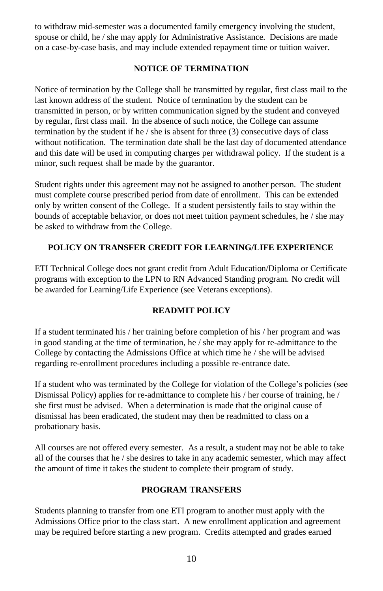to withdraw mid-semester was a documented family emergency involving the student, spouse or child, he / she may apply for Administrative Assistance. Decisions are made on a case-by-case basis, and may include extended repayment time or tuition waiver.

### **NOTICE OF TERMINATION**

Notice of termination by the College shall be transmitted by regular, first class mail to the last known address of the student. Notice of termination by the student can be transmitted in person, or by written communication signed by the student and conveyed by regular, first class mail. In the absence of such notice, the College can assume termination by the student if he / she is absent for three (3) consecutive days of class without notification. The termination date shall be the last day of documented attendance and this date will be used in computing charges per withdrawal policy. If the student is a minor, such request shall be made by the guarantor.

Student rights under this agreement may not be assigned to another person. The student must complete course prescribed period from date of enrollment. This can be extended only by written consent of the College. If a student persistently fails to stay within the bounds of acceptable behavior, or does not meet tuition payment schedules, he / she may be asked to withdraw from the College.

# **POLICY ON TRANSFER CREDIT FOR LEARNING/LIFE EXPERIENCE**

ETI Technical College does not grant credit from Adult Education/Diploma or Certificate programs with exception to the LPN to RN Advanced Standing program. No credit will be awarded for Learning/Life Experience (see Veterans exceptions).

### **READMIT POLICY**

If a student terminated his / her training before completion of his / her program and was in good standing at the time of termination, he / she may apply for re-admittance to the College by contacting the Admissions Office at which time he / she will be advised regarding re-enrollment procedures including a possible re-entrance date.

If a student who was terminated by the College for violation of the College's policies (see Dismissal Policy) applies for re-admittance to complete his / her course of training, he / she first must be advised. When a determination is made that the original cause of dismissal has been eradicated, the student may then be readmitted to class on a probationary basis.

All courses are not offered every semester. As a result, a student may not be able to take all of the courses that he / she desires to take in any academic semester, which may affect the amount of time it takes the student to complete their program of study.

### **PROGRAM TRANSFERS**

Students planning to transfer from one ETI program to another must apply with the Admissions Office prior to the class start. A new enrollment application and agreement may be required before starting a new program. Credits attempted and grades earned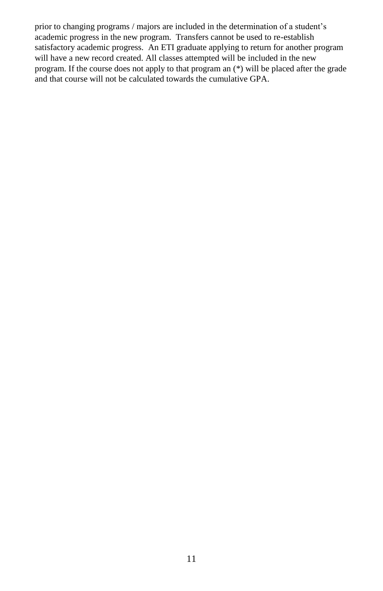prior to changing programs / majors are included in the determination of a student's academic progress in the new program. Transfers cannot be used to re-establish satisfactory academic progress. An ETI graduate applying to return for another program will have a new record created. All classes attempted will be included in the new program. If the course does not apply to that program an (\*) will be placed after the grade and that course will not be calculated towards the cumulative GPA.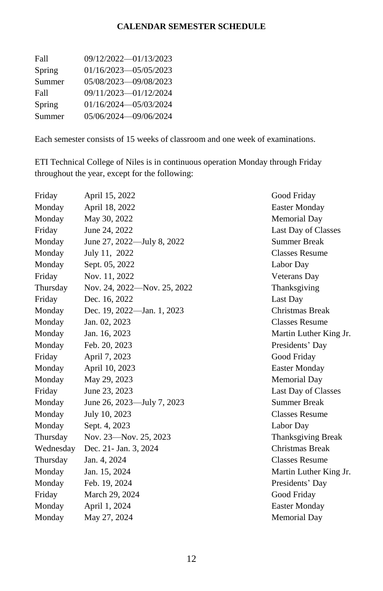# **CALENDAR SEMESTER SCHEDULE**

| Fall   | 09/12/2022-01/13/2023 |
|--------|-----------------------|
| Spring | 01/16/2023-05/05/2023 |
| Summer | 05/08/2023-09/08/2023 |
| Fall   | 09/11/2023-01/12/2024 |
| Spring | 01/16/2024-05/03/2024 |
| Summer | 05/06/2024-09/06/2024 |

Each semester consists of 15 weeks of classroom and one week of examinations.

ETI Technical College of Niles is in continuous operation Monday through Friday throughout the year, except for the following:

| Friday    | April 15, 2022              | Good Friday               |
|-----------|-----------------------------|---------------------------|
| Monday    | April 18, 2022              | <b>Easter Monday</b>      |
| Monday    | May 30, 2022                | Memorial Day              |
| Friday    | June 24, 2022               | Last Day of Classes       |
| Monday    | June 27, 2022—July 8, 2022  | <b>Summer Break</b>       |
| Monday    | July 11, 2022               | <b>Classes Resume</b>     |
| Monday    | Sept. 05, 2022              | Labor Day                 |
| Friday    | Nov. 11, 2022               | <b>Veterans</b> Day       |
| Thursday  | Nov. 24, 2022—Nov. 25, 2022 | Thanksgiving              |
| Friday    | Dec. 16, 2022               | Last Day                  |
| Monday    | Dec. 19, 2022-Jan. 1, 2023  | Christmas Break           |
| Monday    | Jan. 02, 2023               | Classes Resume            |
| Monday    | Jan. 16, 2023               | Martin Luther King Jr.    |
| Monday    | Feb. 20, 2023               | Presidents' Day           |
| Friday    | April 7, 2023               | Good Friday               |
| Monday    | April 10, 2023              | <b>Easter Monday</b>      |
| Monday    | May 29, 2023                | Memorial Day              |
| Friday    | June 23, 2023               | Last Day of Classes       |
| Monday    | June 26, 2023-July 7, 2023  | <b>Summer Break</b>       |
| Monday    | July 10, 2023               | <b>Classes Resume</b>     |
| Monday    | Sept. 4, 2023               | Labor Day                 |
| Thursday  | Nov. 23-Nov. 25, 2023       | <b>Thanksgiving Break</b> |
| Wednesday | Dec. 21 - Jan. 3, 2024      | Christmas Break           |
| Thursday  | Jan. 4, 2024                | <b>Classes Resume</b>     |
| Monday    | Jan. 15, 2024               | Martin Luther King Jr.    |
| Monday    | Feb. 19, 2024               | Presidents' Day           |
| Friday    | March 29, 2024              | Good Friday               |
| Monday    | April 1, 2024               | <b>Easter Monday</b>      |
| Monday    | May 27, 2024                | <b>Memorial Day</b>       |
|           |                             |                           |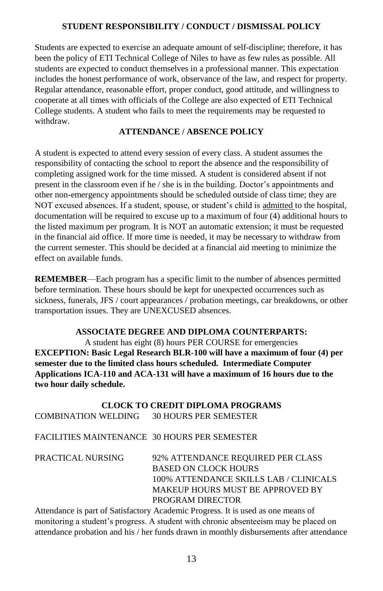### **STUDENT RESPONSIBILITY / CONDUCT / DISMISSAL POLICY**

Students are expected to exercise an adequate amount of self-discipline; therefore, it has been the policy of ETI Technical College of Niles to have as few rules as possible. All students are expected to conduct themselves in a professional manner. This expectation includes the honest performance of work, observance of the law, and respect for property. Regular attendance, reasonable effort, proper conduct, good attitude, and willingness to cooperate at all times with officials of the College are also expected of ETI Technical College students. A student who fails to meet the requirements may be requested to withdraw.

### **ATTENDANCE / ABSENCE POLICY**

A student is expected to attend every session of every class. A student assumes the responsibility of contacting the school to report the absence and the responsibility of completing assigned work for the time missed. A student is considered absent if not present in the classroom even if he / she is in the building. Doctor's appointments and other non-emergency appointments should be scheduled outside of class time; they are NOT excused absences. If a student, spouse, or student's child is admitted to the hospital, documentation will be required to excuse up to a maximum of four (4) additional hours to the listed maximum per program. It is NOT an automatic extension; it must be requested in the financial aid office. If more time is needed, it may be necessary to withdraw from the current semester. This should be decided at a financial aid meeting to minimize the effect on available funds.

**REMEMBER**—Each program has a specific limit to the number of absences permitted before termination. These hours should be kept for unexpected occurrences such as sickness, funerals, JFS / court appearances / probation meetings, car breakdowns, or other transportation issues. They are UNEXCUSED absences.

#### **ASSOCIATE DEGREE AND DIPLOMA COUNTERPARTS:**

A student has eight (8) hours PER COURSE for emergencies **EXCEPTION: Basic Legal Research BLR-100 will have a maximum of four (4) per semester due to the limited class hours scheduled. Intermediate Computer Applications ICA-110 and ACA-131 will have a maximum of 16 hours due to the two hour daily schedule.**

**CLOCK TO CREDIT DIPLOMA PROGRAMS** COMBINATION WELDING 30 HOURS PER SEMESTER

### FACILITIES MAINTENANCE 30 HOURS PER SEMESTER

| 92% ATTENDANCE REQUIRED PER CLASS      |
|----------------------------------------|
| <b>BASED ON CLOCK HOURS</b>            |
| 100% ATTENDANCE SKILLS LAB / CLINICALS |
| MAKEUP HOURS MUST BE APPROVED BY       |
| PROGRAM DIRECTOR                       |
|                                        |

Attendance is part of Satisfactory Academic Progress. It is used as one means of monitoring a student's progress. A student with chronic absenteeism may be placed on attendance probation and his / her funds drawn in monthly disbursements after attendance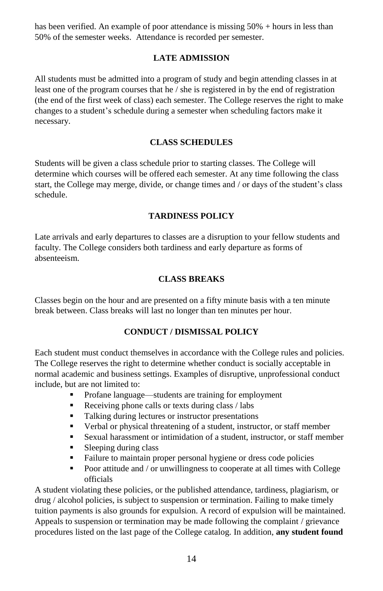has been verified. An example of poor attendance is missing 50% + hours in less than 50% of the semester weeks. Attendance is recorded per semester.

### **LATE ADMISSION**

All students must be admitted into a program of study and begin attending classes in at least one of the program courses that he / she is registered in by the end of registration (the end of the first week of class) each semester. The College reserves the right to make changes to a student's schedule during a semester when scheduling factors make it necessary.

### **CLASS SCHEDULES**

Students will be given a class schedule prior to starting classes. The College will determine which courses will be offered each semester. At any time following the class start, the College may merge, divide, or change times and / or days of the student's class schedule.

### **TARDINESS POLICY**

Late arrivals and early departures to classes are a disruption to your fellow students and faculty. The College considers both tardiness and early departure as forms of absenteeism.

### **CLASS BREAKS**

Classes begin on the hour and are presented on a fifty minute basis with a ten minute break between. Class breaks will last no longer than ten minutes per hour.

### **CONDUCT / DISMISSAL POLICY**

Each student must conduct themselves in accordance with the College rules and policies. The College reserves the right to determine whether conduct is socially acceptable in normal academic and business settings. Examples of disruptive, unprofessional conduct include, but are not limited to:

- Profane language—students are training for employment
- Receiving phone calls or texts during class / labs
- Talking during lectures or instructor presentations
- Verbal or physical threatening of a student, instructor, or staff member
- Sexual harassment or intimidation of a student, instructor, or staff member
- Sleeping during class
- Failure to maintain proper personal hygiene or dress code policies
- Poor attitude and / or unwillingness to cooperate at all times with College officials

A student violating these policies, or the published attendance, tardiness, plagiarism, or drug / alcohol policies, is subject to suspension or termination. Failing to make timely tuition payments is also grounds for expulsion. A record of expulsion will be maintained. Appeals to suspension or termination may be made following the complaint / grievance procedures listed on the last page of the College catalog. In addition, **any student found**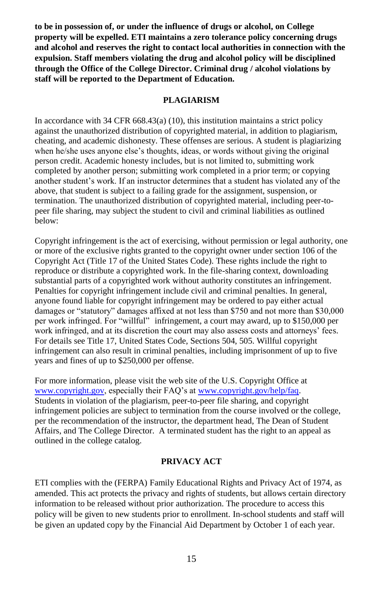**to be in possession of, or under the influence of drugs or alcohol, on College property will be expelled. ETI maintains a zero tolerance policy concerning drugs and alcohol and reserves the right to contact local authorities in connection with the expulsion. Staff members violating the drug and alcohol policy will be disciplined through the Office of the College Director. Criminal drug / alcohol violations by staff will be reported to the Department of Education.**

### **PLAGIARISM**

In accordance with  $34$  CFR  $668.43(a)$  (10), this institution maintains a strict policy against the unauthorized distribution of copyrighted material, in addition to plagiarism, cheating, and academic dishonesty. These offenses are serious. A student is plagiarizing when he/she uses anyone else's thoughts, ideas, or words without giving the original person credit. Academic honesty includes, but is not limited to, submitting work completed by another person; submitting work completed in a prior term; or copying another student's work. If an instructor determines that a student has violated any of the above, that student is subject to a failing grade for the assignment, suspension, or termination. The unauthorized distribution of copyrighted material, including peer-topeer file sharing, may subject the student to civil and criminal liabilities as outlined below:

Copyright infringement is the act of exercising, without permission or legal authority, one or more of the exclusive rights granted to the copyright owner under section 106 of the Copyright Act (Title 17 of the United States Code). These rights include the right to reproduce or distribute a copyrighted work. In the file-sharing context, downloading substantial parts of a copyrighted work without authority constitutes an infringement. Penalties for copyright infringement include civil and criminal penalties. In general, anyone found liable for copyright infringement may be ordered to pay either actual damages or "statutory" damages affixed at not less than \$750 and not more than \$30,000 per work infringed. For "willful" infringement, a court may award, up to \$150,000 per work infringed, and at its discretion the court may also assess costs and attorneys' fees. For details see Title 17, United States Code, Sections 504, 505. Willful copyright infringement can also result in criminal penalties, including imprisonment of up to five years and fines of up to \$250,000 per offense.

For more information, please visit the web site of the U.S. Copyright Office at [www.copyright.gov,](http://www.copyright.gov/) especially their FAQ's at [www.copyright.gov/help/faq.](http://www.copyright.gov/help/faq) Students in violation of the plagiarism, peer-to-peer file sharing, and copyright infringement policies are subject to termination from the course involved or the college, per the recommendation of the instructor, the department head, The Dean of Student Affairs, and The College Director. A terminated student has the right to an appeal as outlined in the college catalog.

### **PRIVACY ACT**

ETI complies with the (FERPA) Family Educational Rights and Privacy Act of 1974, as amended. This act protects the privacy and rights of students, but allows certain directory information to be released without prior authorization. The procedure to access this policy will be given to new students prior to enrollment. In-school students and staff will be given an updated copy by the Financial Aid Department by October 1 of each year.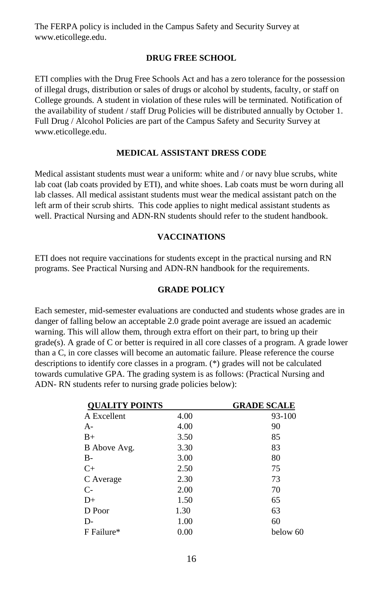The FERPA policy is included in the Campus Safety and Security Survey at [www.eticollege.edu.](http://www.eticollege.edu/)

#### **DRUG FREE SCHOOL**

ETI complies with the Drug Free Schools Act and has a zero tolerance for the possession of illegal drugs, distribution or sales of drugs or alcohol by students, faculty, or staff on College grounds. A student in violation of these rules will be terminated. Notification of the availability of student / staff Drug Policies will be distributed annually by October 1. Full Drug / Alcohol Policies are part of the Campus Safety and Security Survey at [www.eticollege.edu.](http://www.eticollege.edu/)

#### **MEDICAL ASSISTANT DRESS CODE**

Medical assistant students must wear a uniform: white and / or navy blue scrubs, white lab coat (lab coats provided by ETI), and white shoes. Lab coats must be worn during all lab classes. All medical assistant students must wear the medical assistant patch on the left arm of their scrub shirts. This code applies to night medical assistant students as well. Practical Nursing and ADN-RN students should refer to the student handbook.

### **VACCINATIONS**

ETI does not require vaccinations for students except in the practical nursing and RN programs. See Practical Nursing and ADN-RN handbook for the requirements.

#### **GRADE POLICY**

Each semester, mid-semester evaluations are conducted and students whose grades are in danger of falling below an acceptable 2.0 grade point average are issued an academic warning. This will allow them, through extra effort on their part, to bring up their  $grade(s)$ . A grade of C or better is required in all core classes of a program. A grade lower than a C, in core classes will become an automatic failure. Please reference the course descriptions to identify core classes in a program. (\*) grades will not be calculated towards cumulative GPA. The grading system is as follows: (Practical Nursing and ADN- RN students refer to nursing grade policies below):

| <b>OUALITY POINTS</b> |      | <b>GRADE SCALE</b> |  |
|-----------------------|------|--------------------|--|
| A Excellent           | 4.00 | 93-100             |  |
| $A -$                 | 4.00 | 90                 |  |
| $B+$                  | 3.50 | 85                 |  |
| B Above Avg.          | 3.30 | 83                 |  |
| B-                    | 3.00 | 80                 |  |
| $C+$                  | 2.50 | 75                 |  |
| C Average             | 2.30 | 73                 |  |
| $C-$                  | 2.00 | 70                 |  |
| $D+$                  | 1.50 | 65                 |  |
| D Poor                | 1.30 | 63                 |  |
| D-                    | 1.00 | 60                 |  |
| F Failure*            | 0.00 | below 60           |  |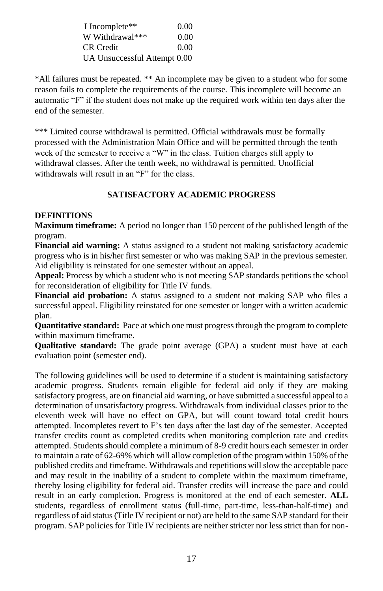| I Incomplete**               | 0.00 |
|------------------------------|------|
| W Withdrawal***              | 0.00 |
| CR Credit                    | 0.00 |
| UA Unsuccessful Attempt 0.00 |      |

\*All failures must be repeated. \*\* An incomplete may be given to a student who for some reason fails to complete the requirements of the course. This incomplete will become an automatic "F" if the student does not make up the required work within ten days after the end of the semester.

\*\*\* Limited course withdrawal is permitted. Official withdrawals must be formally processed with the Administration Main Office and will be permitted through the tenth week of the semester to receive a "W" in the class. Tuition charges still apply to withdrawal classes. After the tenth week, no withdrawal is permitted. Unofficial withdrawals will result in an "F" for the class.

# **SATISFACTORY ACADEMIC PROGRESS**

### **DEFINITIONS**

**Maximum timeframe:** A period no longer than 150 percent of the published length of the program.

**Financial aid warning:** A status assigned to a student not making satisfactory academic progress who is in his/her first semester or who was making SAP in the previous semester. Aid eligibility is reinstated for one semester without an appeal.

**Appeal:** Process by which a student who is not meeting SAP standards petitions the school for reconsideration of eligibility for Title IV funds.

**Financial aid probation:** A status assigned to a student not making SAP who files a successful appeal. Eligibility reinstated for one semester or longer with a written academic plan.

**Quantitative standard:** Pace at which one must progress through the program to complete within maximum timeframe.

**Qualitative standard:** The grade point average (GPA) a student must have at each evaluation point (semester end).

The following guidelines will be used to determine if a student is maintaining satisfactory academic progress. Students remain eligible for federal aid only if they are making satisfactory progress, are on financial aid warning, or have submitted a successful appeal to a determination of unsatisfactory progress. Withdrawals from individual classes prior to the eleventh week will have no effect on GPA, but will count toward total credit hours attempted. Incompletes revert to F's ten days after the last day of the semester. Accepted transfer credits count as completed credits when monitoring completion rate and credits attempted. Students should complete a minimum of 8-9 credit hours each semester in order to maintain a rate of 62-69% which will allow completion of the program within 150% of the published credits and timeframe. Withdrawals and repetitions will slow the acceptable pace and may result in the inability of a student to complete within the maximum timeframe, thereby losing eligibility for federal aid. Transfer credits will increase the pace and could result in an early completion. Progress is monitored at the end of each semester. **ALL**  students, regardless of enrollment status (full-time, part-time, less-than-half-time) and regardless of aid status (Title IV recipient or not) are held to the same SAP standard for their program. SAP policies for Title IV recipients are neither stricter nor less strict than for non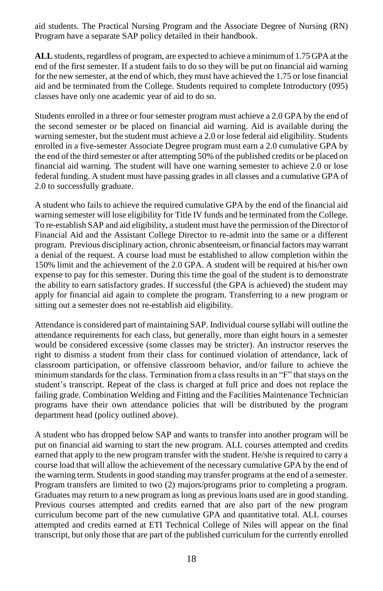aid students. The Practical Nursing Program and the Associate Degree of Nursing (RN) Program have a separate SAP policy detailed in their handbook.

**ALL** students, regardless of program, are expected to achieve a minimum of 1.75 GPA at the end of the first semester. If a student fails to do so they will be put on financial aid warning for the new semester, at the end of which, they must have achieved the 1.75 or lose financial aid and be terminated from the College. Students required to complete Introductory (095) classes have only one academic year of aid to do so.

Students enrolled in a three or four semester program must achieve a 2.0 GPA by the end of the second semester or be placed on financial aid warning. Aid is available during the warning semester, but the student must achieve a 2.0 or lose federal aid eligibility. Students enrolled in a five-semester Associate Degree program must earn a 2.0 cumulative GPA by the end of the third semester or after attempting 50% of the published credits or be placed on financial aid warning. The student will have one warning semester to achieve 2.0 or lose federal funding. A student must have passing grades in all classes and a cumulative GPA of 2.0 to successfully graduate.

A student who fails to achieve the required cumulative GPA by the end of the financial aid warning semester will lose eligibility for Title IV funds and be terminated from the College. To re-establish SAP and aid eligibility, a student must have the permission of the Director of Financial Aid and the Assistant College Director to re-admit into the same or a different program. Previous disciplinary action, chronic absenteeism, or financial factors may warrant a denial of the request. A course load must be established to allow completion within the 150% limit and the achievement of the 2.0 GPA. A student will be required at his/her own expense to pay for this semester. During this time the goal of the student is to demonstrate the ability to earn satisfactory grades. If successful (the GPA is achieved) the student may apply for financial aid again to complete the program. Transferring to a new program or sitting out a semester does not re-establish aid eligibility.

Attendance is considered part of maintaining SAP. Individual course syllabi will outline the attendance requirements for each class, but generally, more than eight hours in a semester would be considered excessive (some classes may be stricter). An instructor reserves the right to dismiss a student from their class for continued violation of attendance, lack of classroom participation, or offensive classroom behavior, and/or failure to achieve the minimum standards for the class. Termination from a class results in an "F" that stays on the student's transcript. Repeat of the class is charged at full price and does not replace the failing grade. Combination Welding and Fitting and the Facilities Maintenance Technician programs have their own attendance policies that will be distributed by the program department head (policy outlined above).

A student who has dropped below SAP and wants to transfer into another program will be put on financial aid warning to start the new program. ALL courses attempted and credits earned that apply to the new program transfer with the student. He/she is required to carry a course load that will allow the achievement of the necessary cumulative GPA by the end of the warning term. Students in good standing may transfer programs at the end of a semester. Program transfers are limited to two (2) majors/programs prior to completing a program. Graduates may return to a new program as long as previous loans used are in good standing. Previous courses attempted and credits earned that are also part of the new program curriculum become part of the new cumulative GPA and quantitative total. ALL courses attempted and credits earned at ETI Technical College of Niles will appear on the final transcript, but only those that are part of the published curriculum for the currently enrolled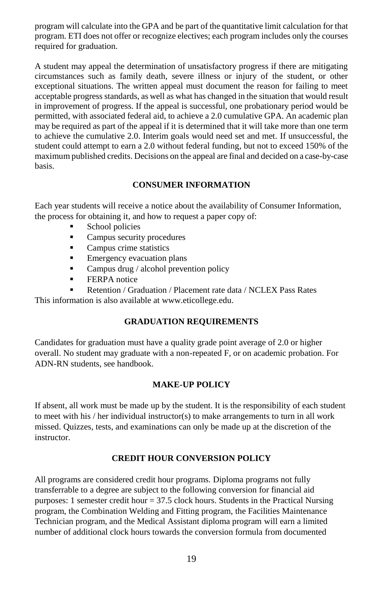program will calculate into the GPA and be part of the quantitative limit calculation for that program. ETI does not offer or recognize electives; each program includes only the courses required for graduation.

A student may appeal the determination of unsatisfactory progress if there are mitigating circumstances such as family death, severe illness or injury of the student, or other exceptional situations. The written appeal must document the reason for failing to meet acceptable progress standards, as well as what has changed in the situation that would result in improvement of progress. If the appeal is successful, one probationary period would be permitted, with associated federal aid, to achieve a 2.0 cumulative GPA. An academic plan may be required as part of the appeal if it is determined that it will take more than one term to achieve the cumulative 2.0. Interim goals would need set and met. If unsuccessful, the student could attempt to earn a 2.0 without federal funding, but not to exceed 150% of the maximum published credits. Decisions on the appeal are final and decided on a case-by-case basis.

# **CONSUMER INFORMATION**

Each year students will receive a notice about the availability of Consumer Information, the process for obtaining it, and how to request a paper copy of:

- School policies
- Campus security procedures
- Campus crime statistics
- **Emergency evacuation plans**
- Campus drug / alcohol prevention policy
- **EXPA** notice
- Retention / Graduation / Placement rate data / NCLEX Pass Rates

This information is also available a[t www.eticollege.edu.](http://www.eticollege.edu/)

### **GRADUATION REQUIREMENTS**

Candidates for graduation must have a quality grade point average of 2.0 or higher overall. No student may graduate with a non-repeated F, or on academic probation. For ADN-RN students, see handbook.

#### **MAKE-UP POLICY**

If absent, all work must be made up by the student. It is the responsibility of each student to meet with his / her individual instructor(s) to make arrangements to turn in all work missed. Quizzes, tests, and examinations can only be made up at the discretion of the instructor.

#### **CREDIT HOUR CONVERSION POLICY**

All programs are considered credit hour programs. Diploma programs not fully transferrable to a degree are subject to the following conversion for financial aid purposes: 1 semester credit hour  $= 37.5$  clock hours. Students in the Practical Nursing program, the Combination Welding and Fitting program, the Facilities Maintenance Technician program, and the Medical Assistant diploma program will earn a limited number of additional clock hours towards the conversion formula from documented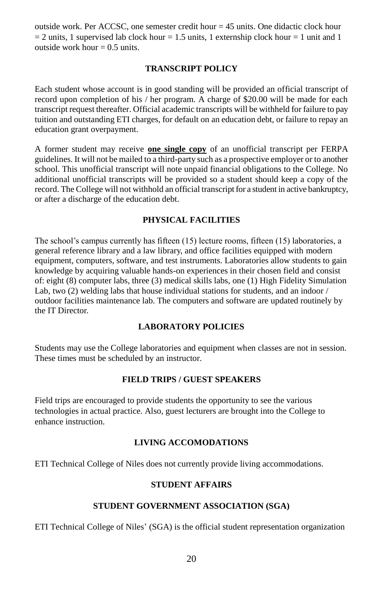outside work. Per ACCSC, one semester credit hour  $= 45$  units. One didactic clock hour  $= 2$  units, 1 supervised lab clock hour  $= 1.5$  units, 1 externship clock hour  $= 1$  unit and 1 outside work hour  $= 0.5$  units.

### **TRANSCRIPT POLICY**

Each student whose account is in good standing will be provided an official transcript of record upon completion of his / her program. A charge of \$20.00 will be made for each transcript request thereafter. Official academic transcripts will be withheld for failure to pay tuition and outstanding ETI charges, for default on an education debt, or failure to repay an education grant overpayment.

A former student may receive **one single copy** of an unofficial transcript per FERPA guidelines. It will not be mailed to a third-party such as a prospective employer or to another school. This unofficial transcript will note unpaid financial obligations to the College. No additional unofficial transcripts will be provided so a student should keep a copy of the record. The College will not withhold an official transcript for a student in active bankruptcy, or after a discharge of the education debt.

### **PHYSICAL FACILITIES**

The school's campus currently has fifteen (15) lecture rooms, fifteen (15) laboratories, a general reference library and a law library, and office facilities equipped with modern equipment, computers, software, and test instruments. Laboratories allow students to gain knowledge by acquiring valuable hands-on experiences in their chosen field and consist of: eight (8) computer labs, three (3) medical skills labs, one (1) High Fidelity Simulation Lab, two (2) welding labs that house individual stations for students, and an indoor / outdoor facilities maintenance lab. The computers and software are updated routinely by the IT Director.

#### **LABORATORY POLICIES**

Students may use the College laboratories and equipment when classes are not in session. These times must be scheduled by an instructor.

### **FIELD TRIPS / GUEST SPEAKERS**

Field trips are encouraged to provide students the opportunity to see the various technologies in actual practice. Also, guest lecturers are brought into the College to enhance instruction.

### **LIVING ACCOMODATIONS**

ETI Technical College of Niles does not currently provide living accommodations.

### **STUDENT AFFAIRS**

### **STUDENT GOVERNMENT ASSOCIATION (SGA)**

ETI Technical College of Niles' (SGA) is the official student representation organization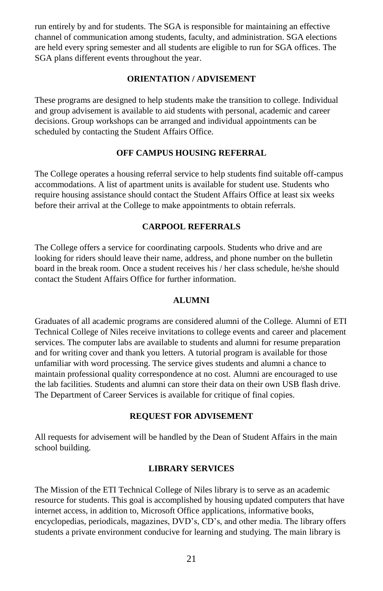run entirely by and for students. The SGA is responsible for maintaining an effective channel of communication among students, faculty, and administration. SGA elections are held every spring semester and all students are eligible to run for SGA offices. The SGA plans different events throughout the year.

#### **ORIENTATION / ADVISEMENT**

These programs are designed to help students make the transition to college. Individual and group advisement is available to aid students with personal, academic and career decisions. Group workshops can be arranged and individual appointments can be scheduled by contacting the Student Affairs Office.

### **OFF CAMPUS HOUSING REFERRAL**

The College operates a housing referral service to help students find suitable off-campus accommodations. A list of apartment units is available for student use. Students who require housing assistance should contact the Student Affairs Office at least six weeks before their arrival at the College to make appointments to obtain referrals.

### **CARPOOL REFERRALS**

The College offers a service for coordinating carpools. Students who drive and are looking for riders should leave their name, address, and phone number on the bulletin board in the break room. Once a student receives his / her class schedule, he/she should contact the Student Affairs Office for further information.

#### **ALUMNI**

Graduates of all academic programs are considered alumni of the College. Alumni of ETI Technical College of Niles receive invitations to college events and career and placement services. The computer labs are available to students and alumni for resume preparation and for writing cover and thank you letters. A tutorial program is available for those unfamiliar with word processing. The service gives students and alumni a chance to maintain professional quality correspondence at no cost. Alumni are encouraged to use the lab facilities. Students and alumni can store their data on their own USB flash drive. The Department of Career Services is available for critique of final copies.

#### **REQUEST FOR ADVISEMENT**

All requests for advisement will be handled by the Dean of Student Affairs in the main school building.

### **LIBRARY SERVICES**

The Mission of the ETI Technical College of Niles library is to serve as an academic resource for students. This goal is accomplished by housing updated computers that have internet access, in addition to, Microsoft Office applications, informative books, encyclopedias, periodicals, magazines, DVD's, CD's, and other media. The library offers students a private environment conducive for learning and studying. The main library is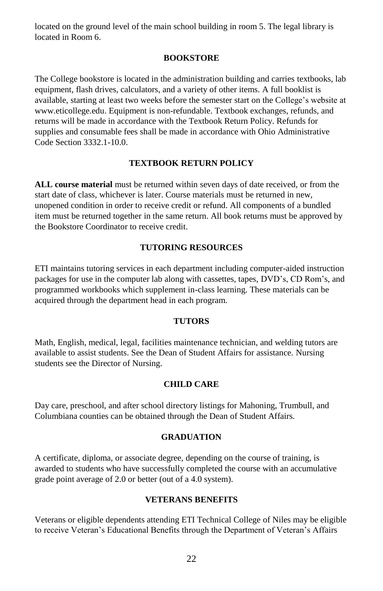located on the ground level of the main school building in room 5. The legal library is located in Room 6.

#### **BOOKSTORE**

The College bookstore is located in the administration building and carries textbooks, lab equipment, flash drives, calculators, and a variety of other items. A full booklist is available, starting at least two weeks before the semester start on the College's website at [www.eticollege.edu.](http://www.eticollege.edu/) Equipment is non-refundable. Textbook exchanges, refunds, and returns will be made in accordance with the Textbook Return Policy. Refunds for supplies and consumable fees shall be made in accordance with Ohio Administrative Code Section 3332.1-10.0.

### **TEXTBOOK RETURN POLICY**

**ALL course material** must be returned within seven days of date received, or from the start date of class, whichever is later. Course materials must be returned in new, unopened condition in order to receive credit or refund. All components of a bundled item must be returned together in the same return. All book returns must be approved by the Bookstore Coordinator to receive credit.

### **TUTORING RESOURCES**

ETI maintains tutoring services in each department including computer-aided instruction packages for use in the computer lab along with cassettes, tapes, DVD's, CD Rom's, and programmed workbooks which supplement in-class learning. These materials can be acquired through the department head in each program.

### **TUTORS**

Math, English, medical, legal, facilities maintenance technician, and welding tutors are available to assist students. See the Dean of Student Affairs for assistance. Nursing students see the Director of Nursing.

#### **CHILD CARE**

Day care, preschool, and after school directory listings for Mahoning, Trumbull, and Columbiana counties can be obtained through the Dean of Student Affairs.

### **GRADUATION**

A certificate, diploma, or associate degree, depending on the course of training, is awarded to students who have successfully completed the course with an accumulative grade point average of 2.0 or better (out of a 4.0 system).

#### **VETERANS BENEFITS**

Veterans or eligible dependents attending ETI Technical College of Niles may be eligible to receive Veteran's Educational Benefits through the Department of Veteran's Affairs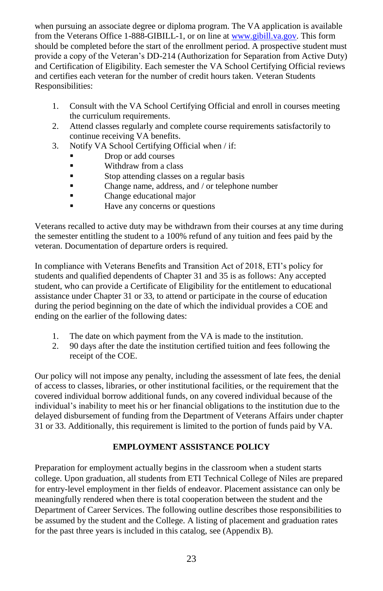when pursuing an associate degree or diploma program. The VA application is available from the Veterans Office 1-888-GIBILL-1, or on line a[t www.gibill.va.gov.](http://www.gibill.va.gov/) This form should be completed before the start of the enrollment period. A prospective student must provide a copy of the Veteran's DD-214 (Authorization for Separation from Active Duty) and Certification of Eligibility. Each semester the VA School Certifying Official reviews and certifies each veteran for the number of credit hours taken. Veteran Students Responsibilities:

- 1. Consult with the VA School Certifying Official and enroll in courses meeting the curriculum requirements.
- 2. Attend classes regularly and complete course requirements satisfactorily to continue receiving VA benefits.
- 3. Notify VA School Certifying Official when / if:
	- Drop or add courses
	- Withdraw from a class
	- Stop attending classes on a regular basis
	- Change name, address, and / or telephone number
	- **Change educational major**
	- **Exercise Exercise Have any concerns or questions**

Veterans recalled to active duty may be withdrawn from their courses at any time during the semester entitling the student to a 100% refund of any tuition and fees paid by the veteran. Documentation of departure orders is required.

In compliance with Veterans Benefits and Transition Act of 2018, ETI's policy for students and qualified dependents of Chapter 31 and 35 is as follows: Any accepted student, who can provide a Certificate of Eligibility for the entitlement to educational assistance under Chapter 31 or 33, to attend or participate in the course of education during the period beginning on the date of which the individual provides a COE and ending on the earlier of the following dates:

- 1. The date on which payment from the VA is made to the institution.
- 2. 90 days after the date the institution certified tuition and fees following the receipt of the COE.

Our policy will not impose any penalty, including the assessment of late fees, the denial of access to classes, libraries, or other institutional facilities, or the requirement that the covered individual borrow additional funds, on any covered individual because of the individual's inability to meet his or her financial obligations to the institution due to the delayed disbursement of funding from the Department of Veterans Affairs under chapter 31 or 33. Additionally, this requirement is limited to the portion of funds paid by VA.

# **EMPLOYMENT ASSISTANCE POLICY**

Preparation for employment actually begins in the classroom when a student starts college. Upon graduation, all students from ETI Technical College of Niles are prepared for entry-level employment in ther fields of endeavor. Placement assistance can only be meaningfully rendered when there is total cooperation between the student and the Department of Career Services. The following outline describes those responsibilities to be assumed by the student and the College. A listing of placement and graduation rates for the past three years is included in this catalog, see (Appendix B).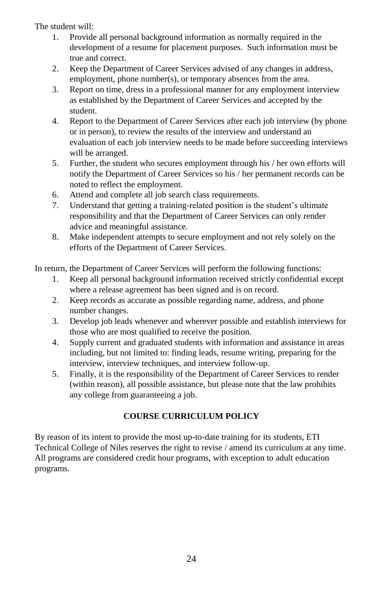The student will:

- 1. Provide all personal background information as normally required in the development of a resume for placement purposes. Such information must be true and correct.
- 2. Keep the Department of Career Services advised of any changes in address, employment, phone number(s), or temporary absences from the area.
- 3. Report on time, dress in a professional manner for any employment interview as established by the Department of Career Services and accepted by the student.
- 4. Report to the Department of Career Services after each job interview (by phone or in person), to review the results of the interview and understand an evaluation of each job interview needs to be made before succeeding interviews will be arranged.
- 5. Further, the student who secures employment through his / her own efforts will notify the Department of Career Services so his / her permanent records can be noted to reflect the employment.
- 6. Attend and complete all job search class requirements.
- 7. Understand that getting a training-related position is the student's ultimate responsibility and that the Department of Career Services can only render advice and meaningful assistance.
- 8. Make independent attempts to secure employment and not rely solely on the efforts of the Department of Career Services.

In return, the Department of Career Services will perform the following functions:

- 1. Keep all personal background information received strictly confidential except where a release agreement has been signed and is on record.
- 2. Keep records as accurate as possible regarding name, address, and phone number changes.
- 3. Develop job leads whenever and wherever possible and establish interviews for those who are most qualified to receive the position.
- 4. Supply current and graduated students with information and assistance in areas including, but not limited to: finding leads, resume writing, preparing for the interview, interview techniques, and interview follow-up.
- 5. Finally, it is the responsibility of the Department of Career Services to render (within reason), all possible assistance, but please note that the law prohibits any college from guaranteeing a job.

# **COURSE CURRICULUM POLICY**

By reason of its intent to provide the most up-to-date training for its students, ETI Technical College of Niles reserves the right to revise / amend its curriculum at any time. All programs are considered credit hour programs, with exception to adult education programs.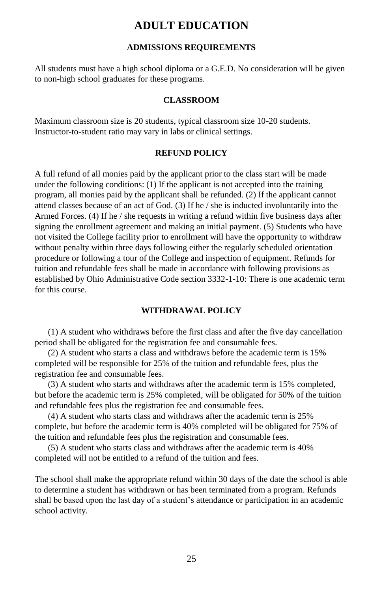# **ADULT EDUCATION**

#### **ADMISSIONS REQUIREMENTS**

All students must have a high school diploma or a G.E.D. No consideration will be given to non-high school graduates for these programs.

### **CLASSROOM**

Maximum classroom size is 20 students, typical classroom size 10-20 students. Instructor-to-student ratio may vary in labs or clinical settings.

#### **REFUND POLICY**

A full refund of all monies paid by the applicant prior to the class start will be made under the following conditions: (1) If the applicant is not accepted into the training program, all monies paid by the applicant shall be refunded. (2) If the applicant cannot attend classes because of an act of God. (3) If he / she is inducted involuntarily into the Armed Forces. (4) If he / she requests in writing a refund within five business days after signing the enrollment agreement and making an initial payment. (5) Students who have not visited the College facility prior to enrollment will have the opportunity to withdraw without penalty within three days following either the regularly scheduled orientation procedure or following a tour of the College and inspection of equipment. Refunds for tuition and refundable fees shall be made in accordance with following provisions as established by Ohio Administrative Code section 3332-1-10: There is one academic term for this course.

### **WITHDRAWAL POLICY**

(1) A student who withdraws before the first class and after the five day cancellation period shall be obligated for the registration fee and consumable fees.

(2) A student who starts a class and withdraws before the academic term is 15% completed will be responsible for 25% of the tuition and refundable fees, plus the registration fee and consumable fees.

(3) A student who starts and withdraws after the academic term is 15% completed, but before the academic term is 25% completed, will be obligated for 50% of the tuition and refundable fees plus the registration fee and consumable fees.

(4) A student who starts class and withdraws after the academic term is 25% complete, but before the academic term is 40% completed will be obligated for 75% of the tuition and refundable fees plus the registration and consumable fees.

(5) A student who starts class and withdraws after the academic term is 40% completed will not be entitled to a refund of the tuition and fees.

The school shall make the appropriate refund within 30 days of the date the school is able to determine a student has withdrawn or has been terminated from a program. Refunds shall be based upon the last day of a student's attendance or participation in an academic school activity.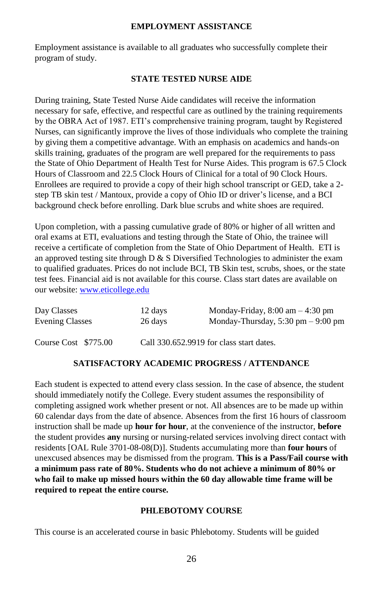#### **EMPLOYMENT ASSISTANCE**

Employment assistance is available to all graduates who successfully complete their program of study.

### **STATE TESTED NURSE AIDE**

During training, State Tested Nurse Aide candidates will receive the information necessary for safe, effective, and respectful care as outlined by the training requirements by the OBRA Act of 1987. ETI's comprehensive training program, taught by Registered Nurses, can significantly improve the lives of those individuals who complete the training by giving them a competitive advantage. With an emphasis on academics and hands-on skills training, graduates of the program are well prepared for the requirements to pass the State of Ohio Department of Health Test for Nurse Aides. This program is 67.5 Clock Hours of Classroom and 22.5 Clock Hours of Clinical for a total of 90 Clock Hours. Enrollees are required to provide a copy of their high school transcript or GED, take a 2 step TB skin test / Mantoux, provide a copy of Ohio ID or driver's license, and a BCI background check before enrolling. Dark blue scrubs and white shoes are required.

Upon completion, with a passing cumulative grade of 80% or higher of all written and oral exams at ETI, evaluations and testing through the State of Ohio, the trainee will receive a certificate of completion from the State of Ohio Department of Health. ETI is an approved testing site through  $D \& S$  Diversified Technologies to administer the exam to qualified graduates. Prices do not include BCI, TB Skin test, scrubs, shoes, or the state test fees. Financial aid is not available for this course. Class start dates are available on our website[: www.eticollege.edu](http://www.eticollege.edu/)

| Day Classes            | 12 days | Monday-Friday, $8:00 \text{ am} - 4:30 \text{ pm}$   |
|------------------------|---------|------------------------------------------------------|
| <b>Evening Classes</b> | 26 days | Monday-Thursday, $5:30 \text{ pm} - 9:00 \text{ pm}$ |
| Course Cost \$775.00   |         | Call 330.652.9919 for class start dates.             |

#### **SATISFACTORY ACADEMIC PROGRESS / ATTENDANCE**

Each student is expected to attend every class session. In the case of absence, the student should immediately notify the College. Every student assumes the responsibility of completing assigned work whether present or not. All absences are to be made up within 60 calendar days from the date of absence. Absences from the first 16 hours of classroom instruction shall be made up **hour for hour**, at the convenience of the instructor, **before** the student provides **any** nursing or nursing-related services involving direct contact with residents [OAL Rule 3701-08-08(D)]. Students accumulating more than **four hours** of unexcused absences may be dismissed from the program. **This is a Pass/Fail course with a minimum pass rate of 80%. Students who do not achieve a minimum of 80% or who fail to make up missed hours within the 60 day allowable time frame will be required to repeat the entire course.**

#### **PHLEBOTOMY COURSE**

This course is an accelerated course in basic Phlebotomy. Students will be guided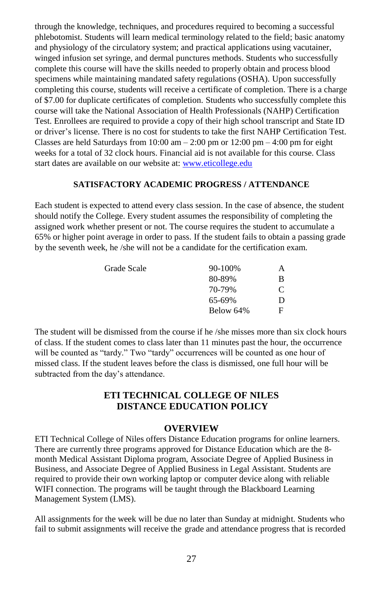through the knowledge, techniques, and procedures required to becoming a successful phlebotomist. Students will learn medical terminology related to the field; basic anatomy and physiology of the circulatory system; and practical applications using vacutainer, winged infusion set syringe, and dermal punctures methods. Students who successfully complete this course will have the skills needed to properly obtain and process blood specimens while maintaining mandated safety regulations (OSHA). Upon successfully completing this course, students will receive a certificate of completion. There is a charge of \$7.00 for duplicate certificates of completion. Students who successfully complete this course will take the National Association of Health Professionals (NAHP) Certification Test. Enrollees are required to provide a copy of their high school transcript and State ID or driver's license. There is no cost for students to take the first NAHP Certification Test. Classes are held Saturdays from  $10:00$  am  $- 2:00$  pm or  $12:00$  pm  $- 4:00$  pm for eight weeks for a total of 32 clock hours. Financial aid is not available for this course. Class start dates are available on our website at: [www.eticollege.edu](http://www.eticollege.edu/)

### **SATISFACTORY ACADEMIC PROGRESS / ATTENDANCE**

Each student is expected to attend every class session. In the case of absence, the student should notify the College. Every student assumes the responsibility of completing the assigned work whether present or not. The course requires the student to accumulate a 65% or higher point average in order to pass. If the student fails to obtain a passing grade by the seventh week, he /she will not be a candidate for the certification exam.

| Grade Scale | 90-100%   | Α |
|-------------|-----------|---|
|             | 80-89%    | В |
|             | 70-79%    | C |
|             | 65-69%    | D |
|             | Below 64% | F |
|             |           |   |

The student will be dismissed from the course if he /she misses more than six clock hours of class. If the student comes to class later than 11 minutes past the hour, the occurrence will be counted as "tardy." Two "tardy" occurrences will be counted as one hour of missed class. If the student leaves before the class is dismissed, one full hour will be subtracted from the day's attendance.

# **ETI TECHNICAL COLLEGE OF NILES DISTANCE EDUCATION POLICY**

#### **OVERVIEW**

ETI Technical College of Niles offers Distance Education programs for online learners. There are currently three programs approved for Distance Education which are the 8 month Medical Assistant Diploma program, Associate Degree of Applied Business in Business, and Associate Degree of Applied Business in Legal Assistant. Students are required to provide their own working laptop or computer device along with reliable WIFI connection. The programs will be taught through the Blackboard Learning Management System (LMS).

All assignments for the week will be due no later than Sunday at midnight. Students who fail to submit assignments will receive the grade and attendance progress that is recorded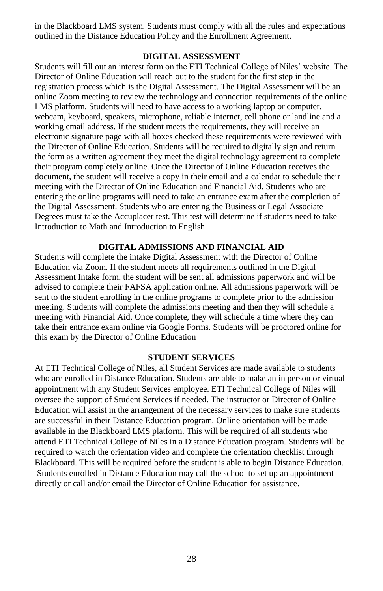in the Blackboard LMS system. Students must comply with all the rules and expectations outlined in the Distance Education Policy and the Enrollment Agreement.

#### **DIGITAL ASSESSMENT**

Students will fill out an interest form on the ETI Technical College of Niles' website. The Director of Online Education will reach out to the student for the first step in the registration process which is the Digital Assessment. The Digital Assessment will be an online Zoom meeting to review the technology and connection requirements of the online LMS platform. Students will need to have access to a working laptop or computer, webcam, keyboard, speakers, microphone, reliable internet, cell phone or landline and a working email address. If the student meets the requirements, they will receive an electronic signature page with all boxes checked these requirements were reviewed with the Director of Online Education. Students will be required to digitally sign and return the form as a written agreement they meet the digital technology agreement to complete their program completely online. Once the Director of Online Education receives the document, the student will receive a copy in their email and a calendar to schedule their meeting with the Director of Online Education and Financial Aid. Students who are entering the online programs will need to take an entrance exam after the completion of the Digital Assessment. Students who are entering the Business or Legal Associate Degrees must take the Accuplacer test. This test will determine if students need to take Introduction to Math and Introduction to English.

### **DIGITAL ADMISSIONS AND FINANCIAL AID**

Students will complete the intake Digital Assessment with the Director of Online Education via Zoom. If the student meets all requirements outlined in the Digital Assessment Intake form, the student will be sent all admissions paperwork and will be advised to complete their FAFSA application online. All admissions paperwork will be sent to the student enrolling in the online programs to complete prior to the admission meeting. Students will complete the admissions meeting and then they will schedule a meeting with Financial Aid. Once complete, they will schedule a time where they can take their entrance exam online via Google Forms. Students will be proctored online for this exam by the Director of Online Education

#### **STUDENT SERVICES**

At ETI Technical College of Niles, all Student Services are made available to students who are enrolled in Distance Education. Students are able to make an in person or virtual appointment with any Student Services employee. ETI Technical College of Niles will oversee the support of Student Services if needed. The instructor or Director of Online Education will assist in the arrangement of the necessary services to make sure students are successful in their Distance Education program. Online orientation will be made available in the Blackboard LMS platform. This will be required of all students who attend ETI Technical College of Niles in a Distance Education program. Students will be required to watch the orientation video and complete the orientation checklist through Blackboard. This will be required before the student is able to begin Distance Education. Students enrolled in Distance Education may call the school to set up an appointment directly or call and/or email the Director of Online Education for assistance.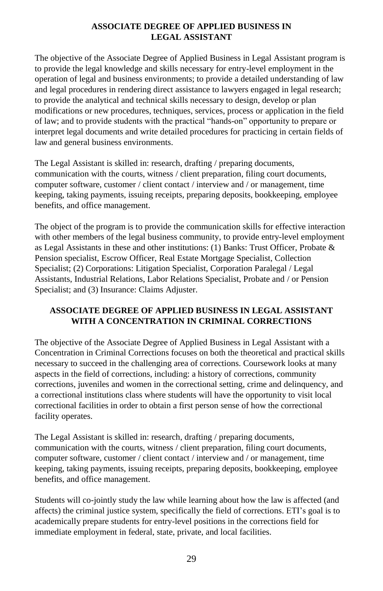### **ASSOCIATE DEGREE OF APPLIED BUSINESS IN LEGAL ASSISTANT**

The objective of the Associate Degree of Applied Business in Legal Assistant program is to provide the legal knowledge and skills necessary for entry-level employment in the operation of legal and business environments; to provide a detailed understanding of law and legal procedures in rendering direct assistance to lawyers engaged in legal research; to provide the analytical and technical skills necessary to design, develop or plan modifications or new procedures, techniques, services, process or application in the field of law; and to provide students with the practical "hands-on" opportunity to prepare or interpret legal documents and write detailed procedures for practicing in certain fields of law and general business environments.

The Legal Assistant is skilled in: research, drafting / preparing documents, communication with the courts, witness / client preparation, filing court documents, computer software, customer / client contact / interview and / or management, time keeping, taking payments, issuing receipts, preparing deposits, bookkeeping, employee benefits, and office management.

The object of the program is to provide the communication skills for effective interaction with other members of the legal business community, to provide entry-level employment as Legal Assistants in these and other institutions: (1) Banks: Trust Officer, Probate  $\&$ Pension specialist, Escrow Officer, Real Estate Mortgage Specialist, Collection Specialist; (2) Corporations: Litigation Specialist, Corporation Paralegal / Legal Assistants, Industrial Relations, Labor Relations Specialist, Probate and / or Pension Specialist; and (3) Insurance: Claims Adjuster.

### **ASSOCIATE DEGREE OF APPLIED BUSINESS IN LEGAL ASSISTANT WITH A CONCENTRATION IN CRIMINAL CORRECTIONS**

The objective of the Associate Degree of Applied Business in Legal Assistant with a Concentration in Criminal Corrections focuses on both the theoretical and practical skills necessary to succeed in the challenging area of corrections. Coursework looks at many aspects in the field of corrections, including: a history of corrections, community corrections, juveniles and women in the correctional setting, crime and delinquency, and a correctional institutions class where students will have the opportunity to visit local correctional facilities in order to obtain a first person sense of how the correctional facility operates.

The Legal Assistant is skilled in: research, drafting / preparing documents, communication with the courts, witness / client preparation, filing court documents, computer software, customer / client contact / interview and / or management, time keeping, taking payments, issuing receipts, preparing deposits, bookkeeping, employee benefits, and office management.

Students will co-jointly study the law while learning about how the law is affected (and affects) the criminal justice system, specifically the field of corrections. ETI's goal is to academically prepare students for entry-level positions in the corrections field for immediate employment in federal, state, private, and local facilities.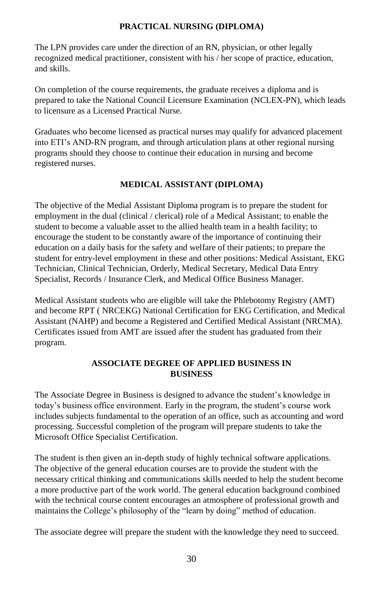### **PRACTICAL NURSING (DIPLOMA)**

The LPN provides care under the direction of an RN, physician, or other legally recognized medical practitioner, consistent with his / her scope of practice, education, and skills.

On completion of the course requirements, the graduate receives a diploma and is prepared to take the National Council Licensure Examination (NCLEX-PN), which leads to licensure as a Licensed Practical Nurse.

Graduates who become licensed as practical nurses may qualify for advanced placement into ETI's AND-RN program, and through articulation plans at other regional nursing programs should they choose to continue their education in nursing and become registered nurses.

### **MEDICAL ASSISTANT (DIPLOMA)**

The objective of the Medial Assistant Diploma program is to prepare the student for employment in the dual (clinical / clerical) role of a Medical Assistant; to enable the student to become a valuable asset to the allied health team in a health facility; to encourage the student to be constantly aware of the importance of continuing their education on a daily basis for the safety and welfare of their patients; to prepare the student for entry-level employment in these and other positions: Medical Assistant, EKG Technician, Clinical Technician, Orderly, Medical Secretary, Medical Data Entry Specialist, Records / Insurance Clerk, and Medical Office Business Manager.

Medical Assistant students who are eligible will take the Phlebotomy Registry (AMT) and become RPT ( NRCEKG) National Certification for EKG Certification, and Medical Assistant (NAHP) and become a Registered and Certified Medical Assistant (NRCMA). Certificates issued from AMT are issued after the student has graduated from their program.

### **ASSOCIATE DEGREE OF APPLIED BUSINESS IN BUSINESS**

The Associate Degree in Business is designed to advance the student's knowledge in today's business office environment. Early in the program, the student's course work includes subjects fundamental to the operation of an office, such as accounting and word processing. Successful completion of the program will prepare students to take the Microsoft Office Specialist Certification.

The student is then given an in-depth study of highly technical software applications. The objective of the general education courses are to provide the student with the necessary critical thinking and communications skills needed to help the student become a more productive part of the work world. The general education background combined with the technical course content encourages an atmosphere of professional growth and maintains the College's philosophy of the "learn by doing" method of education.

The associate degree will prepare the student with the knowledge they need to succeed.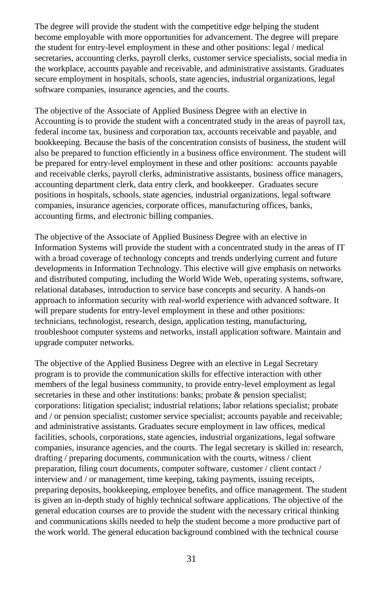The degree will provide the student with the competitive edge helping the student become employable with more opportunities for advancement. The degree will prepare the student for entry-level employment in these and other positions: legal / medical secretaries, accounting clerks, payroll clerks, customer service specialists, social media in the workplace, accounts payable and receivable, and administrative assistants. Graduates secure employment in hospitals, schools, state agencies, industrial organizations, legal software companies, insurance agencies, and the courts.

The objective of the Associate of Applied Business Degree with an elective in Accounting is to provide the student with a concentrated study in the areas of payroll tax, federal income tax, business and corporation tax, accounts receivable and payable, and bookkeeping. Because the basis of the concentration consists of business, the student will also be prepared to function efficiently in a business office environment. The student will be prepared for entry-level employment in these and other positions: accounts payable and receivable clerks, payroll clerks, administrative assistants, business office managers, accounting department clerk, data entry clerk, and bookkeeper. Graduates secure positions in hospitals, schools, state agencies, industrial organizations, legal software companies, insurance agencies, corporate offices, manufacturing offices, banks, accounting firms, and electronic billing companies.

The objective of the Associate of Applied Business Degree with an elective in Information Systems will provide the student with a concentrated study in the areas of IT with a broad coverage of technology concepts and trends underlying current and future developments in Information Technology. This elective will give emphasis on networks and distributed computing, including the World Wide Web, operating systems, software, relational databases, introduction to service base concepts and security. A hands-on approach to information security with real-world experience with advanced software. It will prepare students for entry-level employment in these and other positions: technicians, technologist, research, design, application testing, manufacturing, troubleshoot computer systems and networks, install application software. Maintain and upgrade computer networks.

The objective of the Applied Business Degree with an elective in Legal Secretary program is to provide the communication skills for effective interaction with other members of the legal business community, to provide entry-level employment as legal secretaries in these and other institutions: banks; probate & pension specialist; corporations: litigation specialist; industrial relations; labor relations specialist; probate and / or pension specialist; customer service specialist; accounts payable and receivable; and administrative assistants. Graduates secure employment in law offices, medical facilities, schools, corporations, state agencies, industrial organizations, legal software companies, insurance agencies, and the courts. The legal secretary is skilled in: research, drafting / preparing documents, communication with the courts, witness / client preparation, filing court documents, computer software, customer / client contact / interview and / or management, time keeping, taking payments, issuing receipts, preparing deposits, bookkeeping, employee benefits, and office management. The student is given an in-depth study of highly technical software applications. The objective of the general education courses are to provide the student with the necessary critical thinking and communications skills needed to help the student become a more productive part of the work world. The general education background combined with the technical course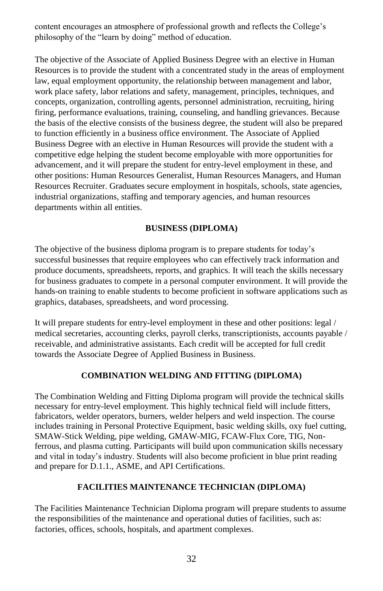content encourages an atmosphere of professional growth and reflects the College's philosophy of the "learn by doing" method of education.

The objective of the Associate of Applied Business Degree with an elective in Human Resources is to provide the student with a concentrated study in the areas of employment law, equal employment opportunity, the relationship between management and labor, work place safety, labor relations and safety, management, principles, techniques, and concepts, organization, controlling agents, personnel administration, recruiting, hiring firing, performance evaluations, training, counseling, and handling grievances. Because the basis of the elective consists of the business degree, the student will also be prepared to function efficiently in a business office environment. The Associate of Applied Business Degree with an elective in Human Resources will provide the student with a competitive edge helping the student become employable with more opportunities for advancement, and it will prepare the student for entry-level employment in these, and other positions: Human Resources Generalist, Human Resources Managers, and Human Resources Recruiter. Graduates secure employment in hospitals, schools, state agencies, industrial organizations, staffing and temporary agencies, and human resources departments within all entities.

# **BUSINESS (DIPLOMA)**

The objective of the business diploma program is to prepare students for today's successful businesses that require employees who can effectively track information and produce documents, spreadsheets, reports, and graphics. It will teach the skills necessary for business graduates to compete in a personal computer environment. It will provide the hands-on training to enable students to become proficient in software applications such as graphics, databases, spreadsheets, and word processing.

It will prepare students for entry-level employment in these and other positions: legal / medical secretaries, accounting clerks, payroll clerks, transcriptionists, accounts payable / receivable, and administrative assistants. Each credit will be accepted for full credit towards the Associate Degree of Applied Business in Business.

# **COMBINATION WELDING AND FITTING (DIPLOMA)**

The Combination Welding and Fitting Diploma program will provide the technical skills necessary for entry-level employment. This highly technical field will include fitters, fabricators, welder operators, burners, welder helpers and weld inspection. The course includes training in Personal Protective Equipment, basic welding skills, oxy fuel cutting, SMAW-Stick Welding, pipe welding, GMAW-MIG, FCAW-Flux Core, TIG, Nonferrous, and plasma cutting. Participants will build upon communication skills necessary and vital in today's industry. Students will also become proficient in blue print reading and prepare for D.1.1., ASME, and API Certifications.

# **FACILITIES MAINTENANCE TECHNICIAN (DIPLOMA)**

The Facilities Maintenance Technician Diploma program will prepare students to assume the responsibilities of the maintenance and operational duties of facilities, such as: factories, offices, schools, hospitals, and apartment complexes.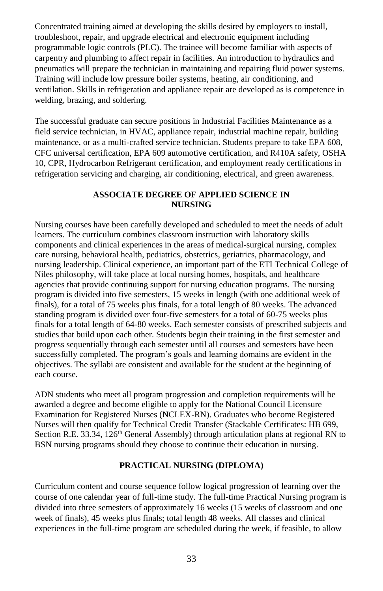Concentrated training aimed at developing the skills desired by employers to install, troubleshoot, repair, and upgrade electrical and electronic equipment including programmable logic controls (PLC). The trainee will become familiar with aspects of carpentry and plumbing to affect repair in facilities. An introduction to hydraulics and pneumatics will prepare the technician in maintaining and repairing fluid power systems. Training will include low pressure boiler systems, heating, air conditioning, and ventilation. Skills in refrigeration and appliance repair are developed as is competence in welding, brazing, and soldering.

The successful graduate can secure positions in Industrial Facilities Maintenance as a field service technician, in HVAC, appliance repair, industrial machine repair, building maintenance, or as a multi-crafted service technician. Students prepare to take EPA 608, CFC universal certification, EPA 609 automotive certification, and R410A safety, OSHA 10, CPR, Hydrocarbon Refrigerant certification, and employment ready certifications in refrigeration servicing and charging, air conditioning, electrical, and green awareness.

## **ASSOCIATE DEGREE OF APPLIED SCIENCE IN NURSING**

Nursing courses have been carefully developed and scheduled to meet the needs of adult learners. The curriculum combines classroom instruction with laboratory skills components and clinical experiences in the areas of medical-surgical nursing, complex care nursing, behavioral health, pediatrics, obstetrics, geriatrics, pharmacology, and nursing leadership. Clinical experience, an important part of the ETI Technical College of Niles philosophy, will take place at local nursing homes, hospitals, and healthcare agencies that provide continuing support for nursing education programs. The nursing program is divided into five semesters, 15 weeks in length (with one additional week of finals), for a total of 75 weeks plus finals, for a total length of 80 weeks. The advanced standing program is divided over four-five semesters for a total of 60-75 weeks plus finals for a total length of 64-80 weeks. Each semester consists of prescribed subjects and studies that build upon each other. Students begin their training in the first semester and progress sequentially through each semester until all courses and semesters have been successfully completed. The program's goals and learning domains are evident in the objectives. The syllabi are consistent and available for the student at the beginning of each course.

ADN students who meet all program progression and completion requirements will be awarded a degree and become eligible to apply for the National Council Licensure Examination for Registered Nurses (NCLEX-RN). Graduates who become Registered Nurses will then qualify for Technical Credit Transfer (Stackable Certificates: HB 699, Section R.E. 33.34, 126<sup>th</sup> General Assembly) through articulation plans at regional RN to BSN nursing programs should they choose to continue their education in nursing.

# **PRACTICAL NURSING (DIPLOMA)**

Curriculum content and course sequence follow logical progression of learning over the course of one calendar year of full-time study. The full-time Practical Nursing program is divided into three semesters of approximately 16 weeks (15 weeks of classroom and one week of finals), 45 weeks plus finals; total length 48 weeks. All classes and clinical experiences in the full-time program are scheduled during the week, if feasible, to allow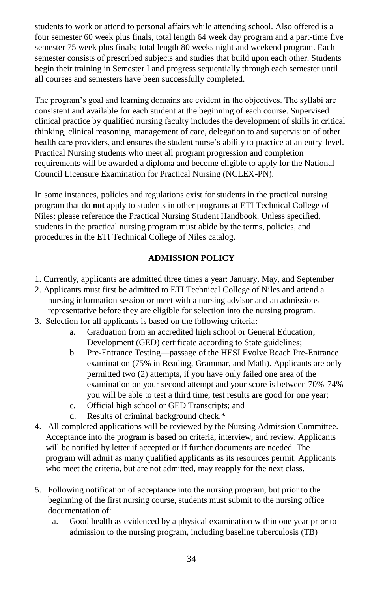students to work or attend to personal affairs while attending school. Also offered is a four semester 60 week plus finals, total length 64 week day program and a part-time five semester 75 week plus finals; total length 80 weeks night and weekend program. Each semester consists of prescribed subjects and studies that build upon each other. Students begin their training in Semester I and progress sequentially through each semester until all courses and semesters have been successfully completed.

The program's goal and learning domains are evident in the objectives. The syllabi are consistent and available for each student at the beginning of each course. Supervised clinical practice by qualified nursing faculty includes the development of skills in critical thinking, clinical reasoning, management of care, delegation to and supervision of other health care providers, and ensures the student nurse's ability to practice at an entry-level. Practical Nursing students who meet all program progression and completion requirements will be awarded a diploma and become eligible to apply for the National Council Licensure Examination for Practical Nursing (NCLEX-PN).

In some instances, policies and regulations exist for students in the practical nursing program that do **not** apply to students in other programs at ETI Technical College of Niles; please reference the Practical Nursing Student Handbook. Unless specified, students in the practical nursing program must abide by the terms, policies, and procedures in the ETI Technical College of Niles catalog.

# **ADMISSION POLICY**

- 1. Currently, applicants are admitted three times a year: January, May, and September
- 2. Applicants must first be admitted to ETI Technical College of Niles and attend a nursing information session or meet with a nursing advisor and an admissions representative before they are eligible for selection into the nursing program.
- 3. Selection for all applicants is based on the following criteria:
	- a. Graduation from an accredited high school or General Education; Development (GED) certificate according to State guidelines;
	- b. Pre-Entrance Testing—passage of the HESI Evolve Reach Pre-Entrance examination (75% in Reading, Grammar, and Math). Applicants are only permitted two (2) attempts, if you have only failed one area of the examination on your second attempt and your score is between 70%-74% you will be able to test a third time, test results are good for one year;
	- c. Official high school or GED Transcripts; and
	- d. Results of criminal background check.\*
- 4. All completed applications will be reviewed by the Nursing Admission Committee. Acceptance into the program is based on criteria, interview, and review. Applicants will be notified by letter if accepted or if further documents are needed. The program will admit as many qualified applicants as its resources permit. Applicants who meet the criteria, but are not admitted, may reapply for the next class.
- 5. Following notification of acceptance into the nursing program, but prior to the beginning of the first nursing course, students must submit to the nursing office documentation of:
	- a. Good health as evidenced by a physical examination within one year prior to admission to the nursing program, including baseline tuberculosis (TB)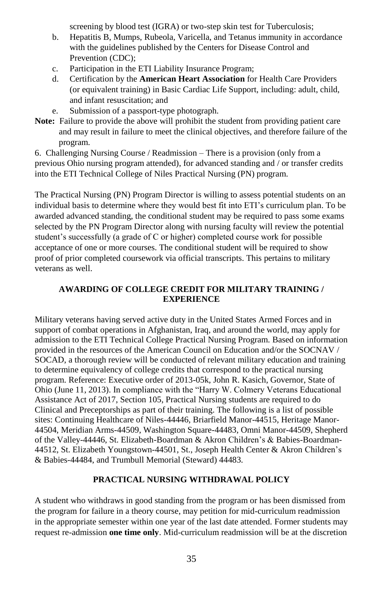screening by blood test (IGRA) or two-step skin test for Tuberculosis;

- b. Hepatitis B, Mumps, Rubeola, Varicella, and Tetanus immunity in accordance with the guidelines published by the Centers for Disease Control and Prevention (CDC);
- c. Participation in the ETI Liability Insurance Program;
- d. Certification by the **American Heart Association** for Health Care Providers (or equivalent training) in Basic Cardiac Life Support, including: adult, child, and infant resuscitation; and
- e. Submission of a passport-type photograph.
- **Note:** Failure to provide the above will prohibit the student from providing patient care and may result in failure to meet the clinical objectives, and therefore failure of the program.

6. Challenging Nursing Course / Readmission – There is a provision (only from a previous Ohio nursing program attended), for advanced standing and / or transfer credits into the ETI Technical College of Niles Practical Nursing (PN) program.

The Practical Nursing (PN) Program Director is willing to assess potential students on an individual basis to determine where they would best fit into ETI's curriculum plan. To be awarded advanced standing, the conditional student may be required to pass some exams selected by the PN Program Director along with nursing faculty will review the potential student's successfully (a grade of C or higher) completed course work for possible acceptance of one or more courses. The conditional student will be required to show proof of prior completed coursework via official transcripts. This pertains to military veterans as well.

# **AWARDING OF COLLEGE CREDIT FOR MILITARY TRAINING / EXPERIENCE**

Military veterans having served active duty in the United States Armed Forces and in support of combat operations in Afghanistan, Iraq, and around the world, may apply for admission to the ETI Technical College Practical Nursing Program. Based on information provided in the resources of the American Council on Education and/or the SOCNAV / SOCAD, a thorough review will be conducted of relevant military education and training to determine equivalency of college credits that correspond to the practical nursing program. Reference: Executive order of 2013-05k, John R. Kasich, Governor, State of Ohio (June 11, 2013). In compliance with the "Harry W. Colmery Veterans Educational Assistance Act of 2017, Section 105, Practical Nursing students are required to do Clinical and Preceptorships as part of their training. The following is a list of possible sites: Continuing Healthcare of Niles-44446, Briarfield Manor-44515, Heritage Manor-44504, Meridian Arms-44509, Washington Square-44483, Omni Manor-44509, Shepherd of the Valley-44446, St. Elizabeth-Boardman & Akron Children's & Babies-Boardman-44512, St. Elizabeth Youngstown-44501, St., Joseph Health Center & Akron Children's & Babies-44484, and Trumbull Memorial (Steward) 44483.

# **PRACTICAL NURSING WITHDRAWAL POLICY**

A student who withdraws in good standing from the program or has been dismissed from the program for failure in a theory course, may petition for mid-curriculum readmission in the appropriate semester within one year of the last date attended. Former students may request re-admission **one time only**. Mid-curriculum readmission will be at the discretion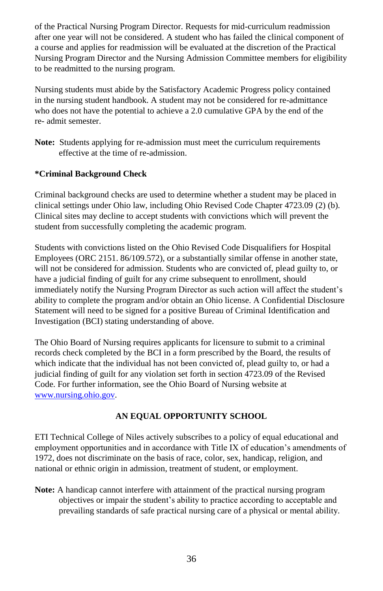of the Practical Nursing Program Director. Requests for mid-curriculum readmission after one year will not be considered. A student who has failed the clinical component of a course and applies for readmission will be evaluated at the discretion of the Practical Nursing Program Director and the Nursing Admission Committee members for eligibility to be readmitted to the nursing program.

Nursing students must abide by the Satisfactory Academic Progress policy contained in the nursing student handbook. A student may not be considered for re-admittance who does not have the potential to achieve a 2.0 cumulative GPA by the end of the re- admit semester.

**Note:** Students applying for re-admission must meet the curriculum requirements effective at the time of re-admission.

# **\*Criminal Background Check**

Criminal background checks are used to determine whether a student may be placed in clinical settings under Ohio law, including Ohio Revised Code Chapter 4723.09 (2) (b). Clinical sites may decline to accept students with convictions which will prevent the student from successfully completing the academic program.

Students with convictions listed on the Ohio Revised Code Disqualifiers for Hospital Employees (ORC 2151. 86/109.572), or a substantially similar offense in another state, will not be considered for admission. Students who are convicted of, plead guilty to, or have a judicial finding of guilt for any crime subsequent to enrollment, should immediately notify the Nursing Program Director as such action will affect the student's ability to complete the program and/or obtain an Ohio license. A Confidential Disclosure Statement will need to be signed for a positive Bureau of Criminal Identification and Investigation (BCI) stating understanding of above.

The Ohio Board of Nursing requires applicants for licensure to submit to a criminal records check completed by the BCI in a form prescribed by the Board, the results of which indicate that the individual has not been convicted of, plead guilty to, or had a judicial finding of guilt for any violation set forth in section 4723.09 of the Revised Code. For further information, see the Ohio Board of Nursing website at [www.nursing.ohio.gov.](http://www.nursing.ohio.gov/)

# **AN EQUAL OPPORTUNITY SCHOOL**

ETI Technical College of Niles actively subscribes to a policy of equal educational and employment opportunities and in accordance with Title IX of education's amendments of 1972, does not discriminate on the basis of race, color, sex, handicap, religion, and national or ethnic origin in admission, treatment of student, or employment.

**Note:** A handicap cannot interfere with attainment of the practical nursing program objectives or impair the student's ability to practice according to acceptable and prevailing standards of safe practical nursing care of a physical or mental ability.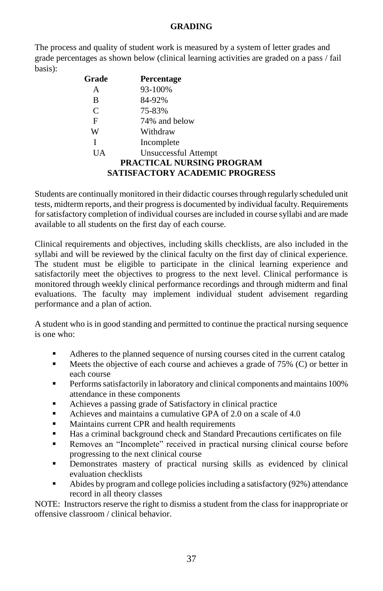# **GRADING**

The process and quality of student work is measured by a system of letter grades and grade percentages as shown below (clinical learning activities are graded on a pass / fail basis):

| Grade        | <b>Percentage</b>                                                         |
|--------------|---------------------------------------------------------------------------|
| А            | 93-100%                                                                   |
| в            | 84-92%                                                                    |
| $\mathsf{C}$ | 75-83%                                                                    |
| F            | 74% and below                                                             |
| W            | Withdraw                                                                  |
| I            | Incomplete                                                                |
| UA           | Unsuccessful Attempt                                                      |
|              | <b>PRACTICAL NURSING PROGRAM</b><br><b>SATISFACTORY ACADEMIC PROGRESS</b> |

Students are continually monitored in their didactic courses through regularly scheduled unit tests, midterm reports, and their progress is documented by individual faculty. Requirements for satisfactory completion of individual courses are included in course syllabi and are made available to all students on the first day of each course.

Clinical requirements and objectives, including skills checklists, are also included in the syllabi and will be reviewed by the clinical faculty on the first day of clinical experience. The student must be eligible to participate in the clinical learning experience and satisfactorily meet the objectives to progress to the next level. Clinical performance is monitored through weekly clinical performance recordings and through midterm and final evaluations. The faculty may implement individual student advisement regarding performance and a plan of action.

A student who is in good standing and permitted to continue the practical nursing sequence is one who:

- Adheres to the planned sequence of nursing courses cited in the current catalog
- $\blacksquare$  Meets the objective of each course and achieves a grade of 75% (C) or better in each course
- Performs satisfactorily in laboratory and clinical components and maintains 100% attendance in these components
- Achieves a passing grade of Satisfactory in clinical practice
- Achieves and maintains a cumulative GPA of 2.0 on a scale of 4.0
- Maintains current CPR and health requirements
- Has a criminal background check and Standard Precautions certificates on file
- Removes an "Incomplete" received in practical nursing clinical course before progressing to the next clinical course
- Demonstrates mastery of practical nursing skills as evidenced by clinical evaluation checklists
- Abides by program and college policies including a satisfactory (92%) attendance record in all theory classes

NOTE: Instructors reserve the right to dismiss a student from the class for inappropriate or offensive classroom / clinical behavior.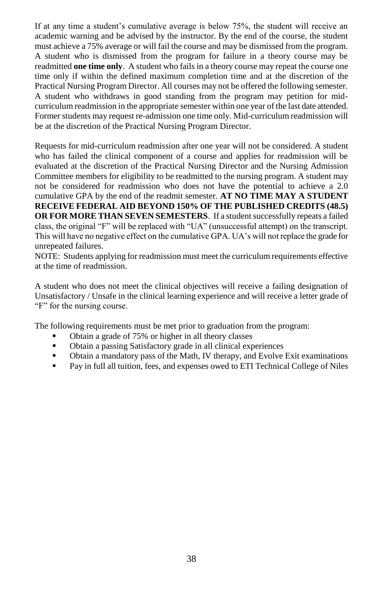If at any time a student's cumulative average is below 75%, the student will receive an academic warning and be advised by the instructor. By the end of the course, the student must achieve a 75% average or will fail the course and may be dismissed from the program. A student who is dismissed from the program for failure in a theory course may be readmitted **one time only**. A student who fails in a theory course may repeat the course one time only if within the defined maximum completion time and at the discretion of the Practical Nursing Program Director. All courses may not be offered the following semester. A student who withdraws in good standing from the program may petition for midcurriculum readmission in the appropriate semester within one year of the last date attended. Former students may request re-admission one time only. Mid-curriculum readmission will be at the discretion of the Practical Nursing Program Director.

Requests for mid-curriculum readmission after one year will not be considered. A student who has failed the clinical component of a course and applies for readmission will be evaluated at the discretion of the Practical Nursing Director and the Nursing Admission Committee members for eligibility to be readmitted to the nursing program. A student may not be considered for readmission who does not have the potential to achieve a 2.0 cumulative GPA by the end of the readmit semester. **AT NO TIME MAY A STUDENT RECEIVE FEDERAL AID BEYOND 150% OF THE PUBLISHED CREDITS (48.5) OR FOR MORE THAN SEVEN SEMESTERS**. If a student successfully repeats a failed class, the original "F" will be replaced with "UA" (unsuccessful attempt) on the transcript. This will have no negative effect on the cumulative GPA. UA's will not replace the grade for unrepeated failures.

NOTE: Students applying for readmission must meet the curriculum requirements effective at the time of readmission.

A student who does not meet the clinical objectives will receive a failing designation of Unsatisfactory / Unsafe in the clinical learning experience and will receive a letter grade of "F" for the nursing course.

The following requirements must be met prior to graduation from the program:

- Obtain a grade of 75% or higher in all theory classes
- Obtain a passing Satisfactory grade in all clinical experiences
- Obtain a mandatory pass of the Math, IV therapy, and Evolve Exit examinations
- Pay in full all tuition, fees, and expenses owed to ETI Technical College of Niles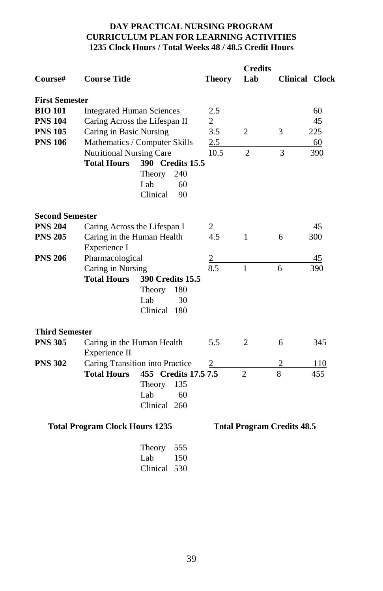# **DAY PRACTICAL NURSING PROGRAM CURRICULUM PLAN FOR LEARNING ACTIVITIES 1235 Clock Hours / Total Weeks 48 / 48.5 Credit Hours**

| <b>Course Title</b>    |                               | <b>Theory</b>                                                                                                                                                                                                                                                                                                                                             | Lab                                                                                                                                                       |                | <b>Clinical Clock</b>                               |
|------------------------|-------------------------------|-----------------------------------------------------------------------------------------------------------------------------------------------------------------------------------------------------------------------------------------------------------------------------------------------------------------------------------------------------------|-----------------------------------------------------------------------------------------------------------------------------------------------------------|----------------|-----------------------------------------------------|
| <b>First Semester</b>  |                               |                                                                                                                                                                                                                                                                                                                                                           |                                                                                                                                                           |                |                                                     |
|                        |                               | 2.5                                                                                                                                                                                                                                                                                                                                                       |                                                                                                                                                           |                | 60                                                  |
|                        |                               | 2                                                                                                                                                                                                                                                                                                                                                         |                                                                                                                                                           |                | 45                                                  |
|                        |                               | 3.5                                                                                                                                                                                                                                                                                                                                                       | 2                                                                                                                                                         | 3              | 225                                                 |
|                        |                               |                                                                                                                                                                                                                                                                                                                                                           |                                                                                                                                                           |                | 60                                                  |
|                        |                               | 10.5                                                                                                                                                                                                                                                                                                                                                      | $\overline{2}$                                                                                                                                            | 3              | 390                                                 |
|                        |                               |                                                                                                                                                                                                                                                                                                                                                           |                                                                                                                                                           |                |                                                     |
|                        | 240                           |                                                                                                                                                                                                                                                                                                                                                           |                                                                                                                                                           |                |                                                     |
|                        | Lab<br>60                     |                                                                                                                                                                                                                                                                                                                                                           |                                                                                                                                                           |                |                                                     |
|                        | Clinical<br>90                |                                                                                                                                                                                                                                                                                                                                                           |                                                                                                                                                           |                |                                                     |
| <b>Second Semester</b> |                               |                                                                                                                                                                                                                                                                                                                                                           |                                                                                                                                                           |                |                                                     |
|                        |                               | 2                                                                                                                                                                                                                                                                                                                                                         |                                                                                                                                                           |                | 45                                                  |
|                        |                               | 4.5                                                                                                                                                                                                                                                                                                                                                       | $\mathbf{1}$                                                                                                                                              | 6              | 300                                                 |
|                        |                               |                                                                                                                                                                                                                                                                                                                                                           |                                                                                                                                                           |                |                                                     |
|                        |                               |                                                                                                                                                                                                                                                                                                                                                           |                                                                                                                                                           |                | 45                                                  |
|                        |                               | 8.5                                                                                                                                                                                                                                                                                                                                                       | $\mathbf{1}$                                                                                                                                              | 6              | 390                                                 |
| <b>Total Hours</b>     |                               |                                                                                                                                                                                                                                                                                                                                                           |                                                                                                                                                           |                |                                                     |
|                        | 180                           |                                                                                                                                                                                                                                                                                                                                                           |                                                                                                                                                           |                |                                                     |
|                        | Lab<br>30                     |                                                                                                                                                                                                                                                                                                                                                           |                                                                                                                                                           |                |                                                     |
|                        | Clinical 180                  |                                                                                                                                                                                                                                                                                                                                                           |                                                                                                                                                           |                |                                                     |
| <b>Third Semester</b>  |                               |                                                                                                                                                                                                                                                                                                                                                           |                                                                                                                                                           |                |                                                     |
|                        |                               | 5.5                                                                                                                                                                                                                                                                                                                                                       | 2                                                                                                                                                         | 6              | 345                                                 |
|                        |                               |                                                                                                                                                                                                                                                                                                                                                           |                                                                                                                                                           |                |                                                     |
|                        |                               | $\overline{c}$                                                                                                                                                                                                                                                                                                                                            |                                                                                                                                                           | 2              | 110                                                 |
| <b>Total Hours</b>     |                               |                                                                                                                                                                                                                                                                                                                                                           | $\mathfrak{D}$                                                                                                                                            | $\overline{8}$ | 455                                                 |
|                        | 135                           |                                                                                                                                                                                                                                                                                                                                                           |                                                                                                                                                           |                |                                                     |
|                        | Lab<br>60                     |                                                                                                                                                                                                                                                                                                                                                           |                                                                                                                                                           |                |                                                     |
|                        | Clinical 260                  |                                                                                                                                                                                                                                                                                                                                                           |                                                                                                                                                           |                |                                                     |
|                        |                               |                                                                                                                                                                                                                                                                                                                                                           |                                                                                                                                                           |                |                                                     |
|                        | Experience I<br>Experience II | <b>Integrated Human Sciences</b><br>Caring Across the Lifespan II<br>Caring in Basic Nursing<br>Nutritional Nursing Care<br><b>Total Hours</b><br>Theory<br>Caring Across the Lifespan I<br>Caring in the Human Health<br>Pharmacological<br>Caring in Nursing<br>Theory<br>Caring in the Human Health<br>Theory<br><b>Total Program Clock Hours 1235</b> | Mathematics / Computer Skills<br>2.5<br>390 Credits 15.5<br>$\overline{2}$<br>390 Credits 15.5<br>Caring Transition into Practice<br>455 Credits 17.5 7.5 |                | <b>Credits</b><br><b>Total Program Credits 48.5</b> |

| Theory   | 555   |
|----------|-------|
| Lab      | 150   |
| Clinical | - 530 |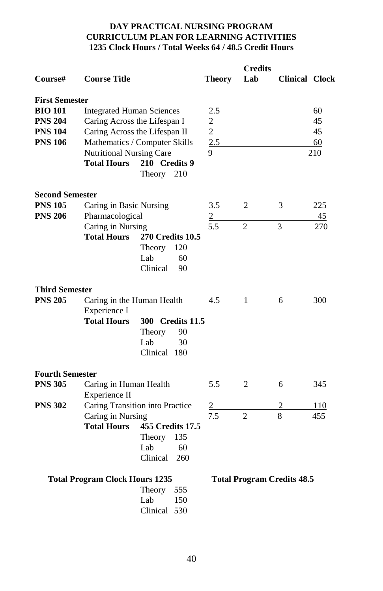# **DAY PRACTICAL NURSING PROGRAM CURRICULUM PLAN FOR LEARNING ACTIVITIES 1235 Clock Hours / Total Weeks 64 / 48.5 Credit Hours**

| Course#                | <b>Course Title</b>                   |                                 | <b>Theory</b> | <b>Credits</b><br>Lab | <b>Clinical Clock</b>             |     |
|------------------------|---------------------------------------|---------------------------------|---------------|-----------------------|-----------------------------------|-----|
| <b>First Semester</b>  |                                       |                                 |               |                       |                                   |     |
| <b>BIO 101</b>         | <b>Integrated Human Sciences</b>      |                                 | 2.5           |                       |                                   | 60  |
| <b>PNS 204</b>         |                                       | Caring Across the Lifespan I    | 2             |                       |                                   | 45  |
| <b>PNS 104</b>         |                                       | Caring Across the Lifespan II   | $\mathbf{2}$  |                       |                                   | 45  |
| <b>PNS 106</b>         |                                       | Mathematics / Computer Skills   | 2.5           |                       |                                   | 60  |
|                        | <b>Nutritional Nursing Care</b>       |                                 | 9             |                       |                                   | 210 |
|                        | <b>Total Hours</b>                    | 210 Credits 9<br>210<br>Theory  |               |                       |                                   |     |
| <b>Second Semester</b> |                                       |                                 |               |                       |                                   |     |
| <b>PNS 105</b>         | Caring in Basic Nursing               |                                 | 3.5           | 2                     | 3                                 | 225 |
| <b>PNS 206</b>         | Pharmacological                       |                                 | 2             |                       |                                   | 45  |
|                        | Caring in Nursing                     |                                 | 5.5           | $\overline{c}$        | 3                                 | 270 |
|                        | <b>Total Hours</b>                    | <b>270 Credits 10.5</b>         |               |                       |                                   |     |
|                        |                                       | Theory<br>120                   |               |                       |                                   |     |
|                        |                                       | 60<br>Lab                       |               |                       |                                   |     |
|                        |                                       | Clinical<br>90                  |               |                       |                                   |     |
| <b>Third Semester</b>  |                                       |                                 |               |                       |                                   |     |
| <b>PNS 205</b>         | Caring in the Human Health            |                                 | 4.5           | 1                     | 6                                 | 300 |
|                        | Experience I                          |                                 |               |                       |                                   |     |
|                        | <b>Total Hours</b>                    | 300 Credits 11.5                |               |                       |                                   |     |
|                        |                                       | Theory<br>90                    |               |                       |                                   |     |
|                        |                                       | Lab<br>30                       |               |                       |                                   |     |
|                        |                                       | Clinical 180                    |               |                       |                                   |     |
|                        |                                       |                                 |               |                       |                                   |     |
| <b>Fourth Semester</b> |                                       |                                 |               |                       |                                   |     |
| <b>PNS 305</b>         | Caring in Human Health                |                                 | 5.5           | $\overline{c}$        | 6                                 | 345 |
|                        | Experience II                         |                                 |               |                       |                                   |     |
| <b>PNS 302</b>         |                                       | Caring Transition into Practice | 2             |                       |                                   | 110 |
|                        | Caring in Nursing                     |                                 | 7.5           | $\overline{c}$        | 8                                 | 455 |
|                        | <b>Total Hours</b>                    | 455 Credits 17.5                |               |                       |                                   |     |
|                        |                                       | Theory<br>135                   |               |                       |                                   |     |
|                        |                                       | Lab<br>60                       |               |                       |                                   |     |
|                        |                                       | Clinical<br>260                 |               |                       |                                   |     |
|                        | <b>Total Program Clock Hours 1235</b> |                                 |               |                       | <b>Total Program Credits 48.5</b> |     |
|                        |                                       | Theory<br>555                   |               |                       |                                   |     |
|                        |                                       | Lab<br>150                      |               |                       |                                   |     |
|                        |                                       | Clinical 530                    |               |                       |                                   |     |
|                        |                                       |                                 |               |                       |                                   |     |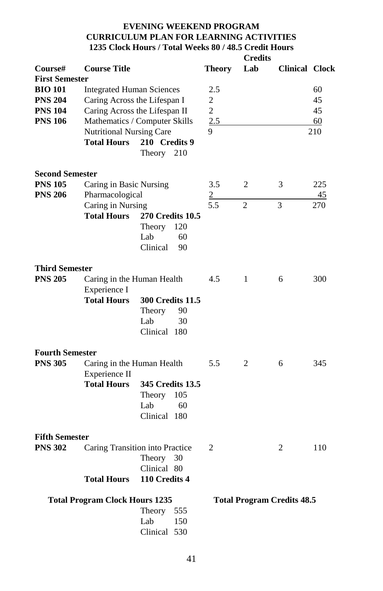# **EVENING WEEKEND PROGRAM CURRICULUM PLAN FOR LEARNING ACTIVITIES 1235 Clock Hours / Total Weeks 80 / 48.5 Credit Hours Credits**

| Course#                | <b>Course Title</b>                                            |                              |     | Theory              | Lab            | <b>Clinical Clock</b>             |     |
|------------------------|----------------------------------------------------------------|------------------------------|-----|---------------------|----------------|-----------------------------------|-----|
| <b>First Semester</b>  |                                                                |                              |     |                     |                |                                   |     |
| <b>BIO 101</b>         | <b>Integrated Human Sciences</b>                               |                              |     | 2.5                 |                |                                   | 60  |
| <b>PNS 204</b>         |                                                                | Caring Across the Lifespan I |     |                     |                |                                   | 45  |
| <b>PNS 104</b>         | Caring Across the Lifespan II<br>Mathematics / Computer Skills |                              |     | 2<br>$\overline{2}$ |                |                                   | 45  |
| <b>PNS 106</b>         |                                                                |                              |     | 2.5                 |                |                                   |     |
|                        |                                                                |                              |     |                     |                |                                   | 60  |
|                        | Nutritional Nursing Care                                       |                              |     | 9                   |                |                                   | 210 |
|                        | <b>Total Hours</b>                                             | 210 Credits 9                |     |                     |                |                                   |     |
|                        |                                                                | Theory                       | 210 |                     |                |                                   |     |
| <b>Second Semester</b> |                                                                |                              |     |                     |                |                                   |     |
| <b>PNS 105</b>         |                                                                |                              |     | 3.5                 | 2              |                                   | 225 |
|                        | Caring in Basic Nursing                                        |                              |     |                     |                | 3                                 |     |
| <b>PNS 206</b>         | Pharmacological                                                |                              |     | $\overline{2}$      |                |                                   | 45  |
|                        | Caring in Nursing                                              |                              |     | 5.5                 | $\overline{c}$ | 3                                 | 270 |
|                        | <b>Total Hours</b>                                             | <b>270 Credits 10.5</b>      |     |                     |                |                                   |     |
|                        |                                                                | Theory                       | 120 |                     |                |                                   |     |
|                        |                                                                | Lab                          | 60  |                     |                |                                   |     |
|                        |                                                                | Clinical                     | 90  |                     |                |                                   |     |
|                        |                                                                |                              |     |                     |                |                                   |     |
| <b>Third Semester</b>  |                                                                |                              |     |                     |                |                                   |     |
| <b>PNS 205</b>         | Caring in the Human Health<br>Experience I                     |                              | 4.5 | 1                   | 6              | 300                               |     |
|                        |                                                                |                              |     |                     |                |                                   |     |
|                        | <b>Total Hours</b>                                             | <b>300 Credits 11.5</b>      |     |                     |                |                                   |     |
|                        |                                                                | Theory                       | 90  |                     |                |                                   |     |
|                        |                                                                |                              |     |                     |                |                                   |     |
|                        |                                                                | Lab                          | 30  |                     |                |                                   |     |
|                        |                                                                | Clinical 180                 |     |                     |                |                                   |     |
| <b>Fourth Semester</b> |                                                                |                              |     |                     |                |                                   |     |
| <b>PNS 305</b>         | Caring in the Human Health                                     |                              |     | 5.5                 | 2              | 6                                 | 345 |
|                        | Experience II                                                  |                              |     |                     |                |                                   |     |
|                        | <b>Total Hours</b>                                             | 345 Credits 13.5             |     |                     |                |                                   |     |
|                        |                                                                |                              |     |                     |                |                                   |     |
|                        |                                                                | Theory                       | 105 |                     |                |                                   |     |
|                        |                                                                | Lab                          | 60  |                     |                |                                   |     |
|                        |                                                                | Clinical 180                 |     |                     |                |                                   |     |
| <b>Fifth Semester</b>  |                                                                |                              |     |                     |                |                                   |     |
| <b>PNS 302</b>         | Caring Transition into Practice                                |                              |     | 2                   |                | 2                                 | 110 |
|                        |                                                                |                              | 30  |                     |                |                                   |     |
|                        |                                                                | Theory                       |     |                     |                |                                   |     |
|                        |                                                                | Clinical 80                  |     |                     |                |                                   |     |
|                        | <b>Total Hours</b>                                             | 110 Credits 4                |     |                     |                |                                   |     |
|                        | <b>Total Program Clock Hours 1235</b>                          |                              |     |                     |                | <b>Total Program Credits 48.5</b> |     |
|                        |                                                                | Theory                       | 555 |                     |                |                                   |     |
|                        |                                                                | Lab                          | 150 |                     |                |                                   |     |
|                        |                                                                |                              |     |                     |                |                                   |     |
|                        |                                                                | Clinical 530                 |     |                     |                |                                   |     |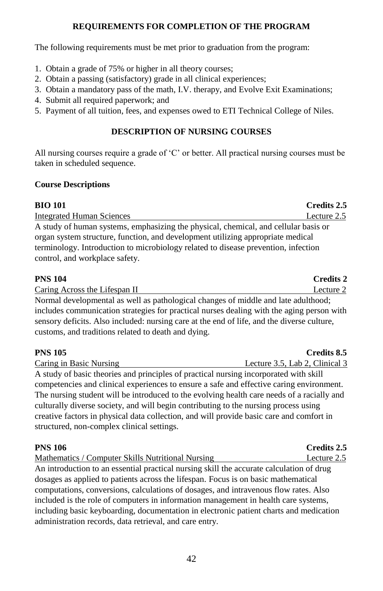# **REQUIREMENTS FOR COMPLETION OF THE PROGRAM**

The following requirements must be met prior to graduation from the program:

- 1. Obtain a grade of 75% or higher in all theory courses;
- 2. Obtain a passing (satisfactory) grade in all clinical experiences;
- 3. Obtain a mandatory pass of the math, I.V. therapy, and Evolve Exit Examinations;
- 4. Submit all required paperwork; and

structured, non-complex clinical settings.

5. Payment of all tuition, fees, and expenses owed to ETI Technical College of Niles.

# **DESCRIPTION OF NURSING COURSES**

All nursing courses require a grade of 'C' or better. All practical nursing courses must be taken in scheduled sequence.

# **Course Descriptions**

# **BIO 101 Credits 2.5** Integrated Human Sciences Lecture 2.5 A study of human systems, emphasizing the physical, chemical, and cellular basis or organ system structure, function, and development utilizing appropriate medical terminology. Introduction to microbiology related to disease prevention, infection control, and workplace safety.

| <b>PNS 104</b>                                                                             | <b>Credits 2</b> |
|--------------------------------------------------------------------------------------------|------------------|
| Caring Across the Lifespan II                                                              | Lecture 2        |
| Normal developmental as well as pathological changes of middle and late adulthood;         |                  |
| includes communication strategies for practical nurses dealing with the aging person with  |                  |
| sensory deficits. Also included: nursing care at the end of life, and the diverse culture, |                  |
| customs, and traditions related to death and dying.                                        |                  |

| <b>PNS 105</b>                                                                             | Credits 8.5                    |
|--------------------------------------------------------------------------------------------|--------------------------------|
| Caring in Basic Nursing                                                                    | Lecture 3.5, Lab 2, Clinical 3 |
| A study of basic theories and principles of practical nursing incorporated with skill      |                                |
| competencies and clinical experiences to ensure a safe and effective caring environment.   |                                |
| The nursing student will be introduced to the evolving health care needs of a racially and |                                |
| culturally diverse society, and will begin contributing to the nursing process using       |                                |
| creative factors in physical data collection, and will provide basic care and comfort in   |                                |

| <b>PNS 106</b>                                                                           | Credits 2.5 |
|------------------------------------------------------------------------------------------|-------------|
| Mathematics / Computer Skills Nutritional Nursing                                        | Lecture 2.5 |
| An introduction to an essential practical nursing skill the accurate calculation of drug |             |
| dosages as applied to patients across the lifespan. Focus is on basic mathematical       |             |
| computations, conversions, calculations of dosages, and intravenous flow rates. Also     |             |
| included is the role of computers in information management in health care systems,      |             |
| including basic keyboarding, documentation in electronic patient charts and medication   |             |
| administration records, data retrieval, and care entry.                                  |             |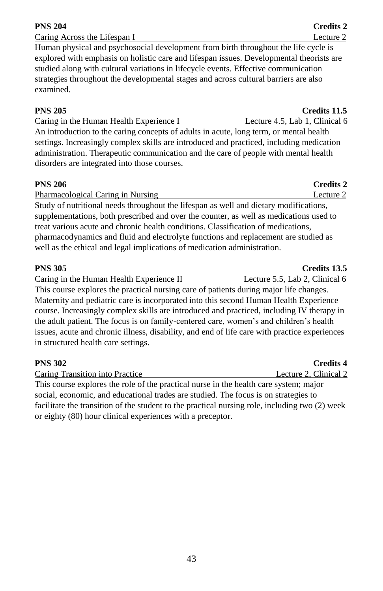explored with emphasis on holistic care and lifespan issues. Developmental theorists are studied along with cultural variations in lifecycle events. Effective communication strategies throughout the developmental stages and across cultural barriers are also examined.

Human physical and psychosocial development from birth throughout the life cycle is

Caring in the Human Health Experience I Lecture 4.5, Lab 1, Clinical 6 An introduction to the caring concepts of adults in acute, long term, or mental health settings. Increasingly complex skills are introduced and practiced, including medication administration. Therapeutic communication and the care of people with mental health disorders are integrated into those courses.

# **PNS 206 Credits 2**

Pharmacological Caring in Nursing 2 and 2 and 2 and 2 and 2 and 2 and 2 and 2 and 2 and 2 and 2 and 2 and 2 and 2 and 2 and 2 and 2 and 2 and 2 and 2 and 2 and 2 and 2 and 2 and 2 and 2 and 2 and 2 and 2 and 2 and 2 and 2 Study of nutritional needs throughout the lifespan as well and dietary modifications, supplementations, both prescribed and over the counter, as well as medications used to treat various acute and chronic health conditions. Classification of medications, pharmacodynamics and fluid and electrolyte functions and replacement are studied as well as the ethical and legal implications of medication administration.

# **PNS 305 Credits 13.5**

Caring in the Human Health Experience II Lecture 5.5, Lab 2, Clinical 6 This course explores the practical nursing care of patients during major life changes. Maternity and pediatric care is incorporated into this second Human Health Experience course. Increasingly complex skills are introduced and practiced, including IV therapy in the adult patient. The focus is on family-centered care, women's and children's health issues, acute and chronic illness, disability, and end of life care with practice experiences in structured health care settings.

| <b>PNS 302</b>                                                                                 | <b>Credits 4</b>      |
|------------------------------------------------------------------------------------------------|-----------------------|
| Caring Transition into Practice                                                                | Lecture 2, Clinical 2 |
| This course explores the role of the practical nurse in the health care system; major          |                       |
| social, economic, and educational trades are studied. The focus is on strategies to            |                       |
| facilitate the transition of the student to the practical nursing role, including two (2) week |                       |

or eighty (80) hour clinical experiences with a preceptor.

# **PNS 205 Credits 11.5**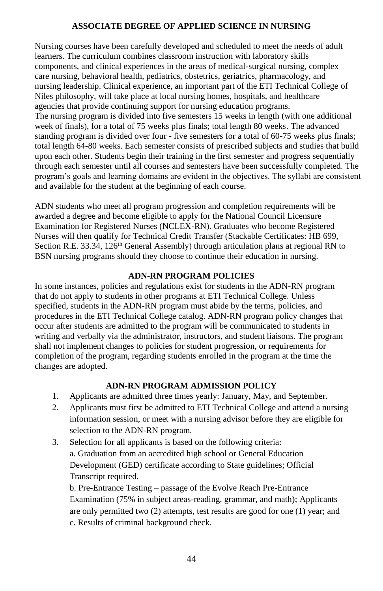# **ASSOCIATE DEGREE OF APPLIED SCIENCE IN NURSING**

Nursing courses have been carefully developed and scheduled to meet the needs of adult learners. The curriculum combines classroom instruction with laboratory skills components, and clinical experiences in the areas of medical-surgical nursing, complex care nursing, behavioral health, pediatrics, obstetrics, geriatrics, pharmacology, and nursing leadership. Clinical experience, an important part of the ETI Technical College of Niles philosophy, will take place at local nursing homes, hospitals, and healthcare agencies that provide continuing support for nursing education programs. The nursing program is divided into five semesters 15 weeks in length (with one additional week of finals), for a total of 75 weeks plus finals; total length 80 weeks. The advanced standing program is divided over four - five semesters for a total of 60-75 weeks plus finals; total length 64-80 weeks. Each semester consists of prescribed subjects and studies that build upon each other. Students begin their training in the first semester and progress sequentially through each semester until all courses and semesters have been successfully completed. The program's goals and learning domains are evident in the objectives. The syllabi are consistent and available for the student at the beginning of each course.

ADN students who meet all program progression and completion requirements will be awarded a degree and become eligible to apply for the National Council Licensure Examination for Registered Nurses (NCLEX-RN). Graduates who become Registered Nurses will then qualify for Technical Credit Transfer (Stackable Certificates: HB 699, Section R.E. 33.34, 126<sup>th</sup> General Assembly) through articulation plans at regional RN to BSN nursing programs should they choose to continue their education in nursing.

# **ADN-RN PROGRAM POLICIES**

In some instances, policies and regulations exist for students in the ADN-RN program that do not apply to students in other programs at ETI Technical College. Unless specified, students in the ADN-RN program must abide by the terms, policies, and procedures in the ETI Technical College catalog. ADN-RN program policy changes that occur after students are admitted to the program will be communicated to students in writing and verbally via the administrator, instructors, and student liaisons. The program shall not implement changes to policies for student progression, or requirements for completion of the program, regarding students enrolled in the program at the time the changes are adopted.

# **ADN-RN PROGRAM ADMISSION POLICY**

- 1. Applicants are admitted three times yearly: January, May, and September.
- 2. Applicants must first be admitted to ETI Technical College and attend a nursing information session, or meet with a nursing advisor before they are eligible for selection to the ADN-RN program.
- 3. Selection for all applicants is based on the following criteria: a. Graduation from an accredited high school or General Education Development (GED) certificate according to State guidelines; Official Transcript required.

b. Pre-Entrance Testing – passage of the Evolve Reach Pre-Entrance Examination (75% in subject areas-reading, grammar, and math); Applicants are only permitted two (2) attempts, test results are good for one (1) year; and c. Results of criminal background check.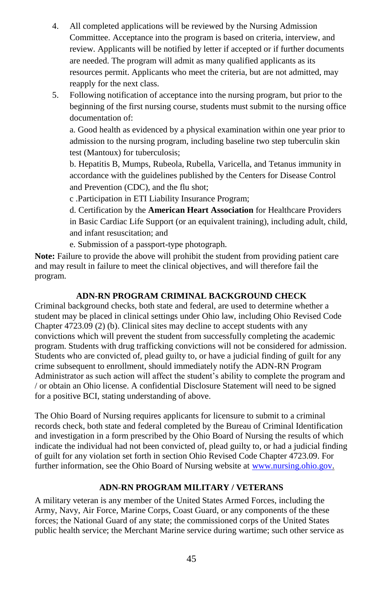- 4. All completed applications will be reviewed by the Nursing Admission Committee. Acceptance into the program is based on criteria, interview, and review. Applicants will be notified by letter if accepted or if further documents are needed. The program will admit as many qualified applicants as its resources permit. Applicants who meet the criteria, but are not admitted, may reapply for the next class.
- 5. Following notification of acceptance into the nursing program, but prior to the beginning of the first nursing course, students must submit to the nursing office documentation of:

a. Good health as evidenced by a physical examination within one year prior to admission to the nursing program, including baseline two step tuberculin skin test (Mantoux) for tuberculosis;

b. Hepatitis B, Mumps, Rubeola, Rubella, Varicella, and Tetanus immunity in accordance with the guidelines published by the Centers for Disease Control and Prevention (CDC), and the flu shot;

c .Participation in ETI Liability Insurance Program;

d. Certification by the **American Heart Association** for Healthcare Providers in Basic Cardiac Life Support (or an equivalent training), including adult, child, and infant resuscitation; and

e. Submission of a passport-type photograph.

**Note:** Failure to provide the above will prohibit the student from providing patient care and may result in failure to meet the clinical objectives, and will therefore fail the program.

# **ADN-RN PROGRAM CRIMINAL BACKGROUND CHECK**

Criminal background checks, both state and federal, are used to determine whether a student may be placed in clinical settings under Ohio law, including Ohio Revised Code Chapter 4723.09 (2) (b). Clinical sites may decline to accept students with any convictions which will prevent the student from successfully completing the academic program. Students with drug trafficking convictions will not be considered for admission. Students who are convicted of, plead guilty to, or have a judicial finding of guilt for any crime subsequent to enrollment, should immediately notify the ADN-RN Program Administrator as such action will affect the student's ability to complete the program and / or obtain an Ohio license. A confidential Disclosure Statement will need to be signed for a positive BCI, stating understanding of above.

The Ohio Board of Nursing requires applicants for licensure to submit to a criminal records check, both state and federal completed by the Bureau of Criminal Identification and investigation in a form prescribed by the Ohio Board of Nursing the results of which indicate the individual had not been convicted of, plead guilty to, or had a judicial finding of guilt for any violation set forth in section Ohio Revised Code Chapter 4723.09. For further information, see the Ohio Board of Nursing website a[t www.nursing.ohio.gov.](http://www.nursing.ohio.gov/) 

# **ADN-RN PROGRAM MILITARY / VETERANS**

A military veteran is any member of the United States Armed Forces, including the Army, Navy, Air Force, Marine Corps, Coast Guard, or any components of the these forces; the National Guard of any state; the commissioned corps of the United States public health service; the Merchant Marine service during wartime; such other service as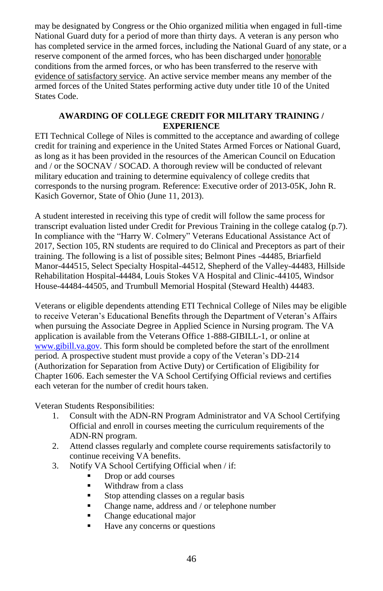may be designated by Congress or the Ohio organized militia when engaged in full-time National Guard duty for a period of more than thirty days. A veteran is any person who has completed service in the armed forces, including the National Guard of any state, or a reserve component of the armed forces, who has been discharged under honorable conditions from the armed forces, or who has been transferred to the reserve with evidence of satisfactory service. An active service member means any member of the armed forces of the United States performing active duty under title 10 of the United States Code.

## **AWARDING OF COLLEGE CREDIT FOR MILITARY TRAINING / EXPERIENCE**

ETI Technical College of Niles is committed to the acceptance and awarding of college credit for training and experience in the United States Armed Forces or National Guard, as long as it has been provided in the resources of the American Council on Education and / or the SOCNAV / SOCAD. A thorough review will be conducted of relevant military education and training to determine equivalency of college credits that corresponds to the nursing program. Reference: Executive order of 2013-05K, John R. Kasich Governor, State of Ohio (June 11, 2013).

A student interested in receiving this type of credit will follow the same process for transcript evaluation listed under Credit for Previous Training in the college catalog (p.7). In compliance with the "Harry W. Colmery" Veterans Educational Assistance Act of 2017, Section 105, RN students are required to do Clinical and Preceptors as part of their training. The following is a list of possible sites; Belmont Pines -44485, Briarfield Manor-444515, Select Specialty Hospital-44512, Shepherd of the Valley-44483, Hillside Rehabilitation Hospital-44484, Louis Stokes VA Hospital and Clinic-44105, Windsor House-44484-44505, and Trumbull Memorial Hospital (Steward Health) 44483.

Veterans or eligible dependents attending ETI Technical College of Niles may be eligible to receive Veteran's Educational Benefits through the Department of Veteran's Affairs when pursuing the Associate Degree in Applied Science in Nursing program. The VA application is available from the Veterans Office 1-888-GIBILL-1, or online at [www.gibill.va.gov.](http://www.gibill.va.gov/) This form should be completed before the start of the enrollment period. A prospective student must provide a copy of the Veteran's DD-214 (Authorization for Separation from Active Duty) or Certification of Eligibility for Chapter 1606. Each semester the VA School Certifying Official reviews and certifies each veteran for the number of credit hours taken.

Veteran Students Responsibilities:

- 1. Consult with the ADN-RN Program Administrator and VA School Certifying Official and enroll in courses meeting the curriculum requirements of the ADN-RN program.
- 2. Attend classes regularly and complete course requirements satisfactorily to continue receiving VA benefits.
- 3. Notify VA School Certifying Official when / if:
	- Drop or add courses
	- Withdraw from a class
	- Stop attending classes on a regular basis
	- Change name, address and / or telephone number
	- Change educational major
	- Have any concerns or questions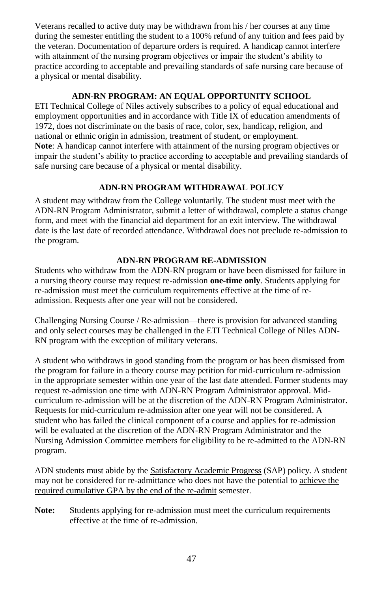Veterans recalled to active duty may be withdrawn from his / her courses at any time during the semester entitling the student to a 100% refund of any tuition and fees paid by the veteran. Documentation of departure orders is required. A handicap cannot interfere with attainment of the nursing program objectives or impair the student's ability to practice according to acceptable and prevailing standards of safe nursing care because of a physical or mental disability.

# **ADN-RN PROGRAM: AN EQUAL OPPORTUNITY SCHOOL**

ETI Technical College of Niles actively subscribes to a policy of equal educational and employment opportunities and in accordance with Title IX of education amendments of 1972, does not discriminate on the basis of race, color, sex, handicap, religion, and national or ethnic origin in admission, treatment of student, or employment. **Note**: A handicap cannot interfere with attainment of the nursing program objectives or impair the student's ability to practice according to acceptable and prevailing standards of safe nursing care because of a physical or mental disability.

# **ADN-RN PROGRAM WITHDRAWAL POLICY**

A student may withdraw from the College voluntarily. The student must meet with the ADN-RN Program Administrator, submit a letter of withdrawal, complete a status change form, and meet with the financial aid department for an exit interview. The withdrawal date is the last date of recorded attendance. Withdrawal does not preclude re-admission to the program.

# **ADN-RN PROGRAM RE-ADMISSION**

Students who withdraw from the ADN-RN program or have been dismissed for failure in a nursing theory course may request re-admission **one-time only**. Students applying for re-admission must meet the curriculum requirements effective at the time of readmission. Requests after one year will not be considered.

Challenging Nursing Course / Re-admission—there is provision for advanced standing and only select courses may be challenged in the ETI Technical College of Niles ADN-RN program with the exception of military veterans.

A student who withdraws in good standing from the program or has been dismissed from the program for failure in a theory course may petition for mid-curriculum re-admission in the appropriate semester within one year of the last date attended. Former students may request re-admission one time with ADN-RN Program Administrator approval. Midcurriculum re-admission will be at the discretion of the ADN-RN Program Administrator. Requests for mid-curriculum re-admission after one year will not be considered. A student who has failed the clinical component of a course and applies for re-admission will be evaluated at the discretion of the ADN-RN Program Administrator and the Nursing Admission Committee members for eligibility to be re-admitted to the ADN-RN program.

ADN students must abide by the Satisfactory Academic Progress (SAP) policy. A student may not be considered for re-admittance who does not have the potential to achieve the required cumulative GPA by the end of the re-admit semester.

**Note:** Students applying for re-admission must meet the curriculum requirements effective at the time of re-admission.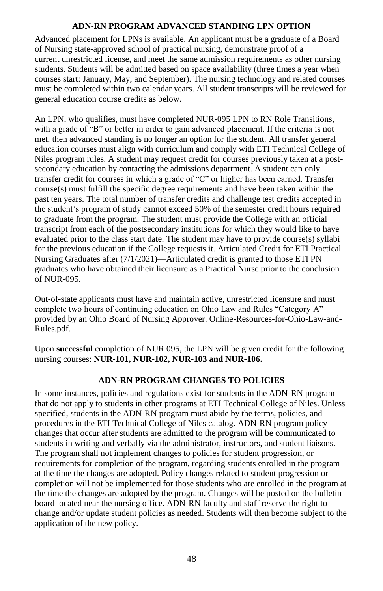# **ADN-RN PROGRAM ADVANCED STANDING LPN OPTION**

Advanced placement for LPNs is available. An applicant must be a graduate of a Board of Nursing state-approved school of practical nursing, demonstrate proof of a current unrestricted license, and meet the same admission requirements as other nursing students. Students will be admitted based on space availability (three times a year when courses start: January, May, and September). The nursing technology and related courses must be completed within two calendar years. All student transcripts will be reviewed for general education course credits as below.

An LPN, who qualifies, must have completed NUR-095 LPN to RN Role Transitions, with a grade of "B" or better in order to gain advanced placement. If the criteria is not met, then advanced standing is no longer an option for the student. All transfer general education courses must align with curriculum and comply with ETI Technical College of Niles program rules. A student may request credit for courses previously taken at a postsecondary education by contacting the admissions department. A student can only transfer credit for courses in which a grade of "C" or higher has been earned. Transfer course(s) must fulfill the specific degree requirements and have been taken within the past ten years. The total number of transfer credits and challenge test credits accepted in the student's program of study cannot exceed 50% of the semester credit hours required to graduate from the program. The student must provide the College with an official transcript from each of the postsecondary institutions for which they would like to have evaluated prior to the class start date. The student may have to provide course(s) syllabi for the previous education if the College requests it. Articulated Credit for ETI Practical Nursing Graduates after (7/1/2021)—Articulated credit is granted to those ETI PN graduates who have obtained their licensure as a Practical Nurse prior to the conclusion of NUR-095.

Out-of-state applicants must have and maintain active, unrestricted licensure and must complete two hours of continuing education on Ohio Law and Rules "Category A" provided by an Ohio Board of Nursing Approver. Online-Resources-for-Ohio-Law-and-Rules.pdf.

Upon **successful** completion of NUR 095, the LPN will be given credit for the following nursing courses: **NUR-101, NUR-102, NUR-103 and NUR-106.**

# **ADN-RN PROGRAM CHANGES TO POLICIES**

In some instances, policies and regulations exist for students in the ADN-RN program that do not apply to students in other programs at ETI Technical College of Niles. Unless specified, students in the ADN-RN program must abide by the terms, policies, and procedures in the ETI Technical College of Niles catalog. ADN-RN program policy changes that occur after students are admitted to the program will be communicated to students in writing and verbally via the administrator, instructors, and student liaisons. The program shall not implement changes to policies for student progression, or requirements for completion of the program, regarding students enrolled in the program at the time the changes are adopted. Policy changes related to student progression or completion will not be implemented for those students who are enrolled in the program at the time the changes are adopted by the program. Changes will be posted on the bulletin board located near the nursing office. ADN-RN faculty and staff reserve the right to change and/or update student policies as needed. Students will then become subject to the application of the new policy.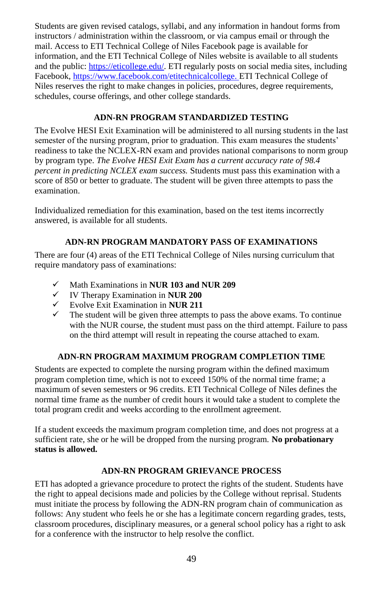Students are given revised catalogs, syllabi, and any information in handout forms from instructors / administration within the classroom, or via campus email or through the mail. Access to ETI Technical College of Niles Facebook page is available for information, and the ETI Technical College of Niles website is available to all students and the public[: https://eticollege.edu/.](https://eticollege.edu/) ETI regularly posts on social media sites, including Facebook[, https://www.facebook.com/etitechnicalcollege.](https://www.facebook.com/etitechnicalcollege) ETI Technical College of Niles reserves the right to make changes in policies, procedures, degree requirements, schedules, course offerings, and other college standards.

# **ADN-RN PROGRAM STANDARDIZED TESTING**

The Evolve HESI Exit Examination will be administered to all nursing students in the last semester of the nursing program, prior to graduation. This exam measures the students' readiness to take the NCLEX-RN exam and provides national comparisons to norm group by program type. *The Evolve HESI Exit Exam has a current accuracy rate of 98.4 percent in predicting NCLEX exam success.* Students must pass this examination with a score of 850 or better to graduate. The student will be given three attempts to pass the examination.

Individualized remediation for this examination, based on the test items incorrectly answered, is available for all students.

# **ADN-RN PROGRAM MANDATORY PASS OF EXAMINATIONS**

There are four (4) areas of the ETI Technical College of Niles nursing curriculum that require mandatory pass of examinations:

- ✓ Math Examinations in **NUR 103 and NUR 209**
- ✓ IV Therapy Examination in **NUR 200**
- ✓ Evolve Exit Examination in **NUR 211**
- The student will be given three attempts to pass the above exams. To continue with the NUR course, the student must pass on the third attempt. Failure to pass on the third attempt will result in repeating the course attached to exam.

# **ADN-RN PROGRAM MAXIMUM PROGRAM COMPLETION TIME**

Students are expected to complete the nursing program within the defined maximum program completion time, which is not to exceed 150% of the normal time frame; a maximum of seven semesters or 96 credits. ETI Technical College of Niles defines the normal time frame as the number of credit hours it would take a student to complete the total program credit and weeks according to the enrollment agreement.

If a student exceeds the maximum program completion time, and does not progress at a sufficient rate, she or he will be dropped from the nursing program. **No probationary status is allowed.**

# **ADN-RN PROGRAM GRIEVANCE PROCESS**

ETI has adopted a grievance procedure to protect the rights of the student. Students have the right to appeal decisions made and policies by the College without reprisal. Students must initiate the process by following the ADN-RN program chain of communication as follows: Any student who feels he or she has a legitimate concern regarding grades, tests, classroom procedures, disciplinary measures, or a general school policy has a right to ask for a conference with the instructor to help resolve the conflict.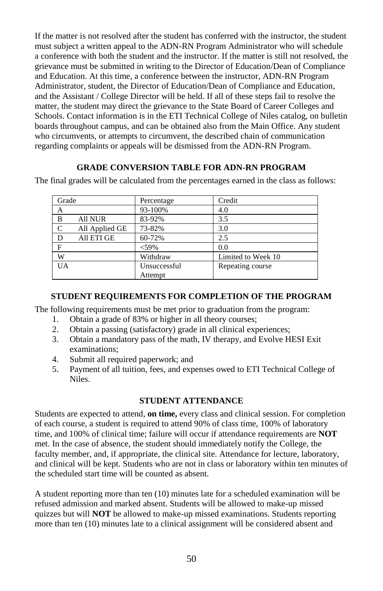If the matter is not resolved after the student has conferred with the instructor, the student must subject a written appeal to the ADN-RN Program Administrator who will schedule a conference with both the student and the instructor. If the matter is still not resolved, the grievance must be submitted in writing to the Director of Education/Dean of Compliance and Education. At this time, a conference between the instructor, ADN-RN Program Administrator, student, the Director of Education/Dean of Compliance and Education, and the Assistant / College Director will be held. If all of these steps fail to resolve the matter, the student may direct the grievance to the State Board of Career Colleges and Schools. Contact information is in the ETI Technical College of Niles catalog, on bulletin boards throughout campus, and can be obtained also from the Main Office. Any student who circumvents, or attempts to circumvent, the described chain of communication regarding complaints or appeals will be dismissed from the ADN-RN Program.

# **GRADE CONVERSION TABLE FOR ADN-RN PROGRAM**

The final grades will be calculated from the percentages earned in the class as follows:

| Grade          |                | Percentage   | Credit             |
|----------------|----------------|--------------|--------------------|
| А              |                | 93-100%      | 4.0                |
| B              | <b>All NUR</b> | 83-92%       | 3.5                |
| <sup>-</sup> C | All Applied GE | 73-82%       | 3.0                |
| D              | All ETI GE     | 60-72%       | 2.5                |
| F              |                | $<$ 59%      | 0.0                |
| W              |                | Withdraw     | Limited to Week 10 |
| <b>UA</b>      |                | Unsuccessful | Repeating course   |
|                |                | Attempt      |                    |

# **STUDENT REQUIREMENTS FOR COMPLETION OF THE PROGRAM**

The following requirements must be met prior to graduation from the program:

- 1. Obtain a grade of 83% or higher in all theory courses;
- 2. Obtain a passing (satisfactory) grade in all clinical experiences;
- 3. Obtain a mandatory pass of the math, IV therapy, and Evolve HESI Exit examinations;
- 4. Submit all required paperwork; and
- 5. Payment of all tuition, fees, and expenses owed to ETI Technical College of Niles.

# **STUDENT ATTENDANCE**

Students are expected to attend, **on time,** every class and clinical session. For completion of each course, a student is required to attend 90% of class time, 100% of laboratory time, and 100% of clinical time; failure will occur if attendance requirements are **NOT** met. In the case of absence, the student should immediately notify the College, the faculty member, and, if appropriate, the clinical site. Attendance for lecture, laboratory, and clinical will be kept. Students who are not in class or laboratory within ten minutes of the scheduled start time will be counted as absent.

A student reporting more than ten (10) minutes late for a scheduled examination will be refused admission and marked absent. Students will be allowed to make-up missed quizzes but will **NOT** be allowed to make-up missed examinations. Students reporting more than ten (10) minutes late to a clinical assignment will be considered absent and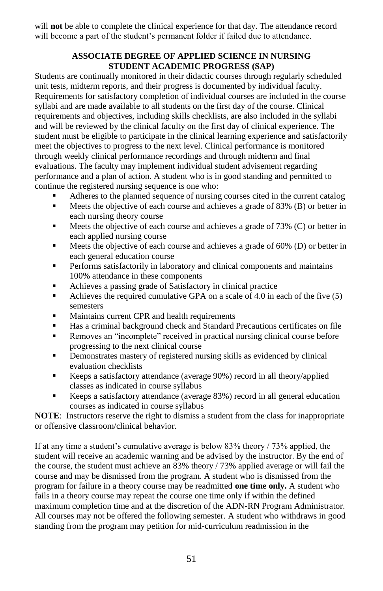will **not** be able to complete the clinical experience for that day. The attendance record will become a part of the student's permanent folder if failed due to attendance.

# **ASSOCIATE DEGREE OF APPLIED SCIENCE IN NURSING STUDENT ACADEMIC PROGRESS (SAP)**

Students are continually monitored in their didactic courses through regularly scheduled unit tests, midterm reports, and their progress is documented by individual faculty. Requirements for satisfactory completion of individual courses are included in the course syllabi and are made available to all students on the first day of the course. Clinical requirements and objectives, including skills checklists, are also included in the syllabi and will be reviewed by the clinical faculty on the first day of clinical experience. The student must be eligible to participate in the clinical learning experience and satisfactorily meet the objectives to progress to the next level. Clinical performance is monitored through weekly clinical performance recordings and through midterm and final evaluations. The faculty may implement individual student advisement regarding performance and a plan of action. A student who is in good standing and permitted to continue the registered nursing sequence is one who:

- Adheres to the planned sequence of nursing courses cited in the current catalog
- **EXECUTE:** Meets the objective of each course and achieves a grade of 83% (B) or better in each nursing theory course
- Meets the objective of each course and achieves a grade of 73% (C) or better in each applied nursing course
- **■** Meets the objective of each course and achieves a grade of 60% (D) or better in each general education course
- **•** Performs satisfactorily in laboratory and clinical components and maintains 100% attendance in these components
- Achieves a passing grade of Satisfactory in clinical practice
- Achieves the required cumulative GPA on a scale of 4.0 in each of the five (5) semesters
- Maintains current CPR and health requirements
- Has a criminal background check and Standard Precautions certificates on file
- Removes an "incomplete" received in practical nursing clinical course before progressing to the next clinical course
- **•** Demonstrates mastery of registered nursing skills as evidenced by clinical evaluation checklists
- Keeps a satisfactory attendance (average 90%) record in all theory/applied classes as indicated in course syllabus
- Keeps a satisfactory attendance (average 83%) record in all general education courses as indicated in course syllabus

**NOTE**: Instructors reserve the right to dismiss a student from the class for inappropriate or offensive classroom/clinical behavior.

If at any time a student's cumulative average is below 83% theory / 73% applied, the student will receive an academic warning and be advised by the instructor. By the end of the course, the student must achieve an 83% theory / 73% applied average or will fail the course and may be dismissed from the program. A student who is dismissed from the program for failure in a theory course may be readmitted **one time only.** A student who fails in a theory course may repeat the course one time only if within the defined maximum completion time and at the discretion of the ADN-RN Program Administrator. All courses may not be offered the following semester. A student who withdraws in good standing from the program may petition for mid-curriculum readmission in the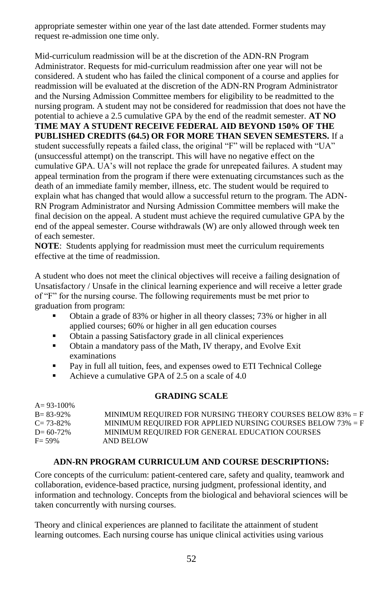appropriate semester within one year of the last date attended. Former students may request re-admission one time only.

Mid-curriculum readmission will be at the discretion of the ADN-RN Program Administrator. Requests for mid-curriculum readmission after one year will not be considered. A student who has failed the clinical component of a course and applies for readmission will be evaluated at the discretion of the ADN-RN Program Administrator and the Nursing Admission Committee members for eligibility to be readmitted to the nursing program. A student may not be considered for readmission that does not have the potential to achieve a 2.5 cumulative GPA by the end of the readmit semester. **AT NO TIME MAY A STUDENT RECEIVE FEDERAL AID BEYOND 150% OF THE PUBLISHED CREDITS (64.5) OR FOR MORE THAN SEVEN SEMESTERS.** If a student successfully repeats a failed class, the original "F" will be replaced with "UA" (unsuccessful attempt) on the transcript. This will have no negative effect on the cumulative GPA. UA's will not replace the grade for unrepeated failures. A student may appeal termination from the program if there were extenuating circumstances such as the death of an immediate family member, illness, etc. The student would be required to explain what has changed that would allow a successful return to the program. The ADN-RN Program Administrator and Nursing Admission Committee members will make the final decision on the appeal. A student must achieve the required cumulative GPA by the end of the appeal semester. Course withdrawals (W) are only allowed through week ten of each semester.

**NOTE**: Students applying for readmission must meet the curriculum requirements effective at the time of readmission.

A student who does not meet the clinical objectives will receive a failing designation of Unsatisfactory / Unsafe in the clinical learning experience and will receive a letter grade of "F" for the nursing course. The following requirements must be met prior to graduation from program:

- Obtain a grade of 83% or higher in all theory classes; 73% or higher in all applied courses; 60% or higher in all gen education courses
- Obtain a passing Satisfactory grade in all clinical experiences
- Obtain a mandatory pass of the Math, IV therapy, and Evolve Exit examinations
- Pay in full all tuition, fees, and expenses owed to ETI Technical College
- Achieve a cumulative GPA of 2.5 on a scale of 4.0

 $4.93-100$ 

#### **GRADING SCALE**

| $A = 9.5 - 100\%$ |                                                               |
|-------------------|---------------------------------------------------------------|
| $B = 83-92\%$     | MINIMUM REQUIRED FOR NURSING THEORY COURSES BELOW $83\% = F$  |
| $C = 73 - 82\%$   | MINIMUM REQUIRED FOR APPLIED NURSING COURSES BELOW $73\% = F$ |
| $D = 60-72%$      | MINIMUM REQUIRED FOR GENERAL EDUCATION COURSES                |
| $F = 59\%$        | AND BELOW                                                     |

#### **ADN-RN PROGRAM CURRICULUM AND COURSE DESCRIPTIONS:**

Core concepts of the curriculum: patient-centered care, safety and quality, teamwork and collaboration, evidence-based practice, nursing judgment, professional identity, and information and technology. Concepts from the biological and behavioral sciences will be taken concurrently with nursing courses.

Theory and clinical experiences are planned to facilitate the attainment of student learning outcomes. Each nursing course has unique clinical activities using various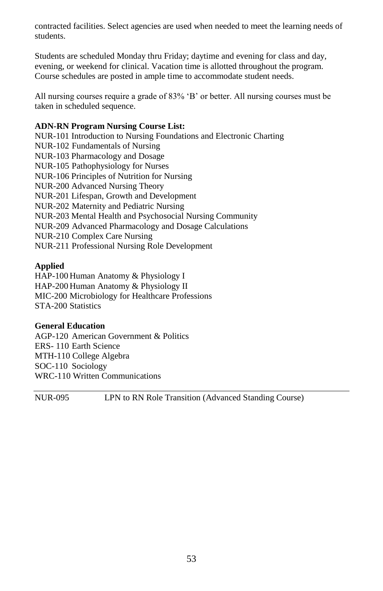contracted facilities. Select agencies are used when needed to meet the learning needs of students.

Students are scheduled Monday thru Friday; daytime and evening for class and day, evening, or weekend for clinical. Vacation time is allotted throughout the program. Course schedules are posted in ample time to accommodate student needs.

All nursing courses require a grade of 83% 'B' or better. All nursing courses must be taken in scheduled sequence.

#### **ADN-RN Program Nursing Course List:**

NUR-101 Introduction to Nursing Foundations and Electronic Charting NUR-102 Fundamentals of Nursing NUR-103 Pharmacology and Dosage NUR-105 Pathophysiology for Nurses NUR-106 Principles of Nutrition for Nursing NUR-200 Advanced Nursing Theory NUR-201 Lifespan, Growth and Development NUR-202 Maternity and Pediatric Nursing NUR-203 Mental Health and Psychosocial Nursing Community NUR-209 Advanced Pharmacology and Dosage Calculations NUR-210 Complex Care Nursing NUR-211 Professional Nursing Role Development

#### **Applied**

HAP-100 Human Anatomy & Physiology I HAP-200 Human Anatomy & Physiology II MIC-200 Microbiology for Healthcare Professions STA-200 Statistics

#### **General Education**

AGP-120 American Government & Politics ERS- 110 Earth Science MTH-110 College Algebra SOC-110 Sociology WRC-110 Written Communications

NUR-095 LPN to RN Role Transition (Advanced Standing Course)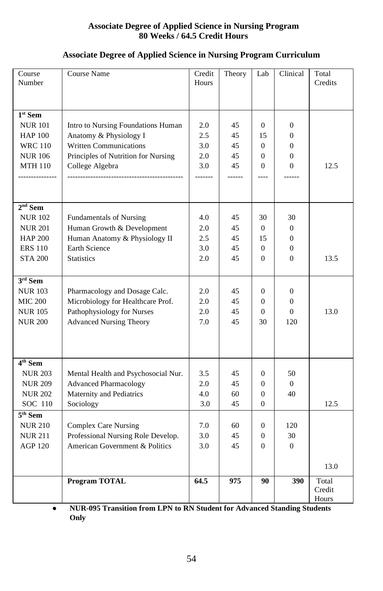# **Associate Degree of Applied Science in Nursing Program 80 Weeks / 64.5 Credit Hours**

# **Associate Degree of Applied Science in Nursing Program Curriculum**

| Course<br>Number    | Course Name                         | Credit<br>Hours | Theory | Lab            | Clinical         | Total<br>Credits         |
|---------------------|-------------------------------------|-----------------|--------|----------------|------------------|--------------------------|
| $1st$ Sem           |                                     |                 |        |                |                  |                          |
| <b>NUR 101</b>      | Intro to Nursing Foundations Human  | 2.0             | 45     | $\overline{0}$ | $\boldsymbol{0}$ |                          |
| <b>HAP 100</b>      | Anatomy & Physiology I              | 2.5             | 45     | 15             | $\overline{0}$   |                          |
| <b>WRC 110</b>      | <b>Written Communications</b>       | 3.0             | 45     | $\Omega$       | $\mathbf{0}$     |                          |
| <b>NUR 106</b>      | Principles of Nutrition for Nursing | 2.0             | 45     | $\Omega$       | $\mathbf{0}$     |                          |
| <b>MTH 110</b>      | College Algebra                     | 3.0             | 45     | $\Omega$       | $\Omega$         | 12.5                     |
|                     |                                     | -------         | ------ | ----           |                  |                          |
| $2nd$ Sem           |                                     |                 |        |                |                  |                          |
| <b>NUR 102</b>      | <b>Fundamentals of Nursing</b>      | 4.0             | 45     | 30             | 30               |                          |
| <b>NUR 201</b>      | Human Growth & Development          | 2.0             | 45     | $\overline{0}$ | $\overline{0}$   |                          |
| <b>HAP 200</b>      | Human Anatomy & Physiology II       | 2.5             | 45     | 15             | $\mathbf{0}$     |                          |
| <b>ERS 110</b>      | Earth Science                       | 3.0             | 45     | $\mathbf{0}$   | $\mathbf{0}$     |                          |
| <b>STA 200</b>      | <b>Statistics</b>                   | 2.0             | 45     | $\Omega$       | $\Omega$         | 13.5                     |
| $3rd$ Sem           |                                     |                 |        |                |                  |                          |
| <b>NUR 103</b>      | Pharmacology and Dosage Calc.       | 2.0             | 45     | $\mathbf{0}$   | $\overline{0}$   |                          |
| <b>MIC 200</b>      | Microbiology for Healthcare Prof.   | 2.0             | 45     | $\overline{0}$ | $\overline{0}$   |                          |
| <b>NUR 105</b>      | Pathophysiology for Nurses          | 2.0             | 45     | $\overline{0}$ | $\Omega$         | 13.0                     |
| <b>NUR 200</b>      | <b>Advanced Nursing Theory</b>      | 7.0             | 45     | 30             | 120              |                          |
|                     |                                     |                 |        |                |                  |                          |
| $4th$ Sem           |                                     |                 |        |                |                  |                          |
| <b>NUR 203</b>      | Mental Health and Psychosocial Nur. | 3.5             | 45     | $\mathbf{0}$   | 50               |                          |
| <b>NUR 209</b>      | <b>Advanced Pharmacology</b>        | 2.0             | 45     | $\Omega$       | $\Omega$         |                          |
| <b>NUR 202</b>      | Maternity and Pediatrics            | 4.0             | 60     | $\overline{0}$ | 40               |                          |
| SOC 110             | Sociology                           | 3.0             | 45     | $\overline{0}$ |                  | 12.5                     |
| 5 <sup>th</sup> Sem |                                     |                 |        |                |                  |                          |
| <b>NUR 210</b>      | <b>Complex Care Nursing</b>         | 7.0             | 60     | $\overline{0}$ | 120              |                          |
| <b>NUR 211</b>      | Professional Nursing Role Develop.  | 3.0             | 45     | $\Omega$       | 30               |                          |
| <b>AGP 120</b>      | American Government & Politics      | 3.0             | 45     | $\theta$       | $\Omega$         |                          |
|                     |                                     |                 |        |                |                  | 13.0                     |
|                     | <b>Program TOTAL</b>                | 64.5            | 975    | 90             | 390              | Total<br>Credit<br>Hours |

● **NUR-095 Transition from LPN to RN Student for Advanced Standing Students Only**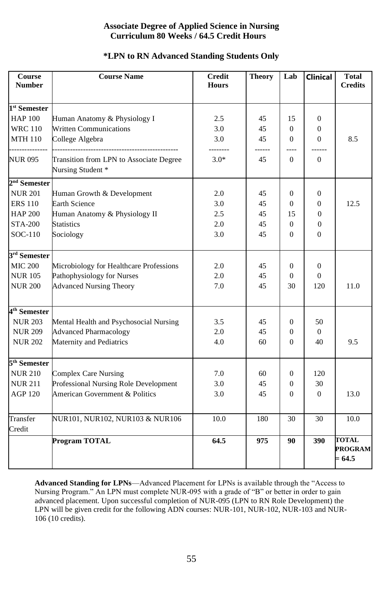# **Associate Degree of Applied Science in Nursing Curriculum 80 Weeks / 64.5 Credit Hours**

## **\*LPN to RN Advanced Standing Students Only**

| Course<br><b>Number</b>                    | <b>Course Name</b>                                                      | <b>Credit</b><br><b>Hours</b> | <b>Theory</b> | Lab              | <b>Clinical</b> | <b>Total</b><br><b>Credits</b>             |
|--------------------------------------------|-------------------------------------------------------------------------|-------------------------------|---------------|------------------|-----------------|--------------------------------------------|
|                                            |                                                                         |                               |               |                  |                 |                                            |
| 1 <sup>st</sup> Semester<br><b>HAP 100</b> | Human Anatomy & Physiology I                                            | 2.5                           | 45            | 15               | $\mathbf{0}$    |                                            |
| <b>WRC 110</b>                             | <b>Written Communications</b>                                           | 3.0                           | 45            | $\boldsymbol{0}$ | $\mathbf{0}$    |                                            |
| <b>MTH 110</b>                             | College Algebra                                                         | 3.0                           | 45            | $\Omega$         | $\Omega$        | 8.5                                        |
|                                            |                                                                         |                               |               | ----             |                 |                                            |
| NUR 095                                    | Transition from LPN to Associate Degree<br>Nursing Student <sup>*</sup> | $3.0*$                        | 45            | $\Omega$         | $\Omega$        |                                            |
| 2 <sup>nd</sup> Semester                   |                                                                         |                               |               |                  |                 |                                            |
| <b>NUR 201</b>                             | Human Growth & Development                                              | 2.0                           | 45            | $\overline{0}$   | $\mathbf{0}$    |                                            |
| <b>ERS 110</b>                             | <b>Earth Science</b>                                                    | 3.0                           | 45            | 0                | $\mathbf{0}$    | 12.5                                       |
| <b>HAP 200</b>                             | Human Anatomy & Physiology II                                           | 2.5                           | 45            | 15               | $\overline{0}$  |                                            |
| <b>STA-200</b>                             | <b>Statistics</b>                                                       | 2.0                           | 45            | $\overline{0}$   | $\overline{0}$  |                                            |
| SOC-110                                    | Sociology                                                               | 3.0                           | 45            | 0                | $\mathbf{0}$    |                                            |
| 3rd Semester                               |                                                                         |                               |               |                  |                 |                                            |
| <b>MIC 200</b>                             | Microbiology for Healthcare Professions                                 | 2.0                           | 45            | 0                | $\mathbf{0}$    |                                            |
| <b>NUR105</b>                              | Pathophysiology for Nurses                                              | 2.0                           | 45            | 0                | $\Omega$        |                                            |
| <b>NUR 200</b>                             | <b>Advanced Nursing Theory</b>                                          | 7.0                           | 45            | 30               | 120             | 11.0                                       |
| 4 <sup>th</sup> Semester                   |                                                                         |                               |               |                  |                 |                                            |
| <b>NUR 203</b>                             | Mental Health and Psychosocial Nursing                                  | 3.5                           | 45            | 0                | 50              |                                            |
| <b>NUR 209</b>                             | <b>Advanced Pharmacology</b>                                            | 2.0                           | 45            | 0                | $\mathbf{0}$    |                                            |
| <b>NUR 202</b>                             | Maternity and Pediatrics                                                | 4.0                           | 60            | $\Omega$         | 40              | 9.5                                        |
|                                            |                                                                         |                               |               |                  |                 |                                            |
| 5 <sup>th</sup> Semester                   |                                                                         |                               |               |                  |                 |                                            |
| <b>NUR 210</b>                             | <b>Complex Care Nursing</b>                                             | 7.0                           | 60            | 0                | 120             |                                            |
| <b>NUR 211</b>                             | Professional Nursing Role Development                                   | 3.0                           | 45            | $\overline{0}$   | 30              |                                            |
| <b>AGP 120</b>                             | American Government & Politics                                          | 3.0                           | 45            | $\overline{0}$   | $\Omega$        | 13.0                                       |
| Transfer                                   | NUR101, NUR102, NUR103 & NUR106                                         | 10.0                          | 180           | 30               | 30              | 10.0                                       |
| Credit                                     |                                                                         |                               |               |                  |                 |                                            |
|                                            | Program TOTAL                                                           | 64.5                          | 975           | 90               | 390             | <b>TOTAL</b><br><b>PROGRAM</b><br>$= 64.5$ |

**Advanced Standing for LPNs**—Advanced Placement for LPNs is available through the "Access to Nursing Program." An LPN must complete NUR-095 with a grade of "B" or better in order to gain advanced placement. Upon successful completion of NUR-095 (LPN to RN Role Development) the LPN will be given credit for the following ADN courses: NUR-101, NUR-102, NUR-103 and NUR-106 (10 credits).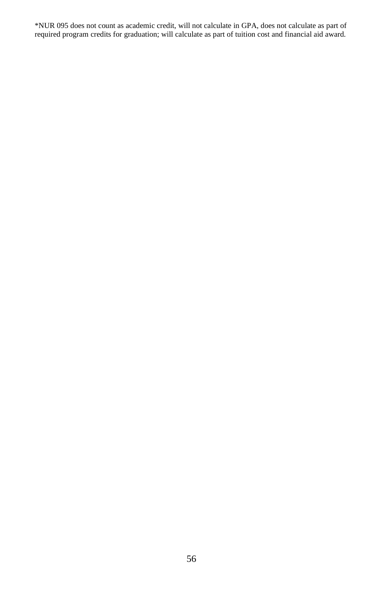\*NUR 095 does not count as academic credit, will not calculate in GPA, does not calculate as part of required program credits for graduation; will calculate as part of tuition cost and financial aid award.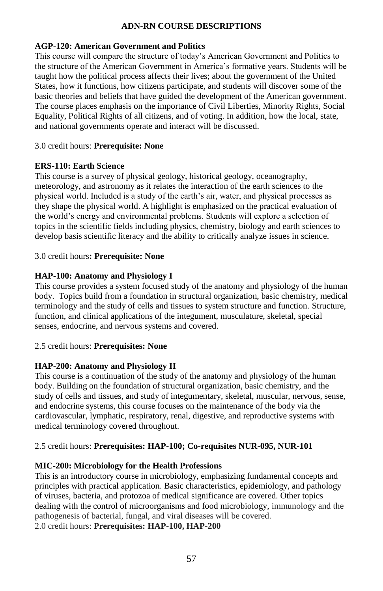# **ADN-RN COURSE DESCRIPTIONS**

#### **AGP-120: American Government and Politics 3.0 CR**

This course will compare the structure of today's American Government and Politics to the structure of the American Government in America's formative years. Students will be taught how the political process affects their lives; about the government of the United States, how it functions, how citizens participate, and students will discover some of the basic theories and beliefs that have guided the development of the American government. The course places emphasis on the importance of Civil Liberties, Minority Rights, Social Equality, Political Rights of all citizens, and of voting. In addition, how the local, state, and national governments operate and interact will be discussed.

#### 3.0 credit hours: **Prerequisite: None**

#### **ERS-110: Earth Science**

This course is a survey of physical geology, historical geology, oceanography, meteorology, and astronomy as it relates the interaction of the earth sciences to the physical world. Included is a study of the earth's air, water, and physical processes as they shape the physical world. A highlight is emphasized on the practical evaluation of the world's energy and environmental problems. Students will explore a selection of topics in the scientific fields including physics, chemistry, biology and earth sciences to develop basis scientific literacy and the ability to critically analyze issues in science.

#### 3.0 credit hours**: Prerequisite: None**

#### **HAP-100: Anatomy and Physiology I**

This course provides a system focused study of the anatomy and physiology of the human body. Topics build from a foundation in structural organization, basic chemistry, medical terminology and the study of cells and tissues to system structure and function. Structure, function, and clinical applications of the integument, musculature, skeletal, special senses, endocrine, and nervous systems and covered.

#### 2.5 credit hours: **Prerequisites: None**

#### **HAP-200: Anatomy and Physiology II**

This course is a continuation of the study of the anatomy and physiology of the human body. Building on the foundation of structural organization, basic chemistry, and the study of cells and tissues, and study of integumentary, skeletal, muscular, nervous, sense, and endocrine systems, this course focuses on the maintenance of the body via the cardiovascular, lymphatic, respiratory, renal, digestive, and reproductive systems with medical terminology covered throughout.

#### 2.5 credit hours: **Prerequisites: HAP-100; Co-requisites NUR-095, NUR-101**

#### **MIC-200: Microbiology for the Health Professions**

This is an introductory course in microbiology, emphasizing fundamental concepts and principles with practical application. Basic characteristics, epidemiology, and pathology of viruses, bacteria, and protozoa of medical significance are covered. Other topics dealing with the control of microorganisms and food microbiology, immunology and the pathogenesis of bacterial, fungal, and viral diseases will be covered. 2.0 credit hours: **Prerequisites: HAP-100, HAP-200**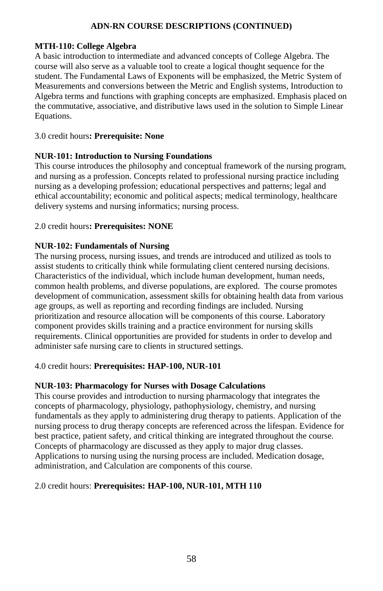#### **MTH-110: College Algebra**

A basic introduction to intermediate and advanced concepts of College Algebra. The course will also serve as a valuable tool to create a logical thought sequence for the student. The Fundamental Laws of Exponents will be emphasized, the Metric System of Measurements and conversions between the Metric and English systems, Introduction to Algebra terms and functions with graphing concepts are emphasized. Emphasis placed on the commutative, associative, and distributive laws used in the solution to Simple Linear Equations.

## 3.0 credit hours**: Prerequisite: None**

#### **NUR-101: Introduction to Nursing Foundations**

This course introduces the philosophy and conceptual framework of the nursing program, and nursing as a profession. Concepts related to professional nursing practice including nursing as a developing profession; educational perspectives and patterns; legal and ethical accountability; economic and political aspects; medical terminology, healthcare delivery systems and nursing informatics; nursing process.

#### 2.0 credit hours**: Prerequisites: NONE**

#### **NUR-102: Fundamentals of Nursing**

The nursing process, nursing issues, and trends are introduced and utilized as tools to assist students to critically think while formulating client centered nursing decisions. Characteristics of the individual, which include human development, human needs, common health problems, and diverse populations, are explored. The course promotes development of communication, assessment skills for obtaining health data from various age groups, as well as reporting and recording findings are included. Nursing prioritization and resource allocation will be components of this course. Laboratory component provides skills training and a practice environment for nursing skills requirements. Clinical opportunities are provided for students in order to develop and administer safe nursing care to clients in structured settings.

#### 4.0 credit hours: **Prerequisites: HAP-100, NUR-101**

#### **NUR-103: Pharmacology for Nurses with Dosage Calculations**

This course provides and introduction to nursing pharmacology that integrates the concepts of pharmacology, physiology, pathophysiology, chemistry, and nursing fundamentals as they apply to administering drug therapy to patients. Application of the nursing process to drug therapy concepts are referenced across the lifespan. Evidence for best practice, patient safety, and critical thinking are integrated throughout the course. Concepts of pharmacology are discussed as they apply to major drug classes. Applications to nursing using the nursing process are included. Medication dosage, administration, and Calculation are components of this course.

#### 2.0 credit hours: **Prerequisites: HAP-100, NUR-101, MTH 110**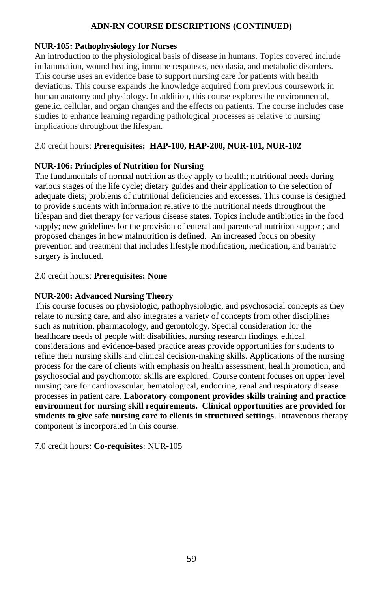#### **NUR-105: Pathophysiology for Nurses**

An introduction to the physiological basis of disease in humans. Topics covered include inflammation, wound healing, immune responses, neoplasia, and metabolic disorders. This course uses an evidence base to support nursing care for patients with health deviations. This course expands the knowledge acquired from previous coursework in human anatomy and physiology. In addition, this course explores the environmental, genetic, cellular, and organ changes and the effects on patients. The course includes case studies to enhance learning regarding pathological processes as relative to nursing implications throughout the lifespan.

## 2.0 credit hours: **Prerequisites: HAP-100, HAP-200, NUR-101, NUR-102**

#### **NUR-106: Principles of Nutrition for Nursing**

The fundamentals of normal nutrition as they apply to health; nutritional needs during various stages of the life cycle; dietary guides and their application to the selection of adequate diets; problems of nutritional deficiencies and excesses. This course is designed to provide students with information relative to the nutritional needs throughout the lifespan and diet therapy for various disease states. Topics include antibiotics in the food supply; new guidelines for the provision of enteral and parenteral nutrition support; and proposed changes in how malnutrition is defined. An increased focus on obesity prevention and treatment that includes lifestyle modification, medication, and bariatric surgery is included.

#### 2.0 credit hours: **Prerequisites: None**

#### **NUR-200: Advanced Nursing Theory**

This course focuses on physiologic, pathophysiologic, and psychosocial concepts as they relate to nursing care, and also integrates a variety of concepts from other disciplines such as nutrition, pharmacology, and gerontology. Special consideration for the healthcare needs of people with disabilities, nursing research findings, ethical considerations and evidence-based practice areas provide opportunities for students to refine their nursing skills and clinical decision-making skills. Applications of the nursing process for the care of clients with emphasis on health assessment, health promotion, and psychosocial and psychomotor skills are explored. Course content focuses on upper level nursing care for cardiovascular, hematological, endocrine, renal and respiratory disease processes in patient care. **Laboratory component provides skills training and practice environment for nursing skill requirements. Clinical opportunities are provided for students to give safe nursing care to clients in structured settings**. Intravenous therapy component is incorporated in this course.

7.0 credit hours: **Co-requisites**: NUR-105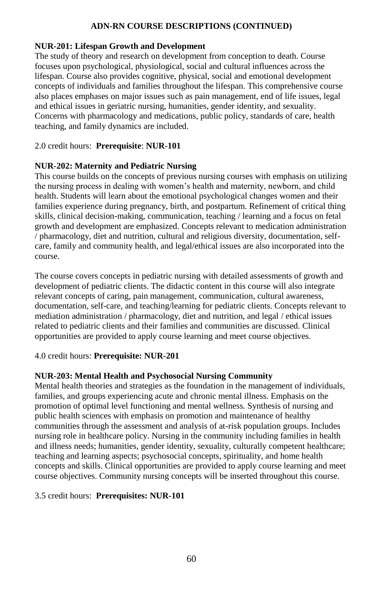#### **NUR-201: Lifespan Growth and Development**

The study of theory and research on development from conception to death. Course focuses upon psychological, physiological, social and cultural influences across the lifespan. Course also provides cognitive, physical, social and emotional development concepts of individuals and families throughout the lifespan. This comprehensive course also places emphases on major issues such as pain management, end of life issues, legal and ethical issues in geriatric nursing, humanities, gender identity, and sexuality. Concerns with pharmacology and medications, public policy, standards of care, health teaching, and family dynamics are included.

#### 2.0 credit hours: **Prerequisite**: **NUR-101**

#### **NUR-202: Maternity and Pediatric Nursing**

This course builds on the concepts of previous nursing courses with emphasis on utilizing the nursing process in dealing with women's health and maternity, newborn, and child health. Students will learn about the emotional psychological changes women and their families experience during pregnancy, birth, and postpartum. Refinement of critical thing skills, clinical decision-making, communication, teaching / learning and a focus on fetal growth and development are emphasized. Concepts relevant to medication administration / pharmacology, diet and nutrition, cultural and religious diversity, documentation, selfcare, family and community health, and legal/ethical issues are also incorporated into the course.

The course covers concepts in pediatric nursing with detailed assessments of growth and development of pediatric clients. The didactic content in this course will also integrate relevant concepts of caring, pain management, communication, cultural awareness, documentation, self-care, and teaching/learning for pediatric clients. Concepts relevant to mediation administration / pharmacology, diet and nutrition, and legal / ethical issues related to pediatric clients and their families and communities are discussed. Clinical opportunities are provided to apply course learning and meet course objectives.

#### 4.0 credit hours: **Prerequisite: NUR-201**

#### **NUR-203: Mental Health and Psychosocial Nursing Community**

Mental health theories and strategies as the foundation in the management of individuals, families, and groups experiencing acute and chronic mental illness. Emphasis on the promotion of optimal level functioning and mental wellness. Synthesis of nursing and public health sciences with emphasis on promotion and maintenance of healthy communities through the assessment and analysis of at-risk population groups. Includes nursing role in healthcare policy. Nursing in the community including families in health and illness needs; humanities, gender identity, sexuality, culturally competent healthcare; teaching and learning aspects; psychosocial concepts, spirituality, and home health concepts and skills. Clinical opportunities are provided to apply course learning and meet course objectives. Community nursing concepts will be inserted throughout this course.

#### 3.5 credit hours: **Prerequisites: NUR-101**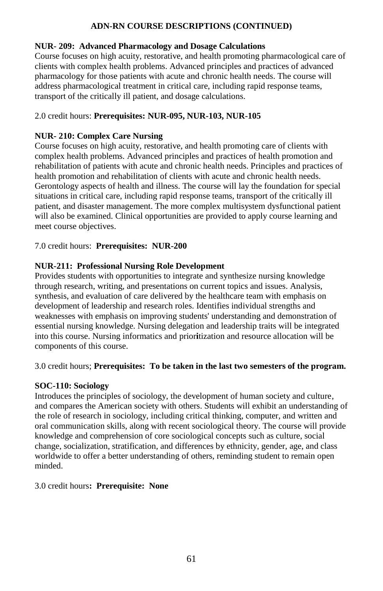### **NUR- 209: Advanced Pharmacology and Dosage Calculations**

Course focuses on high acuity, restorative, and health promoting pharmacological care of clients with complex health problems. Advanced principles and practices of advanced pharmacology for those patients with acute and chronic health needs. The course will address pharmacological treatment in critical care, including rapid response teams, transport of the critically ill patient, and dosage calculations.

# 2.0 credit hours: **Prerequisites: NUR-095, NUR-103, NUR-105**

# **NUR-210: Complex Care Nursing**

Course focuses on high acuity, restorative, and health promoting care of clients with complex health problems. Advanced principles and practices of health promotion and rehabilitation of patients with acute and chronic health needs. Principles and practices of health promotion and rehabilitation of clients with acute and chronic health needs. Gerontology aspects of health and illness. The course will lay the foundation for special situations in critical care, including rapid response teams, transport of the critically ill patient, and disaster management. The more complex multisystem dysfunctional patient will also be examined. Clinical opportunities are provided to apply course learning and meet course objectives.

#### 7.0 credit hours: **Prerequisites: NUR-200**

# **NUR-211: Professional Nursing Role Development**

Provides students with opportunities to integrate and synthesize nursing knowledge through research, writing, and presentations on current topics and issues. Analysis, synthesis, and evaluation of care delivered by the healthcare team with emphasis on development of leadership and research roles. Identifies individual strengths and weaknesses with emphasis on improving students' understanding and demonstration of essential nursing knowledge. Nursing delegation and leadership traits will be integrated into this course. Nursing informatics and prior**i**tization and resource allocation will be components of this course.

# 3.0 credit hours; **Prerequisites: To be taken in the last two semesters of the program.**

#### **SOC-110: Sociology**

Introduces the principles of sociology, the development of human society and culture, and compares the American society with others. Students will exhibit an understanding of the role of research in sociology, including critical thinking, computer, and written and oral communication skills, along with recent sociological theory. The course will provide knowledge and comprehension of core sociological concepts such as culture, social change, socialization, stratification, and differences by ethnicity, gender, age, and class worldwide to offer a better understanding of others, reminding student to remain open minded.

#### 3.0 credit hours**: Prerequisite: None**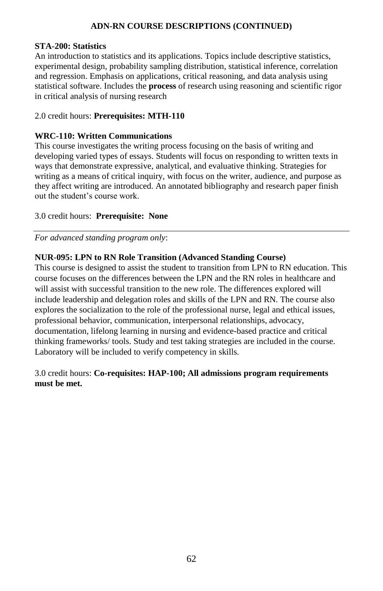#### **STA-200: Statistics**

An introduction to statistics and its applications. Topics include descriptive statistics, experimental design, probability sampling distribution, statistical inference, correlation and regression. Emphasis on applications, critical reasoning, and data analysis using statistical software. Includes the **process** of research using reasoning and scientific rigor in critical analysis of nursing research

#### 2.0 credit hours: **Prerequisites: MTH-110**

#### **WRC-110: Written Communications**

This course investigates the writing process focusing on the basis of writing and developing varied types of essays. Students will focus on responding to written texts in ways that demonstrate expressive, analytical, and evaluative thinking. Strategies for writing as a means of critical inquiry, with focus on the writer, audience, and purpose as they affect writing are introduced. An annotated bibliography and research paper finish out the student's course work.

#### 3.0 credit hours: **Prerequisite: None**

*For advanced standing program only*:

#### **NUR-095: LPN to RN Role Transition (Advanced Standing Course)**

This course is designed to assist the student to transition from LPN to RN education. This course focuses on the differences between the LPN and the RN roles in healthcare and will assist with successful transition to the new role. The differences explored will include leadership and delegation roles and skills of the LPN and RN. The course also explores the socialization to the role of the professional nurse, legal and ethical issues, professional behavior, communication, interpersonal relationships, advocacy, documentation, lifelong learning in nursing and evidence-based practice and critical thinking frameworks/ tools. Study and test taking strategies are included in the course. Laboratory will be included to verify competency in skills.

# 3.0 credit hours: **Co-requisites: HAP-100; All admissions program requirements must be met.**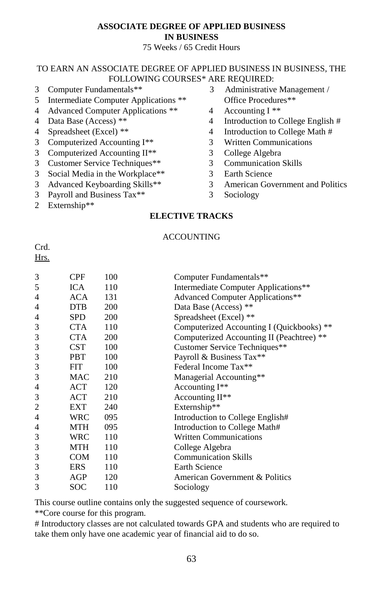# **ASSOCIATE DEGREE OF APPLIED BUSINESS IN BUSINESS**

## 75 Weeks / 65 Credit Hours

## TO EARN AN ASSOCIATE DEGREE OF APPLIED BUSINESS IN BUSINESS, THE FOLLOWING COURSES\* ARE REQUIRED:

- 
- Intermediate Computer Applications \*\* Office Procedures\*\*
- 4 Advanced Computer Applications \*\* 4 Accounting I \*\*
- 
- 
- Computerized Accounting I\*\* 3 Written Communications
- 3 Computerized Accounting II<sup>\*\*</sup> 3 College Algebra
- Customer Service Techniques\*\* 3 Communication Skills
- Social Media in the Workplace\*\* 3 Earth Science
- 
- 3 Payroll and Business Tax\*\* 3 Sociology
- Externship\*\*
- Computer Fundamentals\*\* 3 Administrative Management /
	-
- 4 Data Base (Access) \*\* 4 Introduction to College English #
- 4 Spreadsheet (Excel) \*\* 4 Introduction to College Math #
	-
	-
	-
	-
- Advanced Keyboarding Skills\*\* 3 American Government and Politics
	-

# **ELECTIVE TRACKS**

## **ACCOUNTING**

Crd. Hrs.

| 3 | CPF        | 100        | Computer Fundamentals**                   |
|---|------------|------------|-------------------------------------------|
| 5 | <b>ICA</b> | 110        | Intermediate Computer Applications**      |
| 4 | ACA        | 131        | <b>Advanced Computer Applications**</b>   |
| 4 | DTB.       | 200        | Data Base (Access) **                     |
| 4 | <b>SPD</b> | 200        | Spreadsheet (Excel) **                    |
| 3 | <b>CTA</b> | 110        | Computerized Accounting I (Quickbooks) ** |
| 3 | <b>CTA</b> | <b>200</b> | Computerized Accounting II (Peachtree) ** |
| 3 | <b>CST</b> | 100        | Customer Service Techniques**             |
| 3 | <b>PBT</b> | 100        | Payroll & Business Tax**                  |
| 3 | <b>FIT</b> | 100        | Federal Income Tax**                      |
| 3 | MAC.       | 210        | Managerial Accounting**                   |
| 4 | ACT        | 120        | Accounting I**                            |
| 3 | ACT        | 210        | Accounting II <sup>**</sup>               |
| 2 | EXT        | 240        | Externship**                              |
| 4 | <b>WRC</b> | 095        | Introduction to College English#          |
| 4 | MTH        | 095        | Introduction to College Math#             |
| 3 | WRC        | 110        | <b>Written Communications</b>             |
| 3 | MTH        | 110        | College Algebra                           |
| 3 | COM        | 110        | <b>Communication Skills</b>               |
| 3 | <b>ERS</b> | 110        | <b>Earth Science</b>                      |
| 3 | AGP        | 120        | American Government & Politics            |
| 3 | SOC        | 110        | Sociology                                 |
|   |            |            |                                           |

This course outline contains only the suggested sequence of coursework.

\*\*Core course for this program.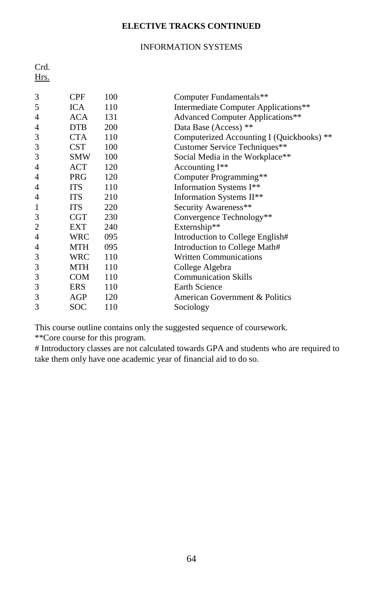# **ELECTIVE TRACKS CONTINUED**

# INFORMATION SYSTEMS

| Crd.<br>Hrs. |            |     |                                           |
|--------------|------------|-----|-------------------------------------------|
| 3            | <b>CPF</b> | 100 | Computer Fundamentals**                   |
| 5            | <b>ICA</b> | 110 | Intermediate Computer Applications**      |
| 4            | ACA        | 131 | <b>Advanced Computer Applications**</b>   |
| 4            | <b>DTB</b> | 200 | Data Base (Access) **                     |
| 3            | <b>CTA</b> | 110 | Computerized Accounting I (Quickbooks) ** |
| 3            | <b>CST</b> | 100 | Customer Service Techniques**             |
| 3            | SMW        | 100 | Social Media in the Workplace**           |
| 4            | ACT        | 120 | Accounting I <sup>**</sup>                |
| 4            | <b>PRG</b> | 120 | Computer Programming**                    |
| 4            | <b>ITS</b> | 110 | Information Systems I**                   |
| 4            | <b>ITS</b> | 210 | Information Systems II**                  |
| 1            | <b>ITS</b> | 220 | Security Awareness**                      |
| 3            | <b>CGT</b> | 230 | Convergence Technology**                  |
| 2            | EXT        | 240 | Externship**                              |
| 4            | <b>WRC</b> | 095 | Introduction to College English#          |
| 4            | MTH        | 095 | Introduction to College Math#             |
| 3            | WRC        | 110 | <b>Written Communications</b>             |
| 3            | MTH        | 110 | College Algebra                           |
| 3            | COM        | 110 | <b>Communication Skills</b>               |
| 3            | ERS        | 110 | <b>Earth Science</b>                      |
| 3            | AGP        | 120 | American Government & Politics            |
| 3            | <b>SOC</b> | 110 | Sociology                                 |

This course outline contains only the suggested sequence of coursework.

\*\*Core course for this program.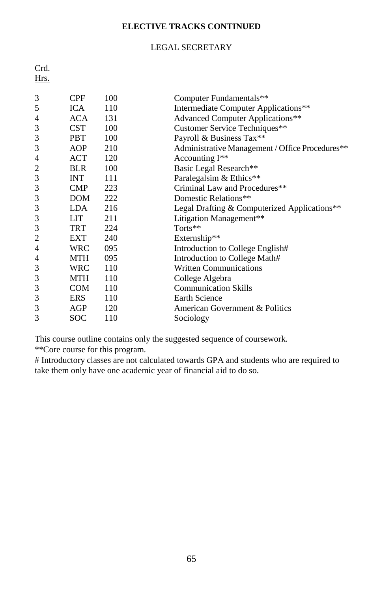# **ELECTIVE TRACKS CONTINUED**

# LEGAL SECRETARY

| Crd.<br>Hrs. |            |     |                                                 |
|--------------|------------|-----|-------------------------------------------------|
| 3            | <b>CPF</b> | 100 | Computer Fundamentals**                         |
| 5            | <b>ICA</b> | 110 | Intermediate Computer Applications**            |
| 4            | <b>ACA</b> | 131 | <b>Advanced Computer Applications**</b>         |
| 3            | <b>CST</b> | 100 | Customer Service Techniques**                   |
| 3            | <b>PBT</b> | 100 | Payroll & Business Tax**                        |
| 3            | AOP        | 210 | Administrative Management / Office Procedures** |
| 4            | <b>ACT</b> | 120 | Accounting I**                                  |
| 2            | <b>BLR</b> | 100 | Basic Legal Research**                          |
| 3            | <b>INT</b> | 111 | Paralegalsim & Ethics**                         |
| 3            | <b>CMP</b> | 223 | Criminal Law and Procedures**                   |
| 3            | DOM        | 222 | Domestic Relations**                            |
| 3            | LDA.       | 216 | Legal Drafting & Computerized Applications**    |
| 3            | LIT        | 211 | Litigation Management**                         |
| 3            | <b>TRT</b> | 224 | Torts**                                         |
| 2            | EXT        | 240 | Externship**                                    |
| 4            | <b>WRC</b> | 095 | Introduction to College English#                |
| 4            | <b>MTH</b> | 095 | Introduction to College Math#                   |
| 3            | <b>WRC</b> | 110 | <b>Written Communications</b>                   |
| 3            | <b>MTH</b> | 110 | College Algebra                                 |
| 3            | <b>COM</b> | 110 | <b>Communication Skills</b>                     |
| 3            | <b>ERS</b> | 110 | <b>Earth Science</b>                            |
| 3            | AGP        | 120 | American Government & Politics                  |
| 3            | <b>SOC</b> | 110 | Sociology                                       |

This course outline contains only the suggested sequence of coursework. \*\*Core course for this program.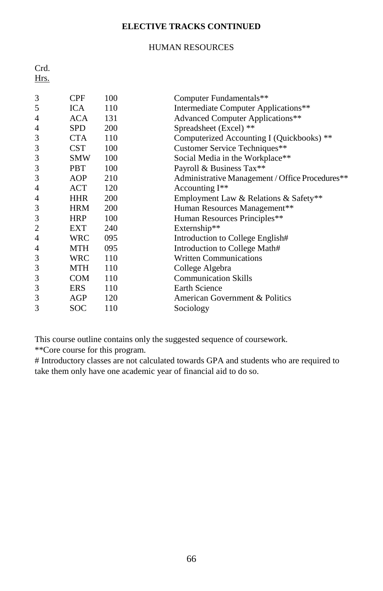# **ELECTIVE TRACKS CONTINUED**

# HUMAN RESOURCES

| Crd.<br>Hrs. |            |     |                                                 |
|--------------|------------|-----|-------------------------------------------------|
| 3            | <b>CPF</b> | 100 | Computer Fundamentals**                         |
| 5            | <b>ICA</b> | 110 | Intermediate Computer Applications**            |
| 4            | <b>ACA</b> | 131 | <b>Advanced Computer Applications**</b>         |
| 4            | <b>SPD</b> | 200 | Spreadsheet (Excel) **                          |
| 3            | <b>CTA</b> | 110 | Computerized Accounting I (Quickbooks) **       |
| 3            | <b>CST</b> | 100 | Customer Service Techniques**                   |
| 3            | <b>SMW</b> | 100 | Social Media in the Workplace**                 |
| 3            | <b>PBT</b> | 100 | Payroll & Business Tax**                        |
| 3            | AOP        | 210 | Administrative Management / Office Procedures** |
| 4            | ACT        | 120 | Accounting I <sup>**</sup>                      |
| 4            | <b>HHR</b> | 200 | Employment Law & Relations & Safety**           |
| 3            | <b>HRM</b> | 200 | Human Resources Management**                    |
| 3            | <b>HRP</b> | 100 | Human Resources Principles**                    |
| 2            | EXT        | 240 | Externship**                                    |
| 4            | <b>WRC</b> | 095 | Introduction to College English#                |
| 4            | <b>MTH</b> | 095 | Introduction to College Math#                   |
| 3            | <b>WRC</b> | 110 | <b>Written Communications</b>                   |
| 3            | MTH        | 110 | College Algebra                                 |
| 3            | <b>COM</b> | 110 | <b>Communication Skills</b>                     |
| 3            | <b>ERS</b> | 110 | <b>Earth Science</b>                            |
| 3            | AGP        | 120 | American Government & Politics                  |
| 3            | <b>SOC</b> | 110 | Sociology                                       |

This course outline contains only the suggested sequence of coursework. \*\*Core course for this program.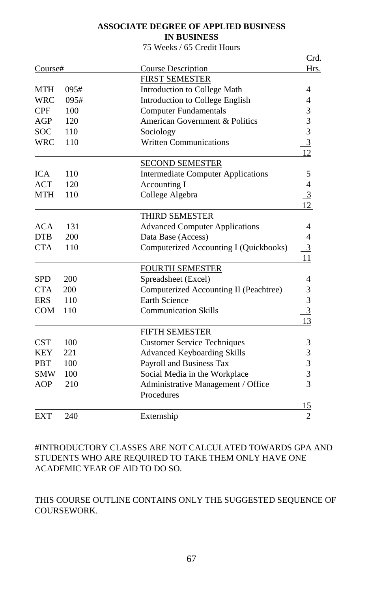# **ASSOCIATE DEGREE OF APPLIED BUSINESS**

# **IN BUSINESS**

# 75 Weeks / 65 Credit Hours

|            |      |                                           | Crd.           |
|------------|------|-------------------------------------------|----------------|
| Course#    |      | <b>Course Description</b>                 | Hrs.           |
|            |      | <b>FIRST SEMESTER</b>                     |                |
| MTH        | 095# | Introduction to College Math              | 4              |
| <b>WRC</b> | 095# | Introduction to College English           | 4              |
| <b>CPF</b> | 100  | <b>Computer Fundamentals</b>              | 3              |
| AGP        | 120  | American Government & Politics            | 3              |
| <b>SOC</b> | 110  | Sociology                                 | 3              |
| <b>WRC</b> | 110  | <b>Written Communications</b>             | $\overline{3}$ |
|            |      |                                           | 12             |
|            |      | <b>SECOND SEMESTER</b>                    |                |
| <b>ICA</b> | 110  | <b>Intermediate Computer Applications</b> | 5              |
| <b>ACT</b> | 120  | Accounting I                              | $\overline{4}$ |
| <b>MTH</b> | 110  | College Algebra                           | $\overline{3}$ |
|            |      |                                           | 12             |
|            |      | <b>THIRD SEMESTER</b>                     |                |
| ACA        | 131  | <b>Advanced Computer Applications</b>     | 4              |
| <b>DTB</b> | 200  | Data Base (Access)                        | 4              |
| <b>CTA</b> | 110  | Computerized Accounting I (Quickbooks)    | $\overline{3}$ |
|            |      |                                           | 11             |
|            |      | <b>FOURTH SEMESTER</b>                    |                |
| <b>SPD</b> | 200  | Spreadsheet (Excel)                       | 4              |
| <b>CTA</b> | 200  | Computerized Accounting II (Peachtree)    | 3              |
| <b>ERS</b> | 110  | <b>Earth Science</b>                      | 3              |
| <b>COM</b> | 110  | <b>Communication Skills</b>               | $\overline{3}$ |
|            |      |                                           | 13             |
|            |      | <b>FIFTH SEMESTER</b>                     |                |
| <b>CST</b> | 100  | <b>Customer Service Techniques</b>        | 3              |
| KEY        | 221  | <b>Advanced Keyboarding Skills</b>        | 3              |
| <b>PBT</b> | 100  | Payroll and Business Tax                  | 3              |
| <b>SMW</b> | 100  | Social Media in the Workplace             | 3              |
| AOP        | 210  | Administrative Management / Office        | 3              |
|            |      | Procedures                                |                |
|            |      |                                           | 15             |
| <b>EXT</b> | 240  | Externship                                | $\overline{2}$ |

#INTRODUCTORY CLASSES ARE NOT CALCULATED TOWARDS GPA AND STUDENTS WHO ARE REQUIRED TO TAKE THEM ONLY HAVE ONE ACADEMIC YEAR OF AID TO DO SO.

# THIS COURSE OUTLINE CONTAINS ONLY THE SUGGESTED SEQUENCE OF COURSEWORK.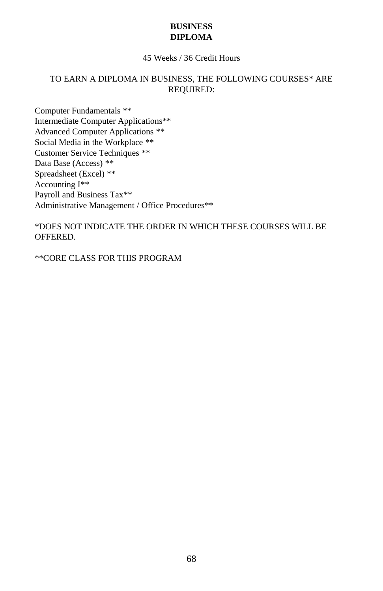# **BUSINESS DIPLOMA**

# 45 Weeks / 36 Credit Hours

# TO EARN A DIPLOMA IN BUSINESS, THE FOLLOWING COURSES\* ARE REQUIRED:

Computer Fundamentals \*\* Intermediate Computer Applications\*\* Advanced Computer Applications \*\* Social Media in the Workplace \*\* Customer Service Techniques \*\* Data Base (Access) \*\* Spreadsheet (Excel) \*\* Accounting I\*\* Payroll and Business Tax\*\* Administrative Management / Office Procedures\*\*

\*DOES NOT INDICATE THE ORDER IN WHICH THESE COURSES WILL BE OFFERED.

\*\*CORE CLASS FOR THIS PROGRAM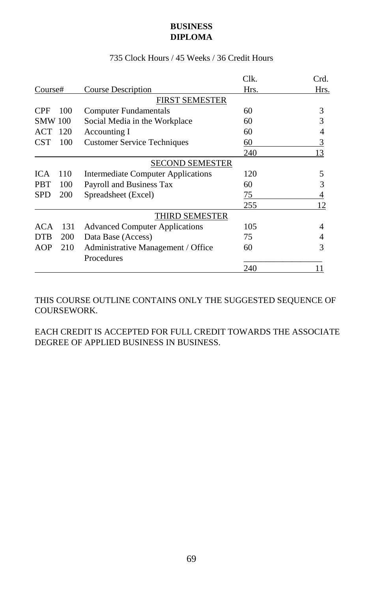# **BUSINESS DIPLOMA**

|                          |                                           | Clk. | Crd. |
|--------------------------|-------------------------------------------|------|------|
| Course#                  | <b>Course Description</b>                 | Hrs. | Hrs. |
|                          | <b>FIRST SEMESTER</b>                     |      |      |
| <b>CPF</b><br>100        | <b>Computer Fundamentals</b>              | 60   | 3    |
| <b>SMW 100</b>           | Social Media in the Workplace             | 60   | 3    |
| ACT<br>120               | Accounting I                              | 60   | 4    |
| <b>CST</b><br>100        | <b>Customer Service Techniques</b>        | 60   | 3    |
|                          |                                           | 240  | 13   |
|                          | SECOND SEMESTER                           |      |      |
| 110<br><b>ICA</b>        | <b>Intermediate Computer Applications</b> | 120  | 5    |
| <b>PBT</b><br>100        | Payroll and Business Tax                  | 60   | 3    |
| <b>SPD</b><br>200        | Spreadsheet (Excel)                       | 75   |      |
|                          |                                           | 255  | 12   |
|                          | THIRD SEMESTER                            |      |      |
| ACA<br>131               | <b>Advanced Computer Applications</b>     | 105  | 4    |
| <b>200</b><br><b>DTB</b> | Data Base (Access)                        | 75   | 4    |
| AOP<br>210               | Administrative Management / Office        | 60   | 3    |
|                          | Procedures                                |      |      |
|                          |                                           | 240  | 11   |

# 735 Clock Hours / 45 Weeks / 36 Credit Hours

THIS COURSE OUTLINE CONTAINS ONLY THE SUGGESTED SEQUENCE OF COURSEWORK.

EACH CREDIT IS ACCEPTED FOR FULL CREDIT TOWARDS THE ASSOCIATE DEGREE OF APPLIED BUSINESS IN BUSINESS.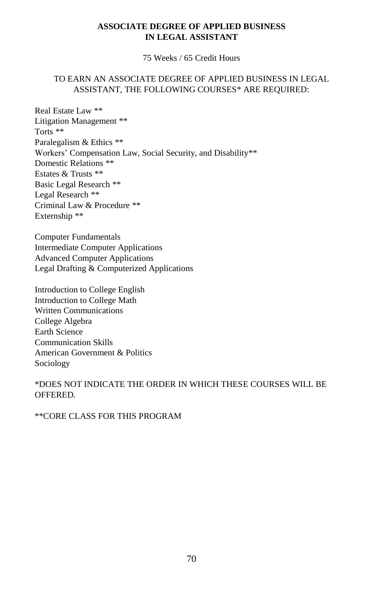# **ASSOCIATE DEGREE OF APPLIED BUSINESS IN LEGAL ASSISTANT**

75 Weeks / 65 Credit Hours

# TO EARN AN ASSOCIATE DEGREE OF APPLIED BUSINESS IN LEGAL ASSISTANT, THE FOLLOWING COURSES\* ARE REQUIRED:

Real Estate Law \*\* Litigation Management \*\* Torts \*\* Paralegalism & Ethics \*\* Workers' Compensation Law, Social Security, and Disability\*\* Domestic Relations \*\* Estates & Trusts \*\* Basic Legal Research \*\* Legal Research \*\* Criminal Law & Procedure \*\* Externship \*\*

Computer Fundamentals Intermediate Computer Applications Advanced Computer Applications Legal Drafting & Computerized Applications

Introduction to College English Introduction to College Math Written Communications College Algebra Earth Science Communication Skills American Government & Politics Sociology

# \*DOES NOT INDICATE THE ORDER IN WHICH THESE COURSES WILL BE OFFERED.

\*\*CORE CLASS FOR THIS PROGRAM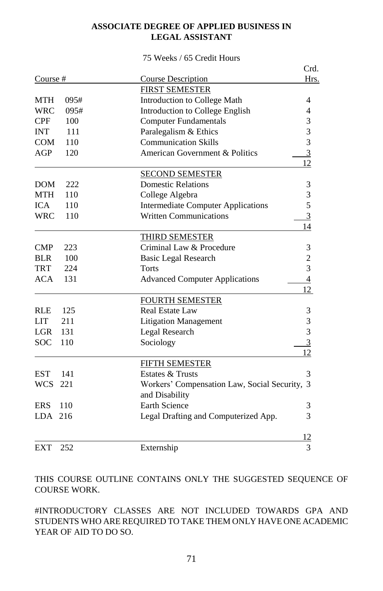# **ASSOCIATE DEGREE OF APPLIED BUSINESS IN LEGAL ASSISTANT**

#### 75 Weeks / 65 Credit Hours

|                    |                                               | Crd.           |
|--------------------|-----------------------------------------------|----------------|
| Course#            | <b>Course Description</b>                     | Hrs.           |
|                    | <b>FIRST SEMESTER</b>                         |                |
| MTH<br>095#        | Introduction to College Math                  | 4              |
| <b>WRC</b><br>095# | Introduction to College English               | 4              |
| <b>CPF</b><br>100  | <b>Computer Fundamentals</b>                  | 3              |
| 111<br><b>INT</b>  | Paralegalism & Ethics                         | 3              |
| <b>COM</b><br>110  | <b>Communication Skills</b>                   | 3              |
| AGP<br>120         | American Government & Politics                | $\overline{3}$ |
|                    |                                               | 12             |
|                    | <b>SECOND SEMESTER</b>                        |                |
| 222<br><b>DOM</b>  | <b>Domestic Relations</b>                     | 3              |
| MTH<br>110         | College Algebra                               | 3              |
| <b>ICA</b><br>110  | <b>Intermediate Computer Applications</b>     | 5              |
| <b>WRC</b><br>110  | <b>Written Communications</b>                 | $\overline{3}$ |
|                    |                                               | 14             |
|                    | <b>THIRD SEMESTER</b>                         |                |
| <b>CMP</b><br>223  | Criminal Law & Procedure                      | 3              |
| <b>BLR</b><br>100  | <b>Basic Legal Research</b>                   | $\overline{c}$ |
| <b>TRT</b><br>224  | Torts                                         | 3              |
| <b>ACA</b><br>131  | <b>Advanced Computer Applications</b>         | $\overline{4}$ |
|                    |                                               | 12             |
|                    | <b>FOURTH SEMESTER</b>                        |                |
| <b>RLE</b><br>125  | <b>Real Estate Law</b>                        | 3              |
| <b>LIT</b><br>211  | <b>Litigation Management</b>                  | 3              |
| LGR.<br>131        | Legal Research                                | 3              |
| <b>SOC</b><br>110  | Sociology                                     | $\overline{3}$ |
|                    |                                               | 12             |
|                    | FIFTH SEMESTER                                |                |
| <b>EST</b><br>141  | Estates & Trusts                              | 3              |
| WCS 221            | Workers' Compensation Law, Social Security, 3 |                |
|                    | and Disability                                |                |
| <b>ERS</b><br>110  | Earth Science                                 | 3              |
| <b>LDA</b><br>216  | Legal Drafting and Computerized App.          | 3              |
|                    |                                               | 12             |
| <b>EXT</b><br>252  | Externship                                    | 3              |

THIS COURSE OUTLINE CONTAINS ONLY THE SUGGESTED SEQUENCE OF COURSE WORK.

#INTRODUCTORY CLASSES ARE NOT INCLUDED TOWARDS GPA AND STUDENTS WHO ARE REQUIRED TO TAKE THEM ONLY HAVE ONE ACADEMIC YEAR OF AID TO DO SO.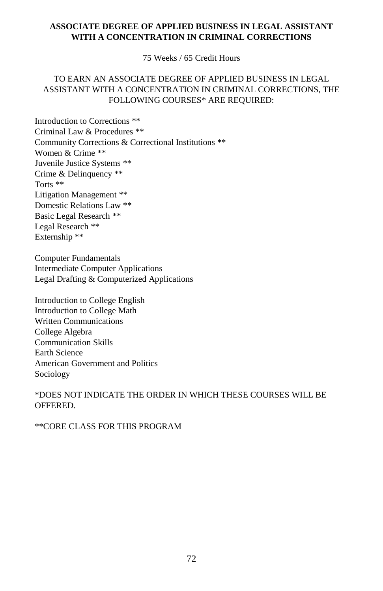# **ASSOCIATE DEGREE OF APPLIED BUSINESS IN LEGAL ASSISTANT WITH A CONCENTRATION IN CRIMINAL CORRECTIONS**

75 Weeks / 65 Credit Hours

# TO EARN AN ASSOCIATE DEGREE OF APPLIED BUSINESS IN LEGAL ASSISTANT WITH A CONCENTRATION IN CRIMINAL CORRECTIONS, THE FOLLOWING COURSES\* ARE REQUIRED:

Introduction to Corrections \*\* Criminal Law & Procedures \*\* Community Corrections & Correctional Institutions \*\* Women & Crime \*\* Juvenile Justice Systems \*\* Crime & Delinquency \*\* Torts \*\* Litigation Management \*\* Domestic Relations Law \*\* Basic Legal Research \*\* Legal Research \*\* Externship \*\*

Computer Fundamentals Intermediate Computer Applications Legal Drafting & Computerized Applications

Introduction to College English Introduction to College Math Written Communications College Algebra Communication Skills Earth Science American Government and Politics Sociology

\*DOES NOT INDICATE THE ORDER IN WHICH THESE COURSES WILL BE OFFERED.

\*\*CORE CLASS FOR THIS PROGRAM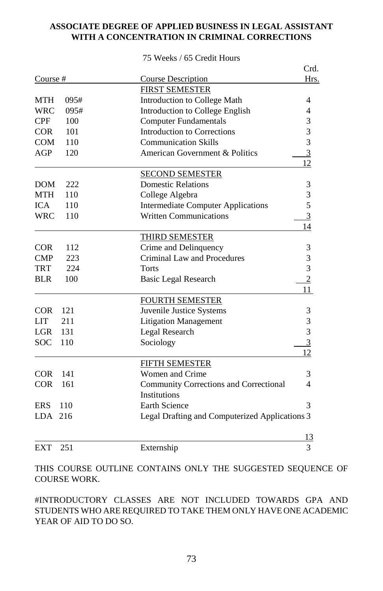# **ASSOCIATE DEGREE OF APPLIED BUSINESS IN LEGAL ASSISTANT WITH A CONCENTRATION IN CRIMINAL CORRECTIONS**

|              |      |                                                | Crd.            |
|--------------|------|------------------------------------------------|-----------------|
| Course #     |      | <b>Course Description</b>                      | Hrs.            |
|              |      | <b>FIRST SEMESTER</b>                          |                 |
| MTH          | 095# | Introduction to College Math                   | 4               |
| <b>WRC</b>   | 095# | Introduction to College English                | 4               |
| CPF          | 100  | <b>Computer Fundamentals</b>                   | 3               |
| <b>COR</b>   | 101  | Introduction to Corrections                    | 3               |
| <b>COM</b>   | 110  | <b>Communication Skills</b>                    | 3               |
| AGP          | 120  | American Government & Politics                 | $\overline{3}$  |
|              |      |                                                | 12              |
|              |      | <b>SECOND SEMESTER</b>                         |                 |
| <b>DOM</b>   | 222  | <b>Domestic Relations</b>                      | 3               |
| <b>MTH</b>   | 110  | College Algebra                                | 3               |
| <b>ICA</b>   | 110  | <b>Intermediate Computer Applications</b>      | 5               |
| <b>WRC</b>   | 110  | <b>Written Communications</b>                  | $\overline{3}$  |
|              |      |                                                | 14              |
|              |      | <b>THIRD SEMESTER</b>                          |                 |
| <b>COR</b>   | 112  | Crime and Delinquency                          | 3               |
| $\text{CMP}$ | 223  | Criminal Law and Procedures                    | 3               |
| <b>TRT</b>   | 224  | Torts                                          | 3               |
| <b>BLR</b>   | 100  | <b>Basic Legal Research</b>                    | $\overline{2}$  |
|              |      |                                                | 11              |
|              |      | <b>FOURTH SEMESTER</b>                         |                 |
| COR          | 121  | Juvenile Justice Systems                       | 3               |
| <b>LIT</b>   | 211  | <b>Litigation Management</b>                   | 3               |
| <b>LGR</b>   | 131  | Legal Research                                 | 3               |
| <b>SOC</b>   | 110  | Sociology                                      | $\overline{3}$  |
|              |      |                                                | 12 <sub>1</sub> |
|              |      | FIFTH SEMESTER                                 |                 |
| <b>COR</b>   | 141  | Women and Crime                                | 3               |
| <b>COR</b>   | 161  | Community Corrections and Correctional         | $\overline{4}$  |
|              |      | Institutions                                   |                 |
| <b>ERS</b>   | 110  | <b>Earth Science</b>                           | 3               |
| LDA.         | 216  | Legal Drafting and Computerized Applications 3 |                 |
|              |      |                                                | 13              |
| <b>EXT</b>   | 251  | Externship                                     | 3               |

#### 75 Weeks / 65 Credit Hours

THIS COURSE OUTLINE CONTAINS ONLY THE SUGGESTED SEQUENCE OF COURSE WORK.

#INTRODUCTORY CLASSES ARE NOT INCLUDED TOWARDS GPA AND STUDENTS WHO ARE REQUIRED TO TAKE THEM ONLY HAVE ONE ACADEMIC YEAR OF AID TO DO SO.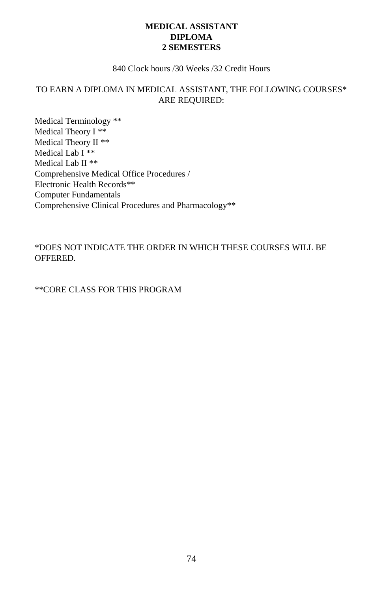# **MEDICAL ASSISTANT DIPLOMA 2 SEMESTERS**

#### 840 Clock hours /30 Weeks /32 Credit Hours

# TO EARN A DIPLOMA IN MEDICAL ASSISTANT, THE FOLLOWING COURSES\* ARE REQUIRED:

Medical Terminology \*\* Medical Theory I \*\* Medical Theory II \*\* Medical Lab I \*\* Medical Lab II \*\* Comprehensive Medical Office Procedures / Electronic Health Records\*\* Computer Fundamentals Comprehensive Clinical Procedures and Pharmacology\*\*

\*DOES NOT INDICATE THE ORDER IN WHICH THESE COURSES WILL BE OFFERED.

\*\*CORE CLASS FOR THIS PROGRAM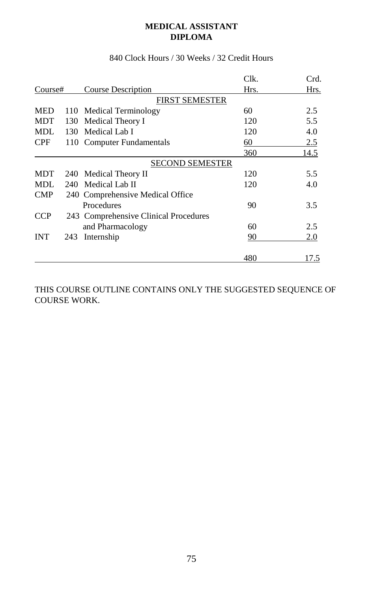# **MEDICAL ASSISTANT DIPLOMA**

|            |     |                                       | Clk. | Crd. |
|------------|-----|---------------------------------------|------|------|
| Course#    |     | Course Description                    | Hrs. | Hrs. |
|            |     | <b>FIRST SEMESTER</b>                 |      |      |
| <b>MED</b> | 110 | Medical Terminology                   | 60   | 2.5  |
| <b>MDT</b> | 130 | Medical Theory I                      | 120  | 5.5  |
| MDL.       |     | 130 Medical Lab I                     | 120  | 4.0  |
| <b>CPF</b> |     | 110 Computer Fundamentals             | 60   | 2.5  |
|            |     |                                       | 360  | 14.5 |
|            |     | <b>SECOND SEMESTER</b>                |      |      |
| <b>MDT</b> | 240 | Medical Theory II                     | 120  | 5.5  |
| <b>MDL</b> |     | 240 Medical Lab II                    | 120  | 4.0  |
| <b>CMP</b> |     | 240 Comprehensive Medical Office      |      |      |
|            |     | Procedures                            | 90   | 3.5  |
| <b>CCP</b> |     | 243 Comprehensive Clinical Procedures |      |      |
|            |     | and Pharmacology                      | 60   | 2.5  |
| <b>INT</b> | 243 | Internship                            | 90   | 2.0  |
|            |     |                                       | 480  | 17.5 |

# 840 Clock Hours / 30 Weeks / 32 Credit Hours

THIS COURSE OUTLINE CONTAINS ONLY THE SUGGESTED SEQUENCE OF COURSE WORK.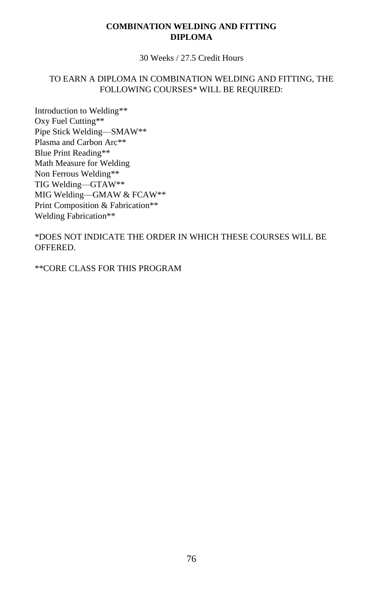# **COMBINATION WELDING AND FITTING DIPLOMA**

30 Weeks / 27.5 Credit Hours

# TO EARN A DIPLOMA IN COMBINATION WELDING AND FITTING, THE FOLLOWING COURSES\* WILL BE REQUIRED:

Introduction to Welding\*\* Oxy Fuel Cutting\*\* Pipe Stick Welding—SMAW\*\* Plasma and Carbon Arc\*\* Blue Print Reading\*\* Math Measure for Welding Non Ferrous Welding\*\* TIG Welding—GTAW\*\* MIG Welding—GMAW & FCAW\*\* Print Composition & Fabrication\*\* Welding Fabrication\*\*

\*DOES NOT INDICATE THE ORDER IN WHICH THESE COURSES WILL BE OFFERED.

\*\*CORE CLASS FOR THIS PROGRAM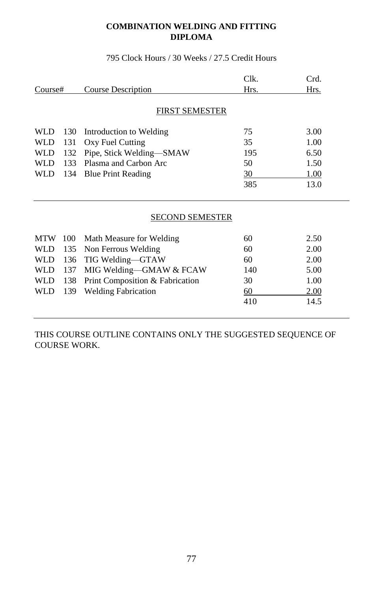# **COMBINATION WELDING AND FITTING DIPLOMA**

795 Clock Hours / 30 Weeks / 27.5 Credit Hours

|            |                 |                           | Clk. | Crd. |  |
|------------|-----------------|---------------------------|------|------|--|
| Course#    |                 | Course Description        | Hrs. | Hrs. |  |
|            |                 |                           |      |      |  |
|            |                 | FIRST SEMESTER            |      |      |  |
| WLD 130    |                 | Introduction to Welding   | 75   | 3.00 |  |
| <b>WLD</b> | 131             | Oxy Fuel Cutting          | 35   | 1.00 |  |
| <b>WLD</b> | 132             | Pipe, Stick Welding—SMAW  | 195  | 6.50 |  |
| WLD.       | 133             | Plasma and Carbon Arc     | 50   | 1.50 |  |
| WLD        | 134             | <b>Blue Print Reading</b> | 30   | 1.00 |  |
|            |                 |                           | 385  | 13.0 |  |
|            |                 |                           |      |      |  |
|            |                 |                           |      |      |  |
|            | SECOND SEMESTER |                           |      |      |  |

|  | MTW 100 Math Measure for Welding        | 60  | 2.50 |
|--|-----------------------------------------|-----|------|
|  | WLD 135 Non Ferrous Welding             | 60  | 2.00 |
|  | WLD 136 TIG Welding-GTAW                | 60  | 2.00 |
|  | WLD 137 MIG Welding-GMAW & FCAW         | 140 | 5.00 |
|  | WLD 138 Print Composition & Fabrication | 30  | 1.00 |
|  | WLD 139 Welding Fabrication             | 60  | 2.00 |
|  |                                         | 410 | 14.5 |
|  |                                         |     |      |

THIS COURSE OUTLINE CONTAINS ONLY THE SUGGESTED SEQUENCE OF COURSE WORK.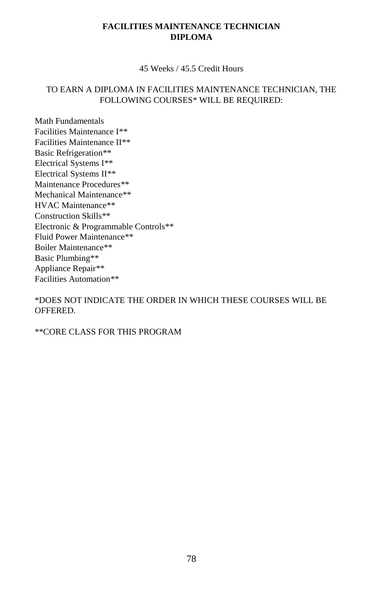# **FACILITIES MAINTENANCE TECHNICIAN DIPLOMA**

45 Weeks / 45.5 Credit Hours

# TO EARN A DIPLOMA IN FACILITIES MAINTENANCE TECHNICIAN, THE FOLLOWING COURSES\* WILL BE REQUIRED:

Math Fundamentals Facilities Maintenance I\*\* Facilities Maintenance II\*\* Basic Refrigeration\*\* Electrical Systems I\*\* Electrical Systems II\*\* Maintenance Procedures\*\* Mechanical Maintenance\*\* HVAC Maintenance\*\* Construction Skills\*\* Electronic & Programmable Controls\*\* Fluid Power Maintenance\*\* Boiler Maintenance\*\* Basic Plumbing\*\* Appliance Repair\*\* Facilities Automation\*\*

\*DOES NOT INDICATE THE ORDER IN WHICH THESE COURSES WILL BE OFFERED.

\*\*CORE CLASS FOR THIS PROGRAM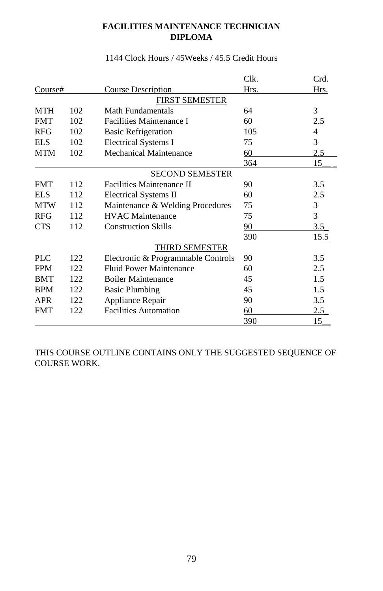# **FACILITIES MAINTENANCE TECHNICIAN DIPLOMA**

|            |     |                                    | Clk. | Crd. |
|------------|-----|------------------------------------|------|------|
| Course#    |     | Course Description                 | Hrs. | Hrs. |
|            |     | <b>FIRST SEMESTER</b>              |      |      |
| <b>MTH</b> | 102 | Math Fundamentals                  | 64   | 3    |
| <b>FMT</b> | 102 | <b>Facilities Maintenance I</b>    | 60   | 2.5  |
| <b>RFG</b> | 102 | <b>Basic Refrigeration</b>         | 105  | 4    |
| EL S       | 102 | <b>Electrical Systems I</b>        | 75   | 3    |
| MTM        | 102 | <b>Mechanical Maintenance</b>      | 60   | 2.5  |
|            |     |                                    | 364  | 15   |
|            |     | <b>SECOND SEMESTER</b>             |      |      |
| <b>FMT</b> | 112 | <b>Facilities Maintenance II</b>   | 90   | 3.5  |
| EL S       | 112 | Electrical Systems II              | 60   | 2.5  |
| <b>MTW</b> | 112 | Maintenance & Welding Procedures   | 75   | 3    |
| <b>RFG</b> | 112 | <b>HVAC</b> Maintenance            | 75   | 3    |
| CTS        | 112 | <b>Construction Skills</b>         | 90   | 3.5  |
|            |     |                                    | 390  | 15.5 |
|            |     | THIRD SEMESTER                     |      |      |
| PLC        | 122 | Electronic & Programmable Controls | 90   | 3.5  |
| <b>FPM</b> | 122 | Fluid Power Maintenance            | 60   | 2.5  |
| <b>BMT</b> | 122 | <b>Boiler Maintenance</b>          | 45   | 1.5  |
| <b>BPM</b> | 122 | <b>Basic Plumbing</b>              | 45   | 1.5  |
| <b>APR</b> | 122 | Appliance Repair                   | 90   | 3.5  |
| <b>FMT</b> | 122 | <b>Facilities Automation</b>       | 60   | 2.5  |
|            |     |                                    | 390  | 15   |

# 1144 Clock Hours / 45Weeks / 45.5 Credit Hours

THIS COURSE OUTLINE CONTAINS ONLY THE SUGGESTED SEQUENCE OF COURSE WORK.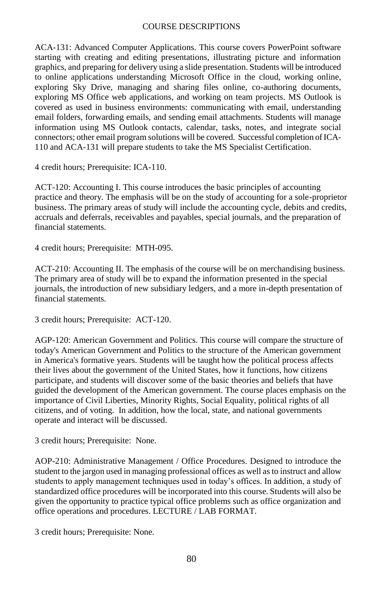## COURSE DESCRIPTIONS

ACA-131: Advanced Computer Applications. This course covers PowerPoint software starting with creating and editing presentations, illustrating picture and information graphics, and preparing for delivery using a slide presentation. Students will be introduced to online applications understanding Microsoft Office in the cloud, working online, exploring Sky Drive, managing and sharing files online, co-authoring documents, exploring MS Office web applications, and working on team projects. MS Outlook is covered as used in business environments: communicating with email, understanding email folders, forwarding emails, and sending email attachments. Students will manage information using MS Outlook contacts, calendar, tasks, notes, and integrate social connectors; other email program solutions will be covered. Successful completion of ICA-110 and ACA-131 will prepare students to take the MS Specialist Certification.

4 credit hours; Prerequisite: ICA-110.

ACT-120: Accounting I. This course introduces the basic principles of accounting practice and theory. The emphasis will be on the study of accounting for a sole-proprietor business. The primary areas of study will include the accounting cycle, debits and credits, accruals and deferrals, receivables and payables, special journals, and the preparation of financial statements.

4 credit hours; Prerequisite: MTH-095.

ACT-210: Accounting II. The emphasis of the course will be on merchandising business. The primary area of study will be to expand the information presented in the special journals, the introduction of new subsidiary ledgers, and a more in-depth presentation of financial statements.

3 credit hours; Prerequisite: ACT-120.

AGP-120: American Government and Politics. This course will compare the structure of today's American Government and Politics to the structure of the American government in America's formative years. Students will be taught how the political process affects their lives about the government of the United States, how it functions, how citizens participate, and students will discover some of the basic theories and beliefs that have guided the development of the American government. The course places emphasis on the importance of Civil Liberties, Minority Rights, Social Equality, political rights of all citizens, and of voting. In addition, how the local, state, and national governments operate and interact will be discussed.

3 credit hours; Prerequisite: None.

AOP-210: Administrative Management / Office Procedures. Designed to introduce the student to the jargon used in managing professional offices as well as to instruct and allow students to apply management techniques used in today's offices. In addition, a study of standardized office procedures will be incorporated into this course. Students will also be given the opportunity to practice typical office problems such as office organization and office operations and procedures. LECTURE / LAB FORMAT.

3 credit hours; Prerequisite: None.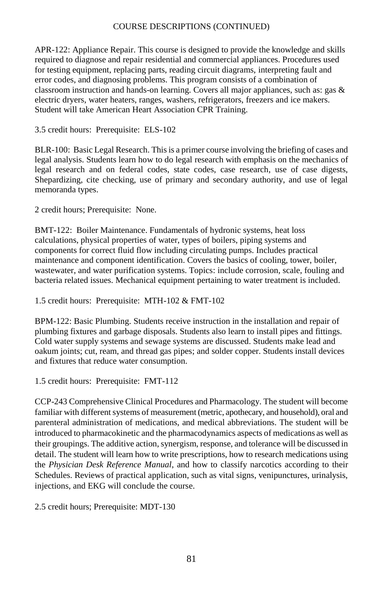APR-122: Appliance Repair. This course is designed to provide the knowledge and skills required to diagnose and repair residential and commercial appliances. Procedures used for testing equipment, replacing parts, reading circuit diagrams, interpreting fault and error codes, and diagnosing problems. This program consists of a combination of classroom instruction and hands-on learning. Covers all major appliances, such as: gas & electric dryers, water heaters, ranges, washers, refrigerators, freezers and ice makers. Student will take American Heart Association CPR Training.

3.5 credit hours: Prerequisite: ELS-102

BLR-100: Basic Legal Research. This is a primer course involving the briefing of cases and legal analysis. Students learn how to do legal research with emphasis on the mechanics of legal research and on federal codes, state codes, case research, use of case digests, Shepardizing, cite checking, use of primary and secondary authority, and use of legal memoranda types.

2 credit hours; Prerequisite: None.

BMT-122: Boiler Maintenance. Fundamentals of hydronic systems, heat loss calculations, physical properties of water, types of boilers, piping systems and components for correct fluid flow including circulating pumps. Includes practical maintenance and component identification. Covers the basics of cooling, tower, boiler, wastewater, and water purification systems. Topics: include corrosion, scale, fouling and bacteria related issues. Mechanical equipment pertaining to water treatment is included.

1.5 credit hours: Prerequisite: MTH-102 & FMT-102

BPM-122: Basic Plumbing. Students receive instruction in the installation and repair of plumbing fixtures and garbage disposals. Students also learn to install pipes and fittings. Cold water supply systems and sewage systems are discussed. Students make lead and oakum joints; cut, ream, and thread gas pipes; and solder copper. Students install devices and fixtures that reduce water consumption.

1.5 credit hours: Prerequisite: FMT-112

CCP-243 Comprehensive Clinical Procedures and Pharmacology. The student will become familiar with different systems of measurement (metric, apothecary, and household), oral and parenteral administration of medications, and medical abbreviations. The student will be introduced to pharmacokinetic and the pharmacodynamics aspects of medications as well as their groupings. The additive action, synergism, response, and tolerance will be discussed in detail. The student will learn how to write prescriptions, how to research medications using the *Physician Desk Reference Manual*, and how to classify narcotics according to their Schedules. Reviews of practical application, such as vital signs, venipunctures, urinalysis, injections, and EKG will conclude the course.

2.5 credit hours; Prerequisite: MDT-130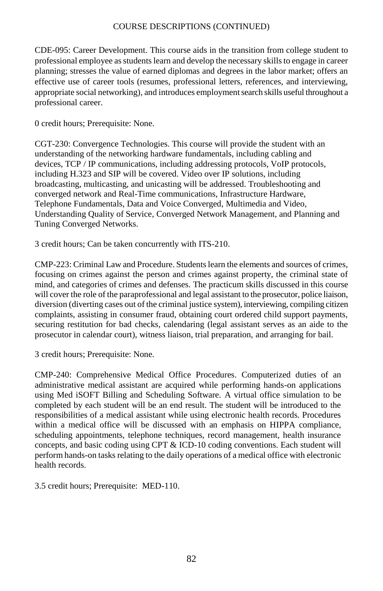CDE-095: Career Development. This course aids in the transition from college student to professional employee as students learn and develop the necessary skills to engage in career planning; stresses the value of earned diplomas and degrees in the labor market; offers an effective use of career tools (resumes, professional letters, references, and interviewing, appropriate social networking), and introduces employment search skills useful throughout a professional career.

0 credit hours; Prerequisite: None.

CGT-230: Convergence Technologies. This course will provide the student with an understanding of the networking hardware fundamentals, including cabling and devices, TCP / IP communications, including addressing protocols, VoIP protocols, including H.323 and SIP will be covered. Video over IP solutions, including broadcasting, multicasting, and unicasting will be addressed. Troubleshooting and converged network and Real-Time communications, Infrastructure Hardware, Telephone Fundamentals, Data and Voice Converged, Multimedia and Video, Understanding Quality of Service, Converged Network Management, and Planning and Tuning Converged Networks.

3 credit hours; Can be taken concurrently with ITS-210.

CMP-223: Criminal Law and Procedure. Students learn the elements and sources of crimes, focusing on crimes against the person and crimes against property, the criminal state of mind, and categories of crimes and defenses. The practicum skills discussed in this course will cover the role of the paraprofessional and legal assistant to the prosecutor, police liaison, diversion (diverting cases out of the criminal justice system), interviewing, compiling citizen complaints, assisting in consumer fraud, obtaining court ordered child support payments, securing restitution for bad checks, calendaring (legal assistant serves as an aide to the prosecutor in calendar court), witness liaison, trial preparation, and arranging for bail.

3 credit hours; Prerequisite: None.

CMP-240: Comprehensive Medical Office Procedures. Computerized duties of an administrative medical assistant are acquired while performing hands-on applications using Med iSOFT Billing and Scheduling Software. A virtual office simulation to be completed by each student will be an end result. The student will be introduced to the responsibilities of a medical assistant while using electronic health records. Procedures within a medical office will be discussed with an emphasis on HIPPA compliance, scheduling appointments, telephone techniques, record management, health insurance concepts, and basic coding using CPT & ICD-10 coding conventions. Each student will perform hands-on tasks relating to the daily operations of a medical office with electronic health records.

3.5 credit hours; Prerequisite: MED-110.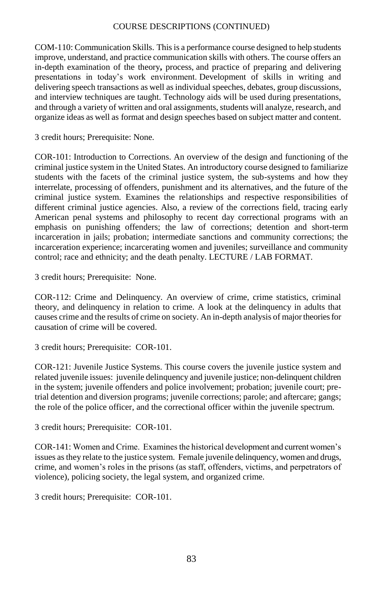COM-110: Communication Skills. This is a performance course designed to help students improve, understand, and practice communication skills with others. The course offers an in-depth examination of the theory**,** process, and practice of preparing and delivering presentations in today's work environment. Development of skills in writing and delivering speech transactions as well as individual speeches, debates, group discussions, and interview techniques are taught. Technology aids will be used during presentations, and through a variety of written and oral assignments, students will analyze, research, and organize ideas as well as format and design speeches based on subject matter and content.

3 credit hours; Prerequisite: None.

COR-101: Introduction to Corrections. An overview of the design and functioning of the criminal justice system in the United States. An introductory course designed to familiarize students with the facets of the criminal justice system, the sub-systems and how they interrelate, processing of offenders, punishment and its alternatives, and the future of the criminal justice system. Examines the relationships and respective responsibilities of different criminal justice agencies. Also, a review of the corrections field, tracing early American penal systems and philosophy to recent day correctional programs with an emphasis on punishing offenders; the law of corrections; detention and short-term incarceration in jails; probation; intermediate sanctions and community corrections; the incarceration experience; incarcerating women and juveniles; surveillance and community control; race and ethnicity; and the death penalty. LECTURE / LAB FORMAT.

3 credit hours; Prerequisite: None.

COR-112: Crime and Delinquency. An overview of crime, crime statistics, criminal theory, and delinquency in relation to crime. A look at the delinquency in adults that causes crime and the results of crime on society. An in-depth analysis of major theories for causation of crime will be covered.

3 credit hours; Prerequisite: COR-101.

COR-121: Juvenile Justice Systems. This course covers the juvenile justice system and related juvenile issues: juvenile delinquency and juvenile justice; non-delinquent children in the system; juvenile offenders and police involvement; probation; juvenile court; pretrial detention and diversion programs; juvenile corrections; parole; and aftercare; gangs; the role of the police officer, and the correctional officer within the juvenile spectrum.

3 credit hours; Prerequisite: COR-101.

COR-141: Women and Crime. Examines the historical development and current women's issues as they relate to the justice system. Female juvenile delinquency, women and drugs, crime, and women's roles in the prisons (as staff, offenders, victims, and perpetrators of violence), policing society, the legal system, and organized crime.

3 credit hours; Prerequisite: COR-101.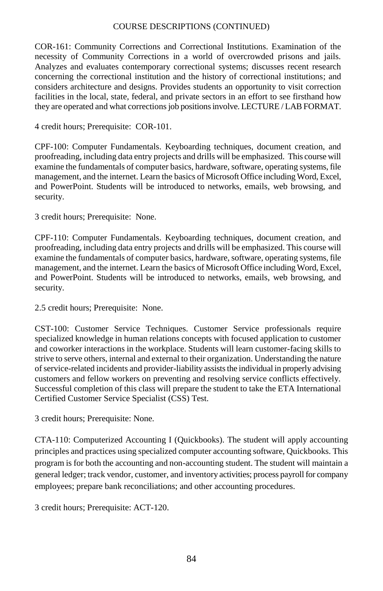COR-161: Community Corrections and Correctional Institutions. Examination of the necessity of Community Corrections in a world of overcrowded prisons and jails. Analyzes and evaluates contemporary correctional systems; discusses recent research concerning the correctional institution and the history of correctional institutions; and considers architecture and designs. Provides students an opportunity to visit correction facilities in the local, state, federal, and private sectors in an effort to see firsthand how they are operated and what corrections job positions involve. LECTURE / LAB FORMAT.

4 credit hours; Prerequisite: COR-101.

CPF-100: Computer Fundamentals. Keyboarding techniques, document creation, and proofreading, including data entry projects and drills will be emphasized. This course will examine the fundamentals of computer basics, hardware, software, operating systems, file management, and the internet. Learn the basics of Microsoft Office includingWord, Excel, and PowerPoint. Students will be introduced to networks, emails, web browsing, and security.

3 credit hours; Prerequisite: None.

CPF-110: Computer Fundamentals. Keyboarding techniques, document creation, and proofreading, including data entry projects and drills will be emphasized. This course will examine the fundamentals of computer basics, hardware, software, operating systems, file management, and the internet. Learn the basics of Microsoft Office including Word, Excel, and PowerPoint. Students will be introduced to networks, emails, web browsing, and security.

2.5 credit hours; Prerequisite: None.

CST-100: Customer Service Techniques. Customer Service professionals require specialized knowledge in human relations concepts with focused application to customer and coworker interactions in the workplace. Students will learn customer-facing skills to strive to serve others, internal and external to their organization. Understanding the nature of service-related incidents and provider-liability assists the individual in properly advising customers and fellow workers on preventing and resolving service conflicts effectively. Successful completion of this class will prepare the student to take the ETA International Certified Customer Service Specialist (CSS) Test.

3 credit hours; Prerequisite: None.

CTA-110: Computerized Accounting I (Quickbooks). The student will apply accounting principles and practices using specialized computer accounting software, Quickbooks. This program is for both the accounting and non-accounting student. The student will maintain a general ledger; track vendor, customer, and inventory activities; process payroll for company employees; prepare bank reconciliations; and other accounting procedures.

3 credit hours; Prerequisite: ACT-120.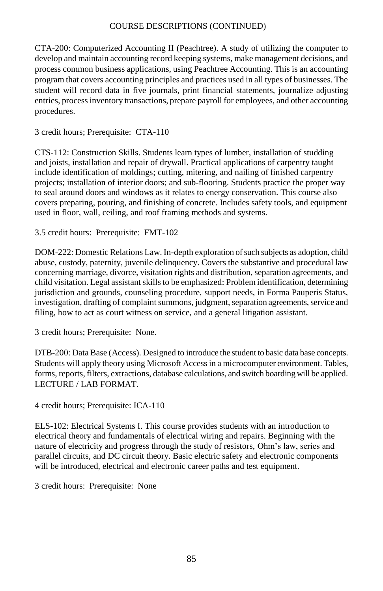CTA-200: Computerized Accounting II (Peachtree). A study of utilizing the computer to develop and maintain accounting record keeping systems, make management decisions, and process common business applications, using Peachtree Accounting. This is an accounting program that covers accounting principles and practices used in all types of businesses. The student will record data in five journals, print financial statements, journalize adjusting entries, process inventory transactions, prepare payroll for employees, and other accounting procedures.

3 credit hours; Prerequisite: CTA-110

CTS-112: Construction Skills. Students learn types of lumber, installation of studding and joists, installation and repair of drywall. Practical applications of carpentry taught include identification of moldings; cutting, mitering, and nailing of finished carpentry projects; installation of interior doors; and sub-flooring. Students practice the proper way to seal around doors and windows as it relates to energy conservation. This course also covers preparing, pouring, and finishing of concrete. Includes safety tools, and equipment used in floor, wall, ceiling, and roof framing methods and systems.

3.5 credit hours: Prerequisite: FMT-102

DOM-222: Domestic Relations Law. In-depth exploration of such subjects as adoption, child abuse, custody, paternity, juvenile delinquency. Covers the substantive and procedural law concerning marriage, divorce, visitation rights and distribution, separation agreements, and child visitation. Legal assistant skills to be emphasized: Problem identification, determining jurisdiction and grounds, counseling procedure, support needs, in Forma Pauperis Status, investigation, drafting of complaint summons, judgment, separation agreements, service and filing, how to act as court witness on service, and a general litigation assistant.

3 credit hours; Prerequisite: None.

DTB-200: Data Base (Access). Designed to introduce the student to basic data base concepts. Students will apply theory using Microsoft Accessin a microcomputer environment. Tables, forms, reports, filters, extractions, database calculations, and switch boarding will be applied. LECTURE / LAB FORMAT.

4 credit hours; Prerequisite: ICA-110

ELS-102: Electrical Systems I. This course provides students with an introduction to electrical theory and fundamentals of electrical wiring and repairs. Beginning with the nature of electricity and progress through the study of resistors, Ohm's law, series and parallel circuits, and DC circuit theory. Basic electric safety and electronic components will be introduced, electrical and electronic career paths and test equipment.

3 credit hours: Prerequisite: None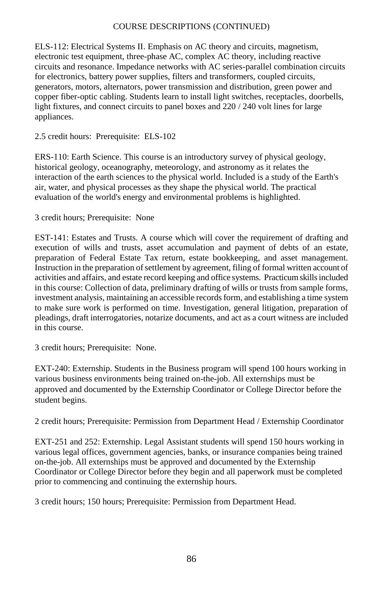ELS-112: Electrical Systems II. Emphasis on AC theory and circuits, magnetism, electronic test equipment, three-phase AC, complex AC theory, including reactive circuits and resonance. Impedance networks with AC series-parallel combination circuits for electronics, battery power supplies, filters and transformers, coupled circuits, generators, motors, alternators, power transmission and distribution, green power and copper fiber-optic cabling. Students learn to install light switches, receptacles, doorbells, light fixtures, and connect circuits to panel boxes and 220 / 240 volt lines for large appliances.

# 2.5 credit hours: Prerequisite: ELS-102

ERS-110: Earth Science. This course is an introductory survey of physical geology, historical geology, oceanography, meteorology, and astronomy as it relates the interaction of the earth sciences to the physical world. Included is a study of the Earth's air, water, and physical processes as they shape the physical world. The practical evaluation of the world's energy and environmental problems is highlighted.

# 3 credit hours; Prerequisite: None

EST-141: Estates and Trusts. A course which will cover the requirement of drafting and execution of wills and trusts, asset accumulation and payment of debts of an estate, preparation of Federal Estate Tax return, estate bookkeeping, and asset management. Instruction in the preparation of settlement by agreement, filing of formal written account of activities and affairs, and estate record keeping and office systems. Practicum skills included in this course: Collection of data, preliminary drafting of wills or trusts from sample forms, investment analysis, maintaining an accessible records form, and establishing a time system to make sure work is performed on time. Investigation, general litigation, preparation of pleadings, draft interrogatories, notarize documents, and act as a court witness are included in this course.

3 credit hours; Prerequisite: None.

EXT-240: Externship. Students in the Business program will spend 100 hours working in various business environments being trained on-the-job. All externships must be approved and documented by the Externship Coordinator or College Director before the student begins.

2 credit hours; Prerequisite: Permission from Department Head / Externship Coordinator

EXT-251 and 252: Externship. Legal Assistant students will spend 150 hours working in various legal offices, government agencies, banks, or insurance companies being trained on-the-job. All externships must be approved and documented by the Externship Coordinator or College Director before they begin and all paperwork must be completed prior to commencing and continuing the externship hours.

3 credit hours; 150 hours; Prerequisite: Permission from Department Head.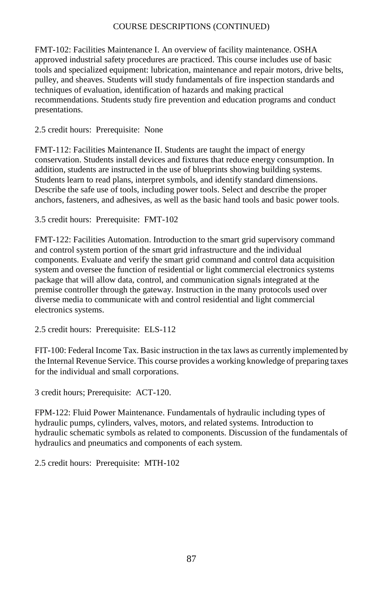FMT-102: Facilities Maintenance I. An overview of facility maintenance. OSHA approved industrial safety procedures are practiced. This course includes use of basic tools and specialized equipment: lubrication, maintenance and repair motors, drive belts, pulley, and sheaves. Students will study fundamentals of fire inspection standards and techniques of evaluation, identification of hazards and making practical recommendations. Students study fire prevention and education programs and conduct presentations.

## 2.5 credit hours: Prerequisite: None

FMT-112: Facilities Maintenance II. Students are taught the impact of energy conservation. Students install devices and fixtures that reduce energy consumption. In addition, students are instructed in the use of blueprints showing building systems. Students learn to read plans, interpret symbols, and identify standard dimensions. Describe the safe use of tools, including power tools. Select and describe the proper anchors, fasteners, and adhesives, as well as the basic hand tools and basic power tools.

3.5 credit hours: Prerequisite: FMT-102

FMT-122: Facilities Automation. Introduction to the smart grid supervisory command and control system portion of the smart grid infrastructure and the individual components. Evaluate and verify the smart grid command and control data acquisition system and oversee the function of residential or light commercial electronics systems package that will allow data, control, and communication signals integrated at the premise controller through the gateway. Instruction in the many protocols used over diverse media to communicate with and control residential and light commercial electronics systems.

2.5 credit hours: Prerequisite: ELS-112

FIT-100: Federal Income Tax. Basic instruction in the tax laws as currently implemented by the Internal Revenue Service. This course provides a working knowledge of preparing taxes for the individual and small corporations.

3 credit hours; Prerequisite: ACT-120.

FPM-122: Fluid Power Maintenance. Fundamentals of hydraulic including types of hydraulic pumps, cylinders, valves, motors, and related systems. Introduction to hydraulic schematic symbols as related to components. Discussion of the fundamentals of hydraulics and pneumatics and components of each system.

2.5 credit hours: Prerequisite: MTH-102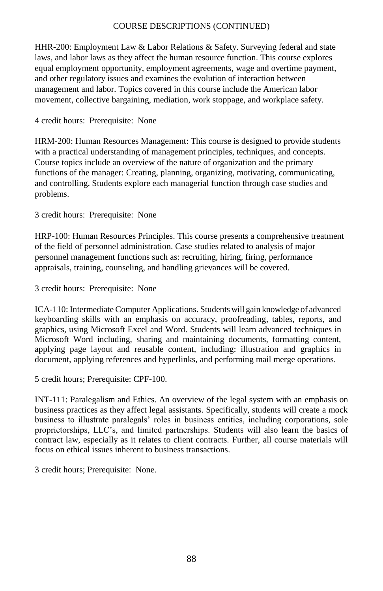HHR-200: Employment Law & Labor Relations & Safety. Surveying federal and state laws, and labor laws as they affect the human resource function. This course explores equal employment opportunity, employment agreements, wage and overtime payment, and other regulatory issues and examines the evolution of interaction between management and labor. Topics covered in this course include the American labor movement, collective bargaining, mediation, work stoppage, and workplace safety.

# 4 credit hours: Prerequisite: None

HRM-200: Human Resources Management: This course is designed to provide students with a practical understanding of management principles, techniques, and concepts. Course topics include an overview of the nature of organization and the primary functions of the manager: Creating, planning, organizing, motivating, communicating, and controlling. Students explore each managerial function through case studies and problems.

3 credit hours: Prerequisite: None

HRP-100: Human Resources Principles. This course presents a comprehensive treatment of the field of personnel administration. Case studies related to analysis of major personnel management functions such as: recruiting, hiring, firing, performance appraisals, training, counseling, and handling grievances will be covered.

3 credit hours: Prerequisite: None

ICA-110: Intermediate Computer Applications. Students will gain knowledge of advanced keyboarding skills with an emphasis on accuracy, proofreading, tables, reports, and graphics, using Microsoft Excel and Word. Students will learn advanced techniques in Microsoft Word including, sharing and maintaining documents, formatting content, applying page layout and reusable content, including: illustration and graphics in document, applying references and hyperlinks, and performing mail merge operations.

5 credit hours; Prerequisite: CPF-100.

INT-111: Paralegalism and Ethics. An overview of the legal system with an emphasis on business practices as they affect legal assistants. Specifically, students will create a mock business to illustrate paralegals' roles in business entities, including corporations, sole proprietorships, LLC's, and limited partnerships. Students will also learn the basics of contract law, especially as it relates to client contracts. Further, all course materials will focus on ethical issues inherent to business transactions.

3 credit hours; Prerequisite: None.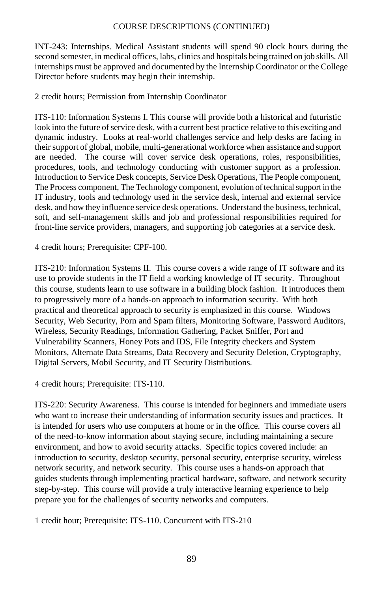INT-243: Internships. Medical Assistant students will spend 90 clock hours during the second semester, in medical offices, labs, clinics and hospitals being trained on job skills. All internships must be approved and documented by the Internship Coordinator or the College Director before students may begin their internship.

2 credit hours; Permission from Internship Coordinator

ITS-110: Information Systems I. This course will provide both a historical and futuristic look into the future of service desk, with a current best practice relative to this exciting and dynamic industry. Looks at real-world challenges service and help desks are facing in their support of global, mobile, multi-generational workforce when assistance and support are needed. The course will cover service desk operations, roles, responsibilities, procedures, tools, and technology conducting with customer support as a profession. Introduction to Service Desk concepts, Service Desk Operations, The People component, The Process component, The Technology component, evolution of technical support in the IT industry, tools and technology used in the service desk, internal and external service desk, and how they influence service desk operations. Understand the business, technical, soft, and self-management skills and job and professional responsibilities required for front-line service providers, managers, and supporting job categories at a service desk.

4 credit hours; Prerequisite: CPF-100.

ITS-210: Information Systems II. This course covers a wide range of IT software and its use to provide students in the IT field a working knowledge of IT security. Throughout this course, students learn to use software in a building block fashion. It introduces them to progressively more of a hands-on approach to information security. With both practical and theoretical approach to security is emphasized in this course. Windows Security, Web Security, Porn and Spam filters, Monitoring Software, Password Auditors, Wireless, Security Readings, Information Gathering, Packet Sniffer, Port and Vulnerability Scanners, Honey Pots and IDS, File Integrity checkers and System Monitors, Alternate Data Streams, Data Recovery and Security Deletion, Cryptography, Digital Servers, Mobil Security, and IT Security Distributions.

4 credit hours; Prerequisite: ITS-110.

ITS-220: Security Awareness. This course is intended for beginners and immediate users who want to increase their understanding of information security issues and practices. It is intended for users who use computers at home or in the office. This course covers all of the need-to-know information about staying secure, including maintaining a secure environment, and how to avoid security attacks. Specific topics covered include: an introduction to security, desktop security, personal security, enterprise security, wireless network security, and network security. This course uses a hands-on approach that guides students through implementing practical hardware, software, and network security step-by-step. This course will provide a truly interactive learning experience to help prepare you for the challenges of security networks and computers.

1 credit hour; Prerequisite: ITS-110. Concurrent with ITS-210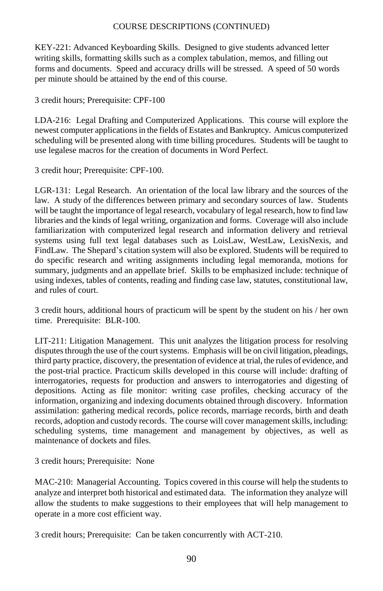KEY-221: Advanced Keyboarding Skills. Designed to give students advanced letter writing skills, formatting skills such as a complex tabulation, memos, and filling out forms and documents. Speed and accuracy drills will be stressed. A speed of 50 words per minute should be attained by the end of this course.

3 credit hours; Prerequisite: CPF-100

LDA-216: Legal Drafting and Computerized Applications. This course will explore the newest computer applications in the fields of Estates and Bankruptcy. Amicus computerized scheduling will be presented along with time billing procedures. Students will be taught to use legalese macros for the creation of documents in Word Perfect.

3 credit hour; Prerequisite: CPF-100.

LGR-131: Legal Research. An orientation of the local law library and the sources of the law. A study of the differences between primary and secondary sources of law. Students will be taught the importance of legal research, vocabulary of legal research, how to find law libraries and the kinds of legal writing, organization and forms. Coverage will also include familiarization with computerized legal research and information delivery and retrieval systems using full text legal databases such as LoisLaw, WestLaw, LexisNexis, and FindLaw. The Shepard's citation system will also be explored. Students will be required to do specific research and writing assignments including legal memoranda, motions for summary, judgments and an appellate brief. Skills to be emphasized include: technique of using indexes, tables of contents, reading and finding case law, statutes, constitutional law, and rules of court.

3 credit hours, additional hours of practicum will be spent by the student on his / her own time. Prerequisite: BLR-100.

LIT-211: Litigation Management. This unit analyzes the litigation process for resolving disputes through the use of the court systems. Emphasis will be on civil litigation, pleadings, third party practice, discovery, the presentation of evidence at trial, the rules of evidence, and the post-trial practice. Practicum skills developed in this course will include: drafting of interrogatories, requests for production and answers to interrogatories and digesting of depositions. Acting as file monitor: writing case profiles, checking accuracy of the information, organizing and indexing documents obtained through discovery. Information assimilation: gathering medical records, police records, marriage records, birth and death records, adoption and custody records. The course will cover management skills, including: scheduling systems, time management and management by objectives, as well as maintenance of dockets and files.

3 credit hours; Prerequisite: None

MAC-210: Managerial Accounting. Topics covered in this course will help the students to analyze and interpret both historical and estimated data. The information they analyze will allow the students to make suggestions to their employees that will help management to operate in a more cost efficient way.

3 credit hours; Prerequisite: Can be taken concurrently with ACT-210.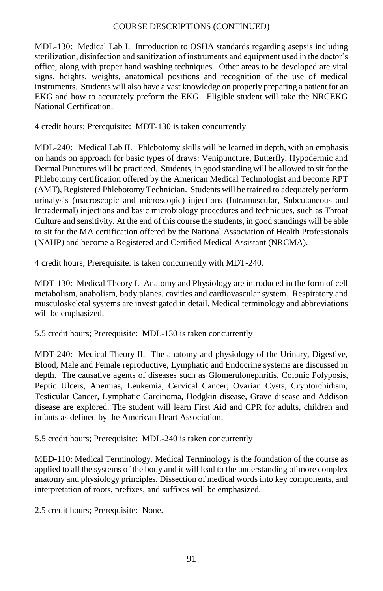MDL-130: Medical Lab I. Introduction to OSHA standards regarding asepsis including sterilization, disinfection and sanitization of instruments and equipment used in the doctor's office, along with proper hand washing techniques. Other areas to be developed are vital signs, heights, weights, anatomical positions and recognition of the use of medical instruments. Students will also have a vast knowledge on properly preparing a patient for an EKG and how to accurately preform the EKG. Eligible student will take the NRCEKG National Certification.

4 credit hours; Prerequisite: MDT-130 is taken concurrently

MDL-240: Medical Lab II. Phlebotomy skills will be learned in depth, with an emphasis on hands on approach for basic types of draws: Venipuncture, Butterfly, Hypodermic and Dermal Punctures will be practiced. Students, in good standing will be allowed to sit for the Phlebotomy certification offered by the American Medical Technologist and become RPT (AMT), Registered Phlebotomy Technician. Students will be trained to adequately perform urinalysis (macroscopic and microscopic) injections (Intramuscular, Subcutaneous and Intradermal) injections and basic microbiology procedures and techniques, such as Throat Culture and sensitivity. At the end of this course the students, in good standings will be able to sit for the MA certification offered by the National Association of Health Professionals (NAHP) and become a Registered and Certified Medical Assistant (NRCMA).

4 credit hours; Prerequisite: is taken concurrently with MDT-240.

MDT-130: Medical Theory I. Anatomy and Physiology are introduced in the form of cell metabolism, anabolism, body planes, cavities and cardiovascular system. Respiratory and musculoskeletal systems are investigated in detail. Medical terminology and abbreviations will be emphasized.

5.5 credit hours; Prerequisite: MDL-130 is taken concurrently

MDT-240: Medical Theory II. The anatomy and physiology of the Urinary, Digestive, Blood, Male and Female reproductive, Lymphatic and Endocrine systems are discussed in depth. The causative agents of diseases such as Glomerulonephritis, Colonic Polyposis, Peptic Ulcers, Anemias, Leukemia, Cervical Cancer, Ovarian Cysts, Cryptorchidism, Testicular Cancer, Lymphatic Carcinoma, Hodgkin disease, Grave disease and Addison disease are explored. The student will learn First Aid and CPR for adults, children and infants as defined by the American Heart Association.

5.5 credit hours; Prerequisite: MDL-240 is taken concurrently

MED-110: Medical Terminology. Medical Terminology is the foundation of the course as applied to all the systems of the body and it will lead to the understanding of more complex anatomy and physiology principles. Dissection of medical words into key components, and interpretation of roots, prefixes, and suffixes will be emphasized.

2.5 credit hours; Prerequisite: None.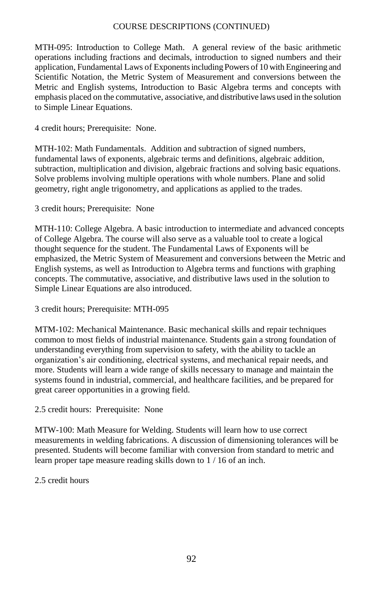MTH-095: Introduction to College Math. A general review of the basic arithmetic operations including fractions and decimals, introduction to signed numbers and their application, Fundamental Laws of Exponents including Powers of 10 with Engineering and Scientific Notation, the Metric System of Measurement and conversions between the Metric and English systems, Introduction to Basic Algebra terms and concepts with emphasis placed on the commutative, associative, and distributive laws used in the solution to Simple Linear Equations.

4 credit hours; Prerequisite: None.

MTH-102: Math Fundamentals. Addition and subtraction of signed numbers, fundamental laws of exponents, algebraic terms and definitions, algebraic addition, subtraction, multiplication and division, algebraic fractions and solving basic equations. Solve problems involving multiple operations with whole numbers. Plane and solid geometry, right angle trigonometry, and applications as applied to the trades.

3 credit hours; Prerequisite: None

MTH-110: College Algebra. A basic introduction to intermediate and advanced concepts of College Algebra. The course will also serve as a valuable tool to create a logical thought sequence for the student. The Fundamental Laws of Exponents will be emphasized, the Metric System of Measurement and conversions between the Metric and English systems, as well as Introduction to Algebra terms and functions with graphing concepts. The commutative, associative, and distributive laws used in the solution to Simple Linear Equations are also introduced.

3 credit hours; Prerequisite: MTH-095

MTM-102: Mechanical Maintenance. Basic mechanical skills and repair techniques common to most fields of industrial maintenance. Students gain a strong foundation of understanding everything from supervision to safety, with the ability to tackle an organization's air conditioning, electrical systems, and mechanical repair needs, and more. Students will learn a wide range of skills necessary to manage and maintain the systems found in industrial, commercial, and healthcare facilities, and be prepared for great career opportunities in a growing field.

2.5 credit hours: Prerequisite: None

MTW-100: Math Measure for Welding. Students will learn how to use correct measurements in welding fabrications. A discussion of dimensioning tolerances will be presented. Students will become familiar with conversion from standard to metric and learn proper tape measure reading skills down to 1 / 16 of an inch.

#### 2.5 credit hours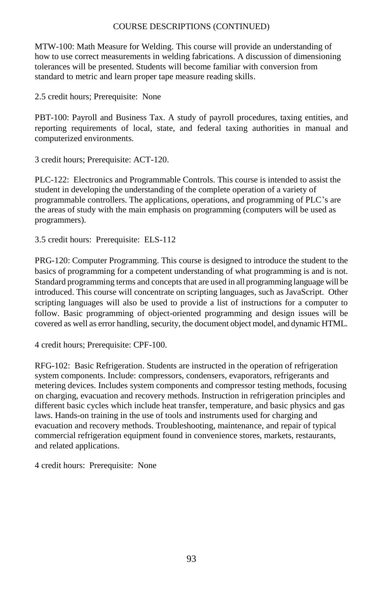MTW-100: Math Measure for Welding. This course will provide an understanding of how to use correct measurements in welding fabrications. A discussion of dimensioning tolerances will be presented. Students will become familiar with conversion from standard to metric and learn proper tape measure reading skills.

2.5 credit hours; Prerequisite: None

PBT-100: Payroll and Business Tax. A study of payroll procedures, taxing entities, and reporting requirements of local, state, and federal taxing authorities in manual and computerized environments.

3 credit hours; Prerequisite: ACT-120.

PLC-122: Electronics and Programmable Controls. This course is intended to assist the student in developing the understanding of the complete operation of a variety of programmable controllers. The applications, operations, and programming of PLC's are the areas of study with the main emphasis on programming (computers will be used as programmers).

3.5 credit hours: Prerequisite: ELS-112

PRG-120: Computer Programming. This course is designed to introduce the student to the basics of programming for a competent understanding of what programming is and is not. Standard programming terms and concepts that are used in all programming language will be introduced. This course will concentrate on scripting languages, such as JavaScript. Other scripting languages will also be used to provide a list of instructions for a computer to follow. Basic programming of object-oriented programming and design issues will be covered as well as error handling, security, the document object model, and dynamic HTML.

4 credit hours; Prerequisite: CPF-100.

RFG-102: Basic Refrigeration. Students are instructed in the operation of refrigeration system components. Include: compressors, condensers, evaporators, refrigerants and metering devices. Includes system components and compressor testing methods, focusing on charging, evacuation and recovery methods. Instruction in refrigeration principles and different basic cycles which include heat transfer, temperature, and basic physics and gas laws. Hands-on training in the use of tools and instruments used for charging and evacuation and recovery methods. Troubleshooting, maintenance, and repair of typical commercial refrigeration equipment found in convenience stores, markets, restaurants, and related applications.

4 credit hours: Prerequisite: None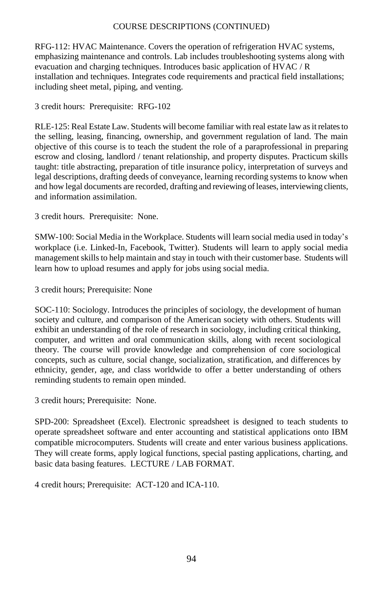RFG-112: HVAC Maintenance. Covers the operation of refrigeration HVAC systems, emphasizing maintenance and controls. Lab includes troubleshooting systems along with evacuation and charging techniques. Introduces basic application of HVAC / R installation and techniques. Integrates code requirements and practical field installations; including sheet metal, piping, and venting.

3 credit hours: Prerequisite: RFG-102

RLE-125: Real Estate Law. Students will become familiar with real estate law as it relates to the selling, leasing, financing, ownership, and government regulation of land. The main objective of this course is to teach the student the role of a paraprofessional in preparing escrow and closing, landlord / tenant relationship, and property disputes. Practicum skills taught: title abstracting, preparation of title insurance policy, interpretation of surveys and legal descriptions, drafting deeds of conveyance, learning recording systems to know when and how legal documents are recorded, drafting and reviewing of leases, interviewing clients, and information assimilation.

3 credit hours. Prerequisite: None.

SMW-100: Social Media in the Workplace. Students will learn social media used in today's workplace (i.e. Linked-In, Facebook, Twitter). Students will learn to apply social media management skills to help maintain and stay in touch with their customer base. Students will learn how to upload resumes and apply for jobs using social media.

3 credit hours; Prerequisite: None

SOC-110: Sociology. Introduces the principles of sociology, the development of human society and culture, and comparison of the American society with others. Students will exhibit an understanding of the role of research in sociology, including critical thinking, computer, and written and oral communication skills, along with recent sociological theory. The course will provide knowledge and comprehension of core sociological concepts, such as culture, social change, socialization, stratification, and differences by ethnicity, gender, age, and class worldwide to offer a better understanding of others reminding students to remain open minded.

3 credit hours; Prerequisite: None.

SPD-200: Spreadsheet (Excel). Electronic spreadsheet is designed to teach students to operate spreadsheet software and enter accounting and statistical applications onto IBM compatible microcomputers. Students will create and enter various business applications. They will create forms, apply logical functions, special pasting applications, charting, and basic data basing features. LECTURE / LAB FORMAT.

4 credit hours; Prerequisite: ACT-120 and ICA-110.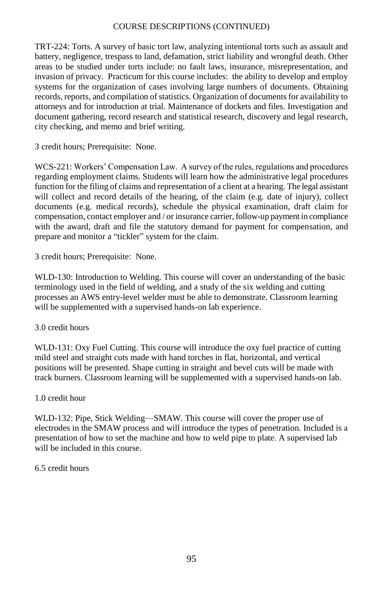TRT-224: Torts. A survey of basic tort law, analyzing intentional torts such as assault and battery, negligence, trespass to land, defamation, strict liability and wrongful death. Other areas to be studied under torts include: no fault laws, insurance, misrepresentation, and invasion of privacy. Practicum for this course includes: the ability to develop and employ systems for the organization of cases involving large numbers of documents. Obtaining records, reports, and compilation of statistics. Organization of documents for availability to attorneys and for introduction at trial. Maintenance of dockets and files. Investigation and document gathering, record research and statistical research, discovery and legal research, city checking, and memo and brief writing.

3 credit hours; Prerequisite: None.

WCS-221: Workers' Compensation Law. A survey of the rules, regulations and procedures regarding employment claims. Students will learn how the administrative legal procedures function for the filing of claims and representation of a client at a hearing. The legal assistant will collect and record details of the hearing, of the claim (e.g. date of injury), collect documents (e.g. medical records), schedule the physical examination, draft claim for compensation, contact employer and / or insurance carrier, follow-up payment in compliance with the award, draft and file the statutory demand for payment for compensation, and prepare and monitor a "tickler" system for the claim.

3 credit hours; Prerequisite: None.

WLD-130: Introduction to Welding. This course will cover an understanding of the basic terminology used in the field of welding, and a study of the six welding and cutting processes an AWS entry-level welder must be able to demonstrate. Classroom learning will be supplemented with a supervised hands-on lab experience.

## 3.0 credit hours

WLD-131: Oxy Fuel Cutting. This course will introduce the oxy fuel practice of cutting mild steel and straight cuts made with hand torches in flat, horizontal, and vertical positions will be presented. Shape cutting in straight and bevel cuts will be made with track burners. Classroom learning will be supplemented with a supervised hands-on lab.

## 1.0 credit hour

WLD-132: Pipe, Stick Welding—SMAW. This course will cover the proper use of electrodes in the SMAW process and will introduce the types of penetration. Included is a presentation of how to set the machine and how to weld pipe to plate. A supervised lab will be included in this course.

## 6.5 credit hours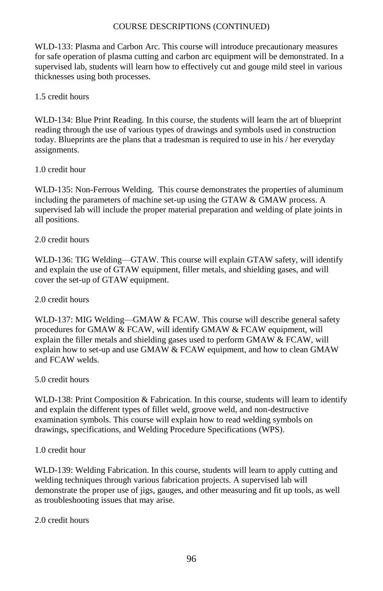WLD-133: Plasma and Carbon Arc. This course will introduce precautionary measures for safe operation of plasma cutting and carbon arc equipment will be demonstrated. In a supervised lab, students will learn how to effectively cut and gouge mild steel in various thicknesses using both processes.

## 1.5 credit hours

WLD-134: Blue Print Reading. In this course, the students will learn the art of blueprint reading through the use of various types of drawings and symbols used in construction today. Blueprints are the plans that a tradesman is required to use in his / her everyday assignments.

## 1.0 credit hour

WLD-135: Non-Ferrous Welding. This course demonstrates the properties of aluminum including the parameters of machine set-up using the GTAW & GMAW process. A supervised lab will include the proper material preparation and welding of plate joints in all positions.

# 2.0 credit hours

WLD-136: TIG Welding—GTAW. This course will explain GTAW safety, will identify and explain the use of GTAW equipment, filler metals, and shielding gases, and will cover the set-up of GTAW equipment.

# 2.0 credit hours

WLD-137: MIG Welding—GMAW & FCAW. This course will describe general safety procedures for GMAW & FCAW, will identify GMAW & FCAW equipment, will explain the filler metals and shielding gases used to perform GMAW & FCAW, will explain how to set-up and use GMAW & FCAW equipment, and how to clean GMAW and FCAW welds.

# 5.0 credit hours

WLD-138: Print Composition & Fabrication. In this course, students will learn to identify and explain the different types of fillet weld, groove weld, and non-destructive examination symbols. This course will explain how to read welding symbols on drawings, specifications, and Welding Procedure Specifications (WPS).

## 1.0 credit hour

WLD-139: Welding Fabrication. In this course, students will learn to apply cutting and welding techniques through various fabrication projects. A supervised lab will demonstrate the proper use of jigs, gauges, and other measuring and fit up tools, as well as troubleshooting issues that may arise.

## 2.0 credit hours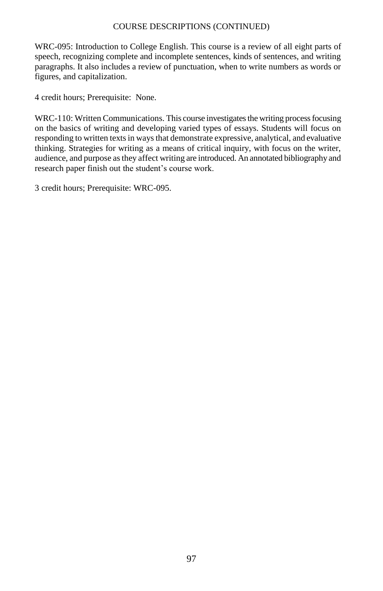WRC-095: Introduction to College English. This course is a review of all eight parts of speech, recognizing complete and incomplete sentences, kinds of sentences, and writing paragraphs. It also includes a review of punctuation, when to write numbers as words or figures, and capitalization.

4 credit hours; Prerequisite: None.

WRC-110: Written Communications. This course investigates the writing process focusing on the basics of writing and developing varied types of essays. Students will focus on responding to written texts in ways that demonstrate expressive, analytical, and evaluative thinking. Strategies for writing as a means of critical inquiry, with focus on the writer, audience, and purpose as they affect writing are introduced. An annotated bibliography and research paper finish out the student's course work.

3 credit hours; Prerequisite: WRC-095.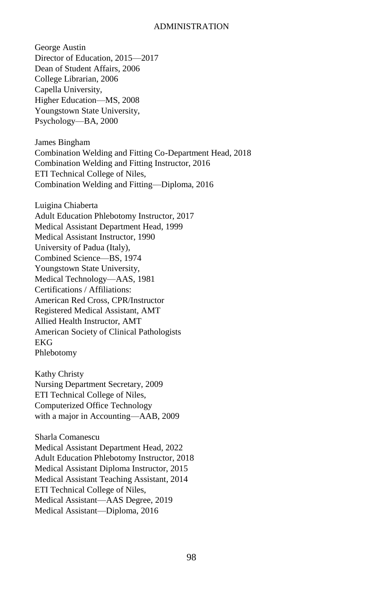#### ADMINISTRATION

George Austin Director of Education, 2015—2017 Dean of Student Affairs, 2006 College Librarian, 2006 Capella University, Higher Education—MS, 2008 Youngstown State University, Psychology—BA, 2000 James Bingham Combination Welding and Fitting Co-Department Head, 2018 Combination Welding and Fitting Instructor, 2016 ETI Technical College of Niles, Combination Welding and Fitting—Diploma, 2016 Luigina Chiaberta Adult Education Phlebotomy Instructor, 2017 Medical Assistant Department Head, 1999 Medical Assistant Instructor, 1990 University of Padua (Italy), Combined Science—BS, 1974 Youngstown State University, Medical Technology—AAS, 1981 Certifications / Affiliations: American Red Cross, CPR/Instructor Registered Medical Assistant, AMT Allied Health Instructor, AMT American Society of Clinical Pathologists EKG Phlebotomy Kathy Christy Nursing Department Secretary, 2009 ETI Technical College of Niles, Computerized Office Technology with a major in Accounting—AAB, 2009 Sharla Comanescu Medical Assistant Department Head, 2022 Adult Education Phlebotomy Instructor, 2018 Medical Assistant Diploma Instructor, 2015 Medical Assistant Teaching Assistant, 2014 ETI Technical College of Niles, Medical Assistant—AAS Degree, 2019 Medical Assistant—Diploma, 2016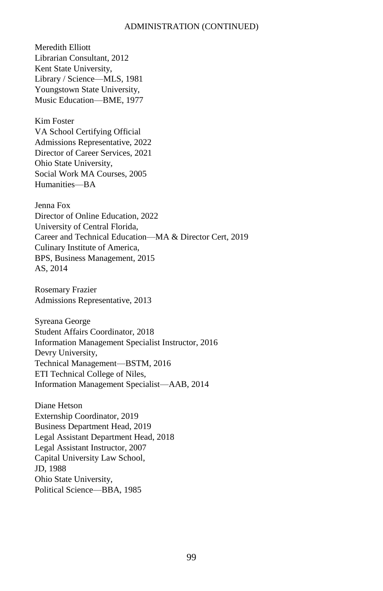Meredith Elliott Librarian Consultant, 2012 Kent State University, Library / Science—MLS, 1981 Youngstown State University, Music Education—BME, 1977

Kim Foster VA School Certifying Official Admissions Representative, 2022 Director of Career Services, 2021 Ohio State University, Social Work MA Courses, 2005 Humanities—BA

Jenna Fox Director of Online Education, 2022 University of Central Florida, Career and Technical Education—MA & Director Cert, 2019 Culinary Institute of America, BPS, Business Management, 2015 AS, 2014

Rosemary Frazier Admissions Representative, 2013

Syreana George Student Affairs Coordinator, 2018 Information Management Specialist Instructor, 2016 Devry University, Technical Management—BSTM, 2016 ETI Technical College of Niles, Information Management Specialist—AAB, 2014

Diane Hetson Externship Coordinator, 2019 Business Department Head, 2019 Legal Assistant Department Head, 2018 Legal Assistant Instructor, 2007 Capital University Law School, JD, 1988 Ohio State University, Political Science—BBA, 1985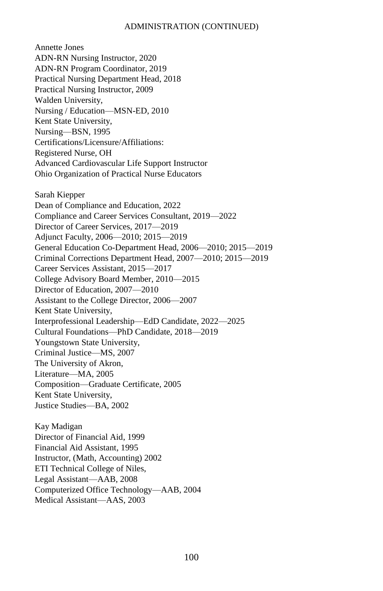Annette Jones ADN-RN Nursing Instructor, 2020 ADN-RN Program Coordinator, 2019 Practical Nursing Department Head, 2018 Practical Nursing Instructor, 2009 Walden University, Nursing / Education—MSN-ED, 2010 Kent State University, Nursing—BSN, 1995 Certifications/Licensure/Affiliations: Registered Nurse, OH Advanced Cardiovascular Life Support Instructor Ohio Organization of Practical Nurse Educators Sarah Kiepper Dean of Compliance and Education, 2022 Compliance and Career Services Consultant, 2019—2022 Director of Career Services, 2017—2019 Adjunct Faculty, 2006—2010; 2015—2019 General Education Co-Department Head, 2006—2010; 2015—2019 Criminal Corrections Department Head, 2007—2010; 2015—2019 Career Services Assistant, 2015—2017 College Advisory Board Member, 2010—2015 Director of Education, 2007—2010 Assistant to the College Director, 2006—2007 Kent State University, Interprofessional Leadership—EdD Candidate, 2022—2025 Cultural Foundations—PhD Candidate, 2018—2019 Youngstown State University, Criminal Justice—MS, 2007 The University of Akron, Literature—MA, 2005 Composition—Graduate Certificate, 2005 Kent State University, Justice Studies—BA, 2002 Kay Madigan Director of Financial Aid, 1999 Financial Aid Assistant, 1995

Instructor, (Math, Accounting) 2002

ETI Technical College of Niles, Legal Assistant—AAB, 2008

Computerized Office Technology—AAB, 2004

Medical Assistant—AAS, 2003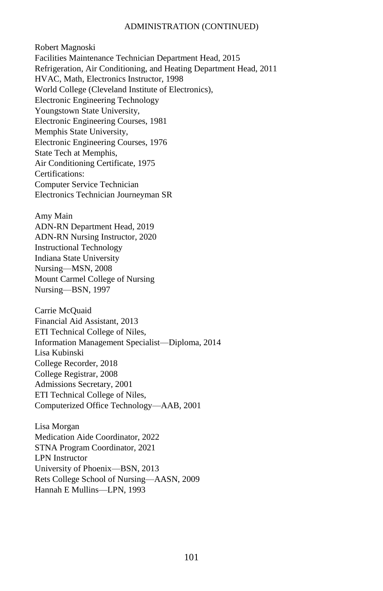Robert Magnoski Facilities Maintenance Technician Department Head, 2015 Refrigeration, Air Conditioning, and Heating Department Head, 2011 HVAC, Math, Electronics Instructor, 1998 World College (Cleveland Institute of Electronics), Electronic Engineering Technology Youngstown State University, Electronic Engineering Courses, 1981 Memphis State University, Electronic Engineering Courses, 1976 State Tech at Memphis, Air Conditioning Certificate, 1975 Certifications: Computer Service Technician Electronics Technician Journeyman SR

Amy Main ADN-RN Department Head, 2019 ADN-RN Nursing Instructor, 2020 Instructional Technology Indiana State University

Nursing—MSN, 2008 Mount Carmel College of Nursing Nursing—BSN, 1997

Carrie McQuaid Financial Aid Assistant, 2013 ETI Technical College of Niles, Information Management Specialist—Diploma, 2014 Lisa Kubinski College Recorder, 2018 College Registrar, 2008 Admissions Secretary, 2001 ETI Technical College of Niles, Computerized Office Technology—AAB, 2001

Lisa Morgan Medication Aide Coordinator, 2022 STNA Program Coordinator, 2021 LPN Instructor University of Phoenix—BSN, 2013 Rets College School of Nursing—AASN, 2009 Hannah E Mullins—LPN, 1993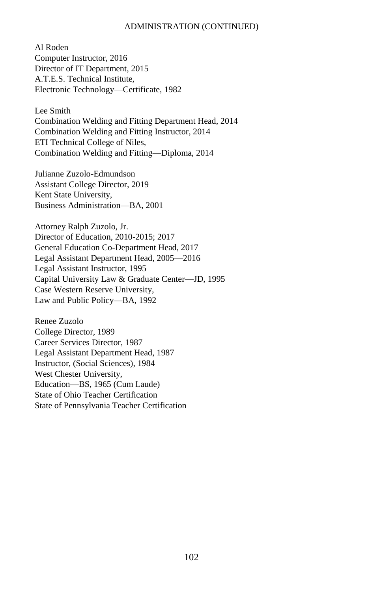Al Roden Computer Instructor, 2016 Director of IT Department, 2015 A.T.E.S. Technical Institute, Electronic Technology—Certificate, 1982

Lee Smith Combination Welding and Fitting Department Head, 2014 Combination Welding and Fitting Instructor, 2014 ETI Technical College of Niles, Combination Welding and Fitting—Diploma, 2014

Julianne Zuzolo-Edmundson Assistant College Director, 2019 Kent State University, Business Administration—BA, 2001

Attorney Ralph Zuzolo, Jr. Director of Education, 2010-2015; 2017 General Education Co-Department Head, 2017 Legal Assistant Department Head, 2005—2016 Legal Assistant Instructor, 1995 Capital University Law & Graduate Center—JD, 1995 Case Western Reserve University, Law and Public Policy—BA, 1992

Renee Zuzolo College Director, 1989 Career Services Director, 1987 Legal Assistant Department Head, 1987 Instructor, (Social Sciences), 1984 West Chester University, Education—BS, 1965 (Cum Laude) State of Ohio Teacher Certification State of Pennsylvania Teacher Certification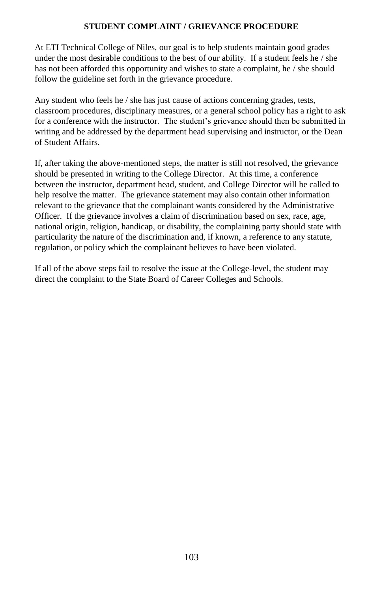# **STUDENT COMPLAINT / GRIEVANCE PROCEDURE**

At ETI Technical College of Niles, our goal is to help students maintain good grades under the most desirable conditions to the best of our ability. If a student feels he / she has not been afforded this opportunity and wishes to state a complaint, he / she should follow the guideline set forth in the grievance procedure.

Any student who feels he / she has just cause of actions concerning grades, tests, classroom procedures, disciplinary measures, or a general school policy has a right to ask for a conference with the instructor. The student's grievance should then be submitted in writing and be addressed by the department head supervising and instructor, or the Dean of Student Affairs.

If, after taking the above-mentioned steps, the matter is still not resolved, the grievance should be presented in writing to the College Director. At this time, a conference between the instructor, department head, student, and College Director will be called to help resolve the matter. The grievance statement may also contain other information relevant to the grievance that the complainant wants considered by the Administrative Officer. If the grievance involves a claim of discrimination based on sex, race, age, national origin, religion, handicap, or disability, the complaining party should state with particularity the nature of the discrimination and, if known, a reference to any statute, regulation, or policy which the complainant believes to have been violated.

If all of the above steps fail to resolve the issue at the College-level, the student may direct the complaint to the State Board of Career Colleges and Schools.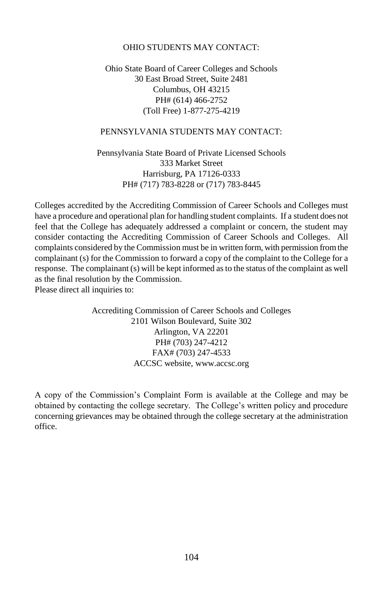## OHIO STUDENTS MAY CONTACT:

## Ohio State Board of Career Colleges and Schools 30 East Broad Street, Suite 2481 Columbus, OH 43215 PH# (614) 466-2752 (Toll Free) 1-877-275-4219

## PENNSYLVANIA STUDENTS MAY CONTACT:

Pennsylvania State Board of Private Licensed Schools 333 Market Street Harrisburg, PA 17126-0333 PH# (717) 783-8228 or (717) 783-8445

Colleges accredited by the Accrediting Commission of Career Schools and Colleges must have a procedure and operational plan for handling student complaints. If a student does not feel that the College has adequately addressed a complaint or concern, the student may consider contacting the Accrediting Commission of Career Schools and Colleges. All complaints considered by the Commission must be in written form, with permission from the complainant (s) for the Commission to forward a copy of the complaint to the College for a response. The complainant (s) will be kept informed as to the status of the complaint as well as the final resolution by the Commission. Please direct all inquiries to:

> Accrediting Commission of Career Schools and Colleges 2101 Wilson Boulevard, Suite 302 Arlington, VA 22201 PH# (703) 247-4212 FAX# (703) 247-4533 ACCSC website, [www.accsc.o](http://www.accsc/)rg

A copy of the Commission's Complaint Form is available at the College and may be obtained by contacting the college secretary. The College's written policy and procedure concerning grievances may be obtained through the college secretary at the administration office.